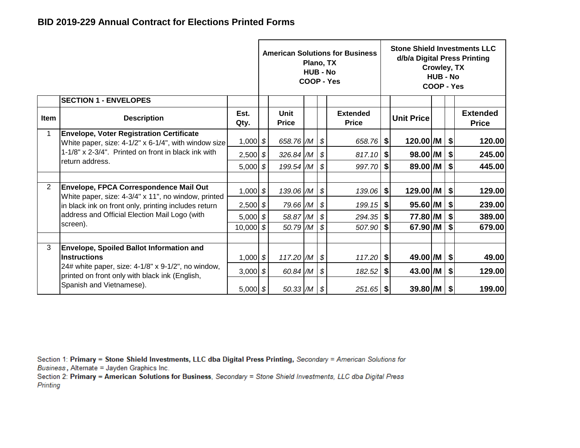|                |                                                                                                            |              |                           | Plano, TX<br><b>HUB - No</b> |                           | <b>American Solutions for Business</b><br>COOP - Yes |          |                   | Crowley, TX<br><b>HUB - No</b><br>COOP - Yes |                              | <b>Stone Shield Investments LLC</b><br>d/b/a Digital Press Printing |
|----------------|------------------------------------------------------------------------------------------------------------|--------------|---------------------------|------------------------------|---------------------------|------------------------------------------------------|----------|-------------------|----------------------------------------------|------------------------------|---------------------------------------------------------------------|
|                | <b>SECTION 1 - ENVELOPES</b>                                                                               |              |                           |                              |                           |                                                      |          |                   |                                              |                              |                                                                     |
| Item           | <b>Description</b>                                                                                         | Est.<br>Qty. | Unit<br><b>Price</b>      |                              |                           | <b>Extended</b><br><b>Price</b>                      |          | <b>Unit Price</b> |                                              |                              | <b>Extended</b><br><b>Price</b>                                     |
|                | <b>Envelope, Voter Registration Certificate</b><br>White paper, size: 4-1/2" x 6-1/4", with window size    | $1,000$ \$   | 658.76 /M   \$            |                              |                           | $658.76$ \$                                          |          | 120.00 /M         |                                              | $\boldsymbol{\mathsf{S}}$    | 120.00                                                              |
|                | 1-1/8" x 2-3/4". Printed on front in black ink with                                                        | $2,500$ \$   | 326.84 /M $\frac{\$}$     |                              |                           | 817.10                                               | ୍\$      | $98.00$ /M        |                                              | \$                           | 245.00                                                              |
|                | return address.                                                                                            | $5,000$ \$   | 199.54 $/M$ $\frac{1}{9}$ |                              |                           | 997.70                                               | -SI      | 89.00 /M          |                                              | \$                           | 445.00                                                              |
| $\overline{2}$ | <b>Envelope, FPCA Correspondence Mail Out</b><br>White paper, size: 4-3/4" x 11", no window, printed       | $1,000$ \$   | 139.06 /M                 |                              | $\sqrt{s}$                | 139.06                                               | \$       | 129.00 /M         |                                              | $\left  \frac{1}{2} \right $ | 129.00                                                              |
|                | in black ink on front only, printing includes return                                                       | $2,500$ \$   | 79.66 /M                  |                              | $\vert \mathcal{S} \vert$ | 199.15                                               | -\$ I    | $95.60$ /M        |                                              | $\left  \frac{1}{2} \right $ | 239.00                                                              |
|                | address and Official Election Mail Logo (with                                                              | $5,000$ \$   | $58.87/M$ \$              |                              |                           | $294.35$ \$                                          |          | 77.80 /M          |                                              | \$                           | 389.00                                                              |
|                | screen).                                                                                                   | $10,000$ \$  | 50.79 /M                  |                              | l \$                      | 507.90                                               | <b>S</b> | 67.90 /M          |                                              | \$                           | 679.00                                                              |
|                |                                                                                                            |              |                           |                              |                           |                                                      |          |                   |                                              |                              |                                                                     |
| 3              | <b>Envelope, Spoiled Ballot Information and</b><br><b>Instructions</b>                                     | $1,000$ \$   | $117.20$ $/M$ $\sqrt$     |                              |                           | 117.20                                               | \$       | 49.00 /M          |                                              | $\vert \mathbf{\$} \vert$    | 49.00                                                               |
|                | 24# white paper, size: $4-1/8$ " x $9-1/2$ ", no window,<br>printed on front only with black ink (English, | 3,000 $ $ \$ | $60.84$ /M $\frac{1}{9}$  |                              |                           | 182.52                                               | \$       | 43.00 /M          |                                              | $\left  \frac{1}{2} \right $ | 129.00                                                              |
|                | Spanish and Vietnamese).                                                                                   | $5,000$ \$   | $50.33$ $/M$ $\sqrt{$}$   |                              |                           | $251.65$ \$                                          |          | $39.80$ $ M $ \$  |                                              |                              | 199.00                                                              |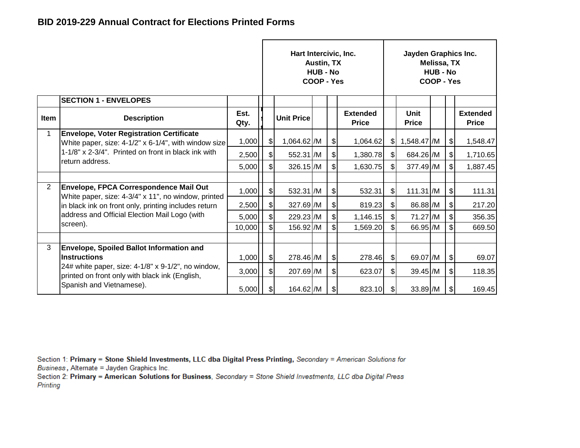|                |                                                                                                            |              |                           | Hart Intercivic, Inc. | <b>Austin, TX</b><br><b>HUB - No</b><br>COOP - Yes |               |                                 |               | Jayden Graphics Inc. | Melissa, TX<br><b>HUB - No</b><br>COOP - Yes |                              |                                 |
|----------------|------------------------------------------------------------------------------------------------------------|--------------|---------------------------|-----------------------|----------------------------------------------------|---------------|---------------------------------|---------------|----------------------|----------------------------------------------|------------------------------|---------------------------------|
|                | <b>SECTION 1 - ENVELOPES</b>                                                                               |              |                           |                       |                                                    |               |                                 |               |                      |                                              |                              |                                 |
| Item           | <b>Description</b>                                                                                         | Est.<br>Qty. |                           | <b>Unit Price</b>     |                                                    |               | <b>Extended</b><br><b>Price</b> |               | Unit<br><b>Price</b> |                                              |                              | <b>Extended</b><br><b>Price</b> |
|                | <b>Envelope, Voter Registration Certificate</b><br>White paper, size: $4-1/2$ " x 6-1/4", with window size | 1,000        | $\sqrt{2}$                | 1,064.62 /M           |                                                    | $\frac{1}{2}$ | 1,064.62                        | \$I           | 1,548.47 /M          |                                              | \$                           | 1,548.47                        |
|                | 1-1/8" x 2-3/4". Printed on front in black ink with                                                        | 2,500        | $\frac{1}{2}$             | 552.31 /M             |                                                    | $\frac{1}{2}$ | 1,380.78                        | $\frac{1}{2}$ | 684.26 /M            |                                              | $\frac{1}{2}$                | 1,710.65                        |
|                | return address.                                                                                            | 5,000        | $\mathfrak{S}$            | $326.15$ /M           |                                                    | $\frac{1}{2}$ | 1,630.75                        | \$            | 377.49 M             |                                              | \$                           | 1,887.45                        |
|                |                                                                                                            |              |                           |                       |                                                    |               |                                 |               |                      |                                              |                              |                                 |
| $\overline{2}$ | Envelope, FPCA Correspondence Mail Out<br>White paper, size: 4-3/4" x 11", no window, printed              | 1,000        | $\frac{1}{2}$             | 532.31 /M             |                                                    | $\frac{1}{2}$ | 532.31                          | \$ا           | 111.31 /M            |                                              | $\frac{1}{2}$                | 111.31                          |
|                | in black ink on front only, printing includes return                                                       | 2,500        | $\frac{1}{2}$             | $327.69$ /M           |                                                    | $\frac{1}{2}$ | 819.23                          | $\frac{1}{2}$ | 86.88 /M             |                                              | \$                           | 217.20                          |
|                | address and Official Election Mail Logo (with                                                              | 5,000        | $\boldsymbol{\mathsf{S}}$ | 229.23 /M             |                                                    | $\mathcal{S}$ | 1,146.15                        | \$            | 71.27 /M             |                                              | $\left  \mathcal{L} \right $ | 356.35                          |
|                | screen).                                                                                                   | 10,000       | \$                        | 156.92 /M             |                                                    | $\mathbb{S}$  | 1,569.20                        | \$            | 66.95 /M             |                                              | \$                           | 669.50                          |
|                |                                                                                                            |              |                           |                       |                                                    |               |                                 |               |                      |                                              |                              |                                 |
| 3              | <b>Envelope, Spoiled Ballot Information and</b><br><b>Instructions</b>                                     | 1,000        | $\frac{1}{2}$             | 278.46 /M             |                                                    | $\frac{1}{2}$ | 278.46                          | $\mathbb{S}$  | 69.07 /M             |                                              | $\frac{1}{2}$                | 69.07                           |
|                | 24# white paper, size: 4-1/8" x 9-1/2", no window,<br>printed on front only with black ink (English,       | 3,000        | $\frac{1}{2}$             | 207.69 /M             |                                                    | $\frac{1}{2}$ | 623.07                          | \$            | 39.45 /M             |                                              | $\frac{1}{2}$                | 118.35                          |
|                | Spanish and Vietnamese).                                                                                   | 5,000        | \$                        | 164.62 /M             |                                                    | $\frac{1}{2}$ | 823.10                          | \$            | 33.89 /M             |                                              | $\frac{1}{2}$                | 169.45                          |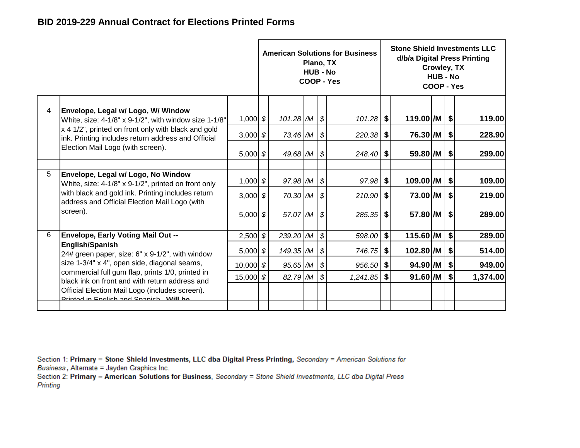|   |                                                                                                           |               |                          | Plano, TX<br><b>HUB - No</b> |            | <b>American Solutions for Business</b><br>COOP - Yes |                           |                       | Crowley, TX<br><b>HUB - No</b><br>COOP - Yes |                           | <b>Stone Shield Investments LLC</b><br>d/b/a Digital Press Printing |
|---|-----------------------------------------------------------------------------------------------------------|---------------|--------------------------|------------------------------|------------|------------------------------------------------------|---------------------------|-----------------------|----------------------------------------------|---------------------------|---------------------------------------------------------------------|
| 4 | Envelope, Legal w/ Logo, W/ Window<br>White, size: 4-1/8" x 9-1/2", with window size 1-1/8"               | 1,000 $$$     | $101.28$ $/M$ \$         |                              |            | $101.28$ \$                                          |                           | 119.00 /M             |                                              | $\sqrt{2}$                | 119.00                                                              |
|   | x 4 1/2", printed on front only with black and gold<br>ink. Printing includes return address and Official | 3,000 $$$     | $73.46$ /M $\frac{1}{9}$ |                              |            | 220.38                                               | \$                        | 76.30 /M              |                                              | $\boldsymbol{\mathsf{S}}$ | 228.90                                                              |
|   | Election Mail Logo (with screen).                                                                         | $5,000$ \$    | 49.68 $/M$ \$            |                              |            |                                                      |                           | 59.80 /M              |                                              | $\frac{1}{2}$             | 299.00                                                              |
| 5 | Envelope, Legal w/ Logo, No Window<br>White, size: 4-1/8" x 9-1/2", printed on front only                 | $1,000$ \$    | 97.98 /M                 |                              | $\sqrt{3}$ | $97.98$ \$                                           |                           | 109.00 /M             |                                              | $\boldsymbol{\mathsf{S}}$ | 109.00                                                              |
|   | with black and gold ink. Printing includes return<br>address and Official Election Mail Logo (with        | 3,000 $ $ \$  | $70.30$ $/M$ \$          |                              |            | $210.90$ \$                                          |                           | 73.00 /M              |                                              | $\boldsymbol{\mathsf{S}}$ | 219.00                                                              |
|   | screen).                                                                                                  | 5,000 $$$     | 57.07 /M   \$            |                              |            | $285.35$ \$                                          |                           | $57.80$ /M $\vert$ \$ |                                              |                           | 289.00                                                              |
| 6 | <b>Envelope, Early Voting Mail Out --</b>                                                                 | $2,500$ \$    | 239.20 /M                |                              | $\sqrt{s}$ | 598.00                                               | $\boldsymbol{\mathsf{s}}$ | $115.60$ /M           |                                              | \$                        | 289.00                                                              |
|   | <b>English/Spanish</b><br>24# green paper, size: 6" x 9-1/2", with window                                 | $5,000$ \$    | 149.35 /M                |                              | $\sqrt{3}$ | 746.75                                               | \$                        | $102.80$ /M           |                                              | $\boldsymbol{\mathsf{S}}$ | 514.00                                                              |
|   | size 1-3/4" x 4", open side, diagonal seams,                                                              | $10,000$ \$   | 95.65 /M                 |                              | $\sqrt{3}$ | $956.50$ \$                                          |                           | 94.90 /M              |                                              | \$                        | 949.00                                                              |
|   | commercial full gum flap, prints 1/0, printed in<br>black ink on front and with return address and        | 15,000 $ $ \$ | 82.79 /M                 |                              | \$         | 1,241.85                                             | \$                        | $91.60$ /M            |                                              | \$                        | 1,374.00                                                            |
|   | Official Election Mail Logo (includes screen).<br>Drinted in English and Connich Will be                  |               |                          |                              |            |                                                      |                           |                       |                                              |                           |                                                                     |
|   |                                                                                                           |               |                          |                              |            |                                                      |                           |                       |                                              |                           |                                                                     |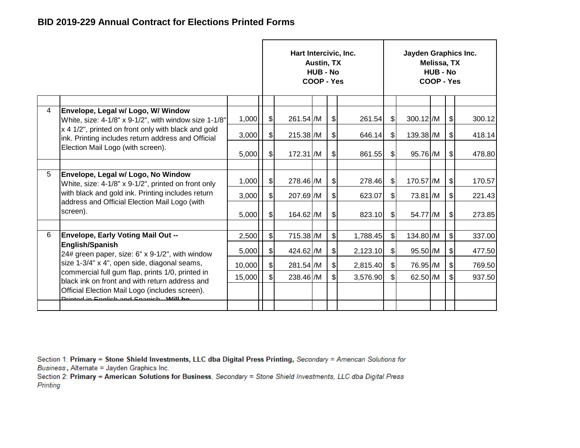|                |                                                                                                           |        |                              | Hart Intercivic, Inc. | Austin, TX<br><b>HUB - No</b><br>COOP - Yes |               |          |                           | Jayden Graphics Inc. | Melissa, TX<br><b>HUB - No</b><br>COOP - Yes |                              |        |
|----------------|-----------------------------------------------------------------------------------------------------------|--------|------------------------------|-----------------------|---------------------------------------------|---------------|----------|---------------------------|----------------------|----------------------------------------------|------------------------------|--------|
| $\overline{4}$ | Envelope, Legal w/ Logo, W/ Window                                                                        |        |                              |                       |                                             |               |          |                           |                      |                                              |                              |        |
|                | White, size: 4-1/8" x 9-1/2", with window size 1-1/8"                                                     | 1,000  | $\left  \mathcal{L} \right $ | 261.54 /M             |                                             | $\frac{1}{2}$ | 261.54   | $\frac{1}{2}$             | 300.12 /M            |                                              | \$                           | 300.12 |
|                | x 4 1/2", printed on front only with black and gold<br>ink. Printing includes return address and Official | 3,000  | $\frac{1}{2}$                | $215.38$ /M           |                                             | $\frac{1}{2}$ | 646.14   | $\frac{1}{2}$             | 139.38 /M            |                                              | \$                           | 418.14 |
|                | Election Mail Logo (with screen).                                                                         | 5,000  | $\left  \mathcal{L} \right $ | 172.31 /M             |                                             | $\mathcal{L}$ | 861.55   | $\frac{1}{2}$             | 95.76 /M             |                                              | $\left  \frac{1}{2} \right $ | 478.80 |
|                |                                                                                                           |        |                              |                       |                                             |               |          |                           |                      |                                              |                              |        |
| 5              | Envelope, Legal w/ Logo, No Window<br>White, size: 4-1/8" x 9-1/2", printed on front only                 | 1,000  | $\frac{1}{2}$                | 278.46 /M             |                                             | $\frac{1}{2}$ | 278.46   | $\frac{1}{2}$             | 170.57 /M            |                                              | $\frac{1}{2}$                | 170.57 |
|                | with black and gold ink. Printing includes return                                                         | 3,000  | $\boldsymbol{s}$             | 207.69 /M             |                                             | $\mathcal{S}$ | 623.07   | $\boldsymbol{\mathsf{S}}$ | 73.81 /M             |                                              | $\frac{1}{2}$                | 221.43 |
|                | address and Official Election Mail Logo (with<br>screen).                                                 | 5,000  | $\frac{1}{2}$                | 164.62 /M             |                                             | $\mathcal{L}$ | 823.10   | \$                        | 54.77 /M             |                                              | $\frac{1}{2}$                | 273.85 |
| 6              | Envelope, Early Voting Mail Out --                                                                        |        |                              |                       |                                             | $\mathcal{S}$ |          |                           |                      |                                              |                              |        |
|                | <b>English/Spanish</b>                                                                                    | 2,500  | $\frac{1}{2}$                | 715.38 /M             |                                             |               | 1,788.45 | $\frac{1}{2}$             | 134.80 /M            |                                              | \$                           | 337.00 |
|                | 24# green paper, size: 6" x 9-1/2", with window                                                           | 5,000  | $\frac{1}{2}$                | 424.62 /M             |                                             | $\frac{1}{2}$ | 2,123.10 | $\frac{1}{2}$             | 95.50 /M             |                                              | $\left  \frac{1}{2} \right $ | 477.50 |
|                | size 1-3/4" x 4", open side, diagonal seams,                                                              | 10,000 | $\left  \mathcal{L} \right $ | 281.54 /M             |                                             | $\frac{1}{2}$ | 2,815.40 | $\frac{1}{2}$             | 76.95 /M             |                                              | $\left  \frac{1}{2} \right $ | 769.50 |
|                | commercial full gum flap, prints 1/0, printed in<br>black ink on front and with return address and        | 15,000 | $\mathsf{s}$                 | 238.46 /M             |                                             | $\frac{1}{2}$ | 3,576.90 | $\frac{1}{2}$             | 62.50 /M             |                                              | $\frac{1}{2}$                | 937.50 |
|                | Official Election Mail Logo (includes screen).<br>Drinted in English and Connich Will be                  |        |                              |                       |                                             |               |          |                           |                      |                                              |                              |        |
|                |                                                                                                           |        |                              |                       |                                             |               |          |                           |                      |                                              |                              |        |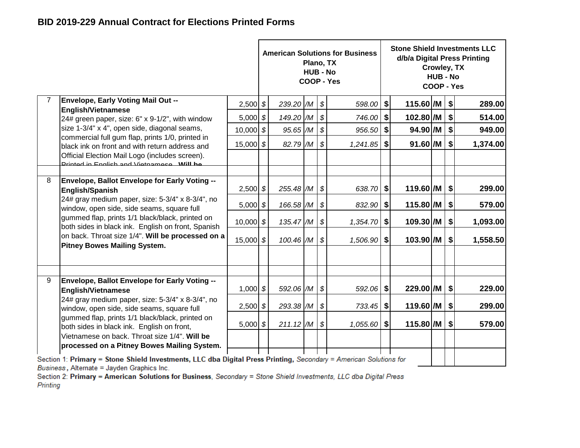|   |                                                                                                                   |             |                           | Plano, TX<br><b>HUB - No</b> |                            | <b>American Solutions for Business</b><br>COOP - Yes |         |                           | Crowley, TX<br><b>HUB - No</b><br>COOP - Yes |    | <b>Stone Shield Investments LLC</b><br>d/b/a Digital Press Printing |
|---|-------------------------------------------------------------------------------------------------------------------|-------------|---------------------------|------------------------------|----------------------------|------------------------------------------------------|---------|---------------------------|----------------------------------------------|----|---------------------------------------------------------------------|
| 7 | <b>Envelope, Early Voting Mail Out --</b><br><b>English/Vietnamese</b>                                            | $2,500$ \$  | $239.20$ $/M$ $\sqrt{3}$  |                              |                            | 598.00                                               | $\vert$ | $115.60$ /M $\vert$ \$    |                                              |    | 289.00                                                              |
|   | 24# green paper, size: 6" x 9-1/2", with window                                                                   | 5,000 $$$   | 149.20 /M                 |                              | $\sqrt{s}$                 | 746.00 \$                                            |         | $102.80$ /M $\mid$ \$     |                                              |    | 514.00                                                              |
|   | size 1-3/4" x 4", open side, diagonal seams,                                                                      | $10,000$ \$ | 95.65 /M                  |                              | $\mathcal{S}$              | 956.50                                               | \$      | $94.90$ /M                |                                              | \$ | 949.00                                                              |
|   | commercial full gum flap, prints 1/0, printed in<br>black ink on front and with return address and                | 15,000 \$   | 82.79 /M                  |                              | $\mathcal{S}$              | $1,241.85$ \$                                        |         | $91.60$ /M $\vert$ \$     |                                              |    | 1,374.00                                                            |
|   | Official Election Mail Logo (includes screen).<br>Drinted in English and Victormese Will be                       |             |                           |                              |                            |                                                      |         |                           |                                              |    |                                                                     |
|   |                                                                                                                   |             |                           |                              |                            |                                                      |         |                           |                                              |    |                                                                     |
| 8 | Envelope, Ballot Envelope for Early Voting --<br>English/Spanish                                                  | $2,500$ \$  | 255.48 /M                 |                              | $\mathcal{S}$              | $638.70$ \$                                          |         | 119.60 /M   \$            |                                              |    | 299.00                                                              |
|   | 24# gray medium paper, size: 5-3/4" x 8-3/4", no<br>window, open side, side seams, square full                    | $5,000$ \$  | 166.58 /M                 |                              | $\boldsymbol{\mathcal{S}}$ | 832.90                                               | \$      | $115.80$ /M $\mid$ \$     |                                              |    | 579.00                                                              |
|   | gummed flap, prints 1/1 black/black, printed on<br>both sides in black ink. English on front, Spanish             | $10,000$ \$ | 135.47 /M                 |                              | $\mathcal{S}$              | $1,354.70$ \$                                        |         | $109.30$ /M $\vert$ \$    |                                              |    | 1,093.00                                                            |
|   | on back. Throat size 1/4". Will be processed on a<br><b>Pitney Bowes Mailing System.</b>                          | $15,000$ \$ | 100.46 /M                 |                              | $\mathfrak{s}$             | 1,506.90                                             | \$      | $103.90$ /M               |                                              | s  | 1,558.50                                                            |
|   |                                                                                                                   |             |                           |                              |                            |                                                      |         |                           |                                              |    |                                                                     |
| 9 | Envelope, Ballot Envelope for Early Voting --                                                                     |             |                           |                              |                            |                                                      |         |                           |                                              |    |                                                                     |
|   | <b>English/Vietnamese</b>                                                                                         | $1,000$ \$  | 592.06 /M                 |                              | $\sqrt{s}$                 | 592.06 \$                                            |         | $229.00$ /M $\vert$ \$    |                                              |    | 229.00                                                              |
|   | 24# gray medium paper, size: 5-3/4" x 8-3/4", no<br>window, open side, side seams, square full                    | $2,500$ \$  | 293.38 /M                 |                              | $\boldsymbol{\mathcal{S}}$ | 733.45 \$                                            |         | $119.60$ /M $\vert$ \$    |                                              |    | 299.00                                                              |
|   | gummed flap, prints 1/1 black/black, printed on<br>both sides in black ink. English on front,                     | 5,000 $$$   | $211.12$ /M $\frac{1}{9}$ |                              |                            | $1,055.60$ \$                                        |         | $115.80$ /M $\frac{1}{9}$ |                                              |    | 579.00                                                              |
|   | Vietnamese on back. Throat size 1/4". Will be<br>processed on a Pitney Bowes Mailing System.                      |             |                           |                              |                            |                                                      |         |                           |                                              |    |                                                                     |
|   | Section 1: Primary = Stone Shield Investments, LLC dba Digital Press Printing, Secondary = American Solutions for |             |                           |                              |                            |                                                      |         |                           |                                              |    |                                                                     |

Business, Alternate = Jayden Graphics Inc.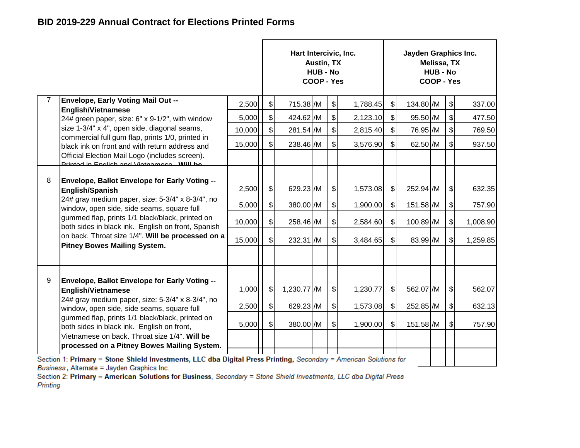|   |                                                                                                                                                                                                                                                                                                     |        | Hart Intercivic, Inc. | <b>Austin, TX</b><br><b>HUB - No</b><br>COOP - Yes |               |          |                           | Jayden Graphics Inc. | <b>Melissa, TX</b><br><b>HUB - No</b><br>COOP - Yes |                              |          |
|---|-----------------------------------------------------------------------------------------------------------------------------------------------------------------------------------------------------------------------------------------------------------------------------------------------------|--------|-----------------------|----------------------------------------------------|---------------|----------|---------------------------|----------------------|-----------------------------------------------------|------------------------------|----------|
|   | <b>Envelope, Early Voting Mail Out --</b>                                                                                                                                                                                                                                                           | 2,500  | \$<br>715.38 /M       |                                                    | $\frac{1}{2}$ | 1,788.45 | $\frac{1}{2}$             | 134.80 /M            |                                                     | $\left  \mathcal{L} \right $ | 337.00   |
|   | <b>English/Vietnamese</b><br>24# green paper, size: 6" x 9-1/2", with window                                                                                                                                                                                                                        | 5,000  | \$<br>424.62 /M       |                                                    | $\frac{1}{2}$ | 2,123.10 | \$                        | 95.50 /M             |                                                     | $\boldsymbol{\mathsf{S}}$    | 477.50   |
|   | size 1-3/4" x 4", open side, diagonal seams,                                                                                                                                                                                                                                                        | 10,000 | \$<br>281.54 /M       |                                                    | $\frac{1}{2}$ | 2,815.40 | $\frac{1}{2}$             | 76.95 /M             |                                                     | $\left  \mathcal{L} \right $ | 769.50   |
|   | commercial full gum flap, prints 1/0, printed in<br>black ink on front and with return address and                                                                                                                                                                                                  | 15,000 | \$<br>238.46 /M       |                                                    | $\frac{1}{2}$ | 3,576.90 | $\mathfrak{S}$            | 62.50 /M             |                                                     | \$                           | 937.50   |
|   | Official Election Mail Logo (includes screen).<br>Drinted in English and Victormese Will be                                                                                                                                                                                                         |        |                       |                                                    |               |          |                           |                      |                                                     |                              |          |
|   |                                                                                                                                                                                                                                                                                                     |        |                       |                                                    |               |          |                           |                      |                                                     |                              |          |
| 8 | Envelope, Ballot Envelope for Early Voting --<br><b>English/Spanish</b>                                                                                                                                                                                                                             | 2,500  | \$<br>629.23 /M       |                                                    | $\frac{1}{2}$ | 1,573.08 | \$                        | 252.94 /M            |                                                     | $\sqrt[6]{\frac{1}{2}}$      | 632.35   |
|   | 24# gray medium paper, size: 5-3/4" x 8-3/4", no<br>window, open side, side seams, square full<br>gummed flap, prints 1/1 black/black, printed on<br>both sides in black ink. English on front, Spanish<br>on back. Throat size 1/4". Will be processed on a<br><b>Pitney Bowes Mailing System.</b> | 5,000  | \$<br>380.00 /M       |                                                    | $\frac{1}{2}$ | 1,900.00 | \$                        | 151.58 /M            |                                                     | \$                           | 757.90   |
|   |                                                                                                                                                                                                                                                                                                     | 10,000 | \$<br>258.46 /M       |                                                    | $\frac{1}{2}$ | 2,584.60 | $\mathfrak{S}$            | 100.89 /M            |                                                     | $\boldsymbol{\mathsf{S}}$    | 1,008.90 |
|   |                                                                                                                                                                                                                                                                                                     | 15,000 | \$<br>232.31 /M       |                                                    | $\frac{1}{2}$ | 3,484.65 | $\boldsymbol{\mathsf{S}}$ | 83.99 /M             |                                                     | \$                           | 1,259.85 |
|   |                                                                                                                                                                                                                                                                                                     |        |                       |                                                    |               |          |                           |                      |                                                     |                              |          |
| 9 | Envelope, Ballot Envelope for Early Voting --                                                                                                                                                                                                                                                       | 1,000  | \$<br>1,230.77 /M     |                                                    | $\frac{1}{2}$ | 1,230.77 | \$                        | 562.07 /M            |                                                     | \$                           | 562.07   |
|   | <b>English/Vietnamese</b><br>24# gray medium paper, size: 5-3/4" x 8-3/4", no                                                                                                                                                                                                                       |        |                       |                                                    |               |          |                           |                      |                                                     |                              |          |
|   | window, open side, side seams, square full                                                                                                                                                                                                                                                          | 2,500  | \$<br>629.23 /M       |                                                    | \$            | 1,573.08 | $\mathfrak{S}$            | 252.85 /M            |                                                     | $\boldsymbol{\mathsf{S}}$    | 632.13   |
|   | gummed flap, prints 1/1 black/black, printed on<br>both sides in black ink. English on front,                                                                                                                                                                                                       | 5,000  | \$<br>380.00 /M       |                                                    | \$            | 1,900.00 | \$                        | 151.58 /M            |                                                     | \$                           | 757.90   |
|   | Vietnamese on back. Throat size 1/4". Will be<br>processed on a Pitney Bowes Mailing System.                                                                                                                                                                                                        |        |                       |                                                    |               |          |                           |                      |                                                     |                              |          |
|   | Section 1: Primary = Stone Shield Investments, LLC dba Digital Press Printing, Secondary = American Solutions for                                                                                                                                                                                   |        |                       |                                                    |               |          |                           |                      |                                                     |                              |          |

Business, Alternate = Jayden Graphics Inc.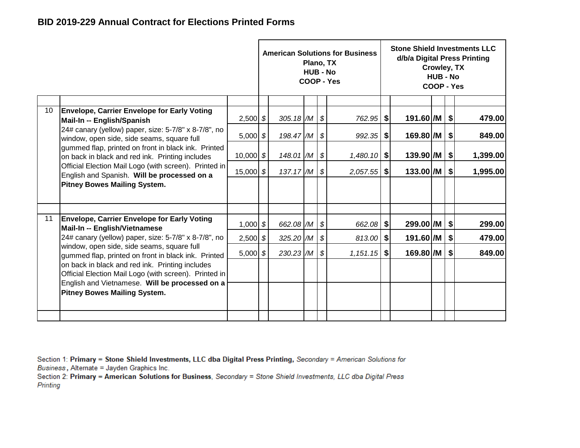|                 |                                                                                                          |             |                           | Plano, TX<br><b>HUB - No</b> |            | <b>American Solutions for Business</b><br><b>COOP - Yes</b> |    |                        | Crowley, TX<br><b>HUB - No</b><br>COOP - Yes |                           | <b>Stone Shield Investments LLC</b><br>d/b/a Digital Press Printing |
|-----------------|----------------------------------------------------------------------------------------------------------|-------------|---------------------------|------------------------------|------------|-------------------------------------------------------------|----|------------------------|----------------------------------------------|---------------------------|---------------------------------------------------------------------|
|                 |                                                                                                          |             |                           |                              |            |                                                             |    |                        |                                              |                           |                                                                     |
| 10 <sup>°</sup> | <b>Envelope, Carrier Envelope for Early Voting</b>                                                       |             |                           |                              |            |                                                             |    |                        |                                              |                           | 479.00                                                              |
|                 | Mail-In -- English/Spanish                                                                               | $2,500$ \$  | 305.18 $/M$ \$            |                              |            | 762.95   \$                                                 |    | 191.60 /M   \$         |                                              |                           |                                                                     |
|                 | 24# canary (yellow) paper, size: 5-7/8" x 8-7/8", no                                                     | $5,000$ \$  | $198.47/M$ \$             |                              |            | $992.35$ \$                                                 |    | $169.80$ /M $\vert$ \$ |                                              |                           | 849.00                                                              |
|                 | window, open side, side seams, square full                                                               |             |                           |                              |            |                                                             |    |                        |                                              |                           |                                                                     |
|                 | gummed flap, printed on front in black ink. Printed<br>on back in black and red ink. Printing includes   | $10,000$ \$ | $148.01$ /M $\frac{1}{9}$ |                              |            | $1,480.10$ \$                                               |    | 139.90 /M              |                                              | \$                        | 1,399.00                                                            |
|                 | Official Election Mail Logo (with screen). Printed in                                                    |             |                           |                              |            |                                                             |    |                        |                                              |                           |                                                                     |
|                 | English and Spanish. Will be processed on a                                                              | 15,000 \$   | $137.17$ /M               |                              | \$         | $2,057.55$ \$                                               |    | $133.00$ /M   \$       |                                              |                           | 1,995.00                                                            |
|                 | <b>Pitney Bowes Mailing System.</b>                                                                      |             |                           |                              |            |                                                             |    |                        |                                              |                           |                                                                     |
|                 |                                                                                                          |             |                           |                              |            |                                                             |    |                        |                                              |                           |                                                                     |
| 11              | <b>Envelope, Carrier Envelope for Early Voting</b><br>Mail-In -- English/Vietnamese                      | $1,000$ \$  | 662.08 /M                 |                              | $\sqrt{s}$ | $662.08$ \$                                                 |    | $299.00$ /M   \$       |                                              |                           | 299.00                                                              |
|                 | 24# canary (yellow) paper, size: 5-7/8" x 8-7/8", no                                                     | $2,500$ \$  | $325.20$ /M               |                              | \$         | 813.00                                                      | \$ | 191.60 /M              |                                              | $\boldsymbol{\mathsf{S}}$ | 479.00                                                              |
|                 | window, open side, side seams, square full<br>gummed flap, printed on front in black ink. Printed        | $5,000$ \$  | 230.23 /M                 |                              | \$         | $1,151.15$ \$                                               |    | 169.80 /M              |                                              | ୍\$                       | 849.00                                                              |
|                 | on back in black and red ink. Printing includes<br>Official Election Mail Logo (with screen). Printed in |             |                           |                              |            |                                                             |    |                        |                                              |                           |                                                                     |
|                 | English and Vietnamese. Will be processed on a                                                           |             |                           |                              |            |                                                             |    |                        |                                              |                           |                                                                     |
|                 | <b>Pitney Bowes Mailing System.</b>                                                                      |             |                           |                              |            |                                                             |    |                        |                                              |                           |                                                                     |
|                 |                                                                                                          |             |                           |                              |            |                                                             |    |                        |                                              |                           |                                                                     |
|                 |                                                                                                          |             |                           |                              |            |                                                             |    |                        |                                              |                           |                                                                     |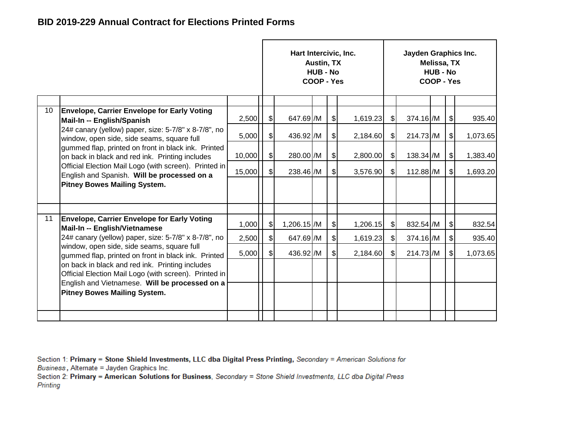|    |                                                                                                          |        |               | Hart Intercivic, Inc. | Austin, TX<br><b>HUB - No</b><br>COOP - Yes |               |          |               | Jayden Graphics Inc. | Melissa, TX<br><b>HUB - No</b><br>COOP - Yes |                              |          |
|----|----------------------------------------------------------------------------------------------------------|--------|---------------|-----------------------|---------------------------------------------|---------------|----------|---------------|----------------------|----------------------------------------------|------------------------------|----------|
|    |                                                                                                          |        |               |                       |                                             |               |          |               |                      |                                              |                              |          |
| 10 | <b>Envelope, Carrier Envelope for Early Voting</b><br>Mail-In -- English/Spanish                         | 2,500  | $\sqrt{2}$    | 647.69 /M             |                                             | $\frac{1}{2}$ | 1,619.23 | $\frac{1}{2}$ | 374.16 /M            |                                              | $\frac{1}{2}$                | 935.40   |
|    | 24# canary (yellow) paper, size: 5-7/8" x 8-7/8", no<br>window, open side, side seams, square full       | 5,000  | $\frac{1}{2}$ | 436.92 /M             |                                             | $\frac{1}{2}$ | 2,184.60 | $\frac{1}{2}$ | 214.73 /M            |                                              | $\frac{1}{2}$                | 1,073.65 |
|    | gummed flap, printed on front in black ink. Printed<br>on back in black and red ink. Printing includes   | 10,000 | $\frac{1}{2}$ | 280.00 /M             |                                             | $\frac{1}{2}$ | 2,800.00 | $\frac{1}{2}$ | 138.34 /M            |                                              | $\left  \frac{1}{2} \right $ | 1,383.40 |
|    | Official Election Mail Logo (with screen). Printed in<br>English and Spanish. Will be processed on a     | 15,000 | $\frac{1}{2}$ | 238.46 /M             |                                             | $\frac{1}{2}$ | 3,576.90 | $\frac{1}{2}$ | 112.88 /M            |                                              | $\frac{1}{2}$                | 1,693.20 |
|    | <b>Pitney Bowes Mailing System.</b>                                                                      |        |               |                       |                                             |               |          |               |                      |                                              |                              |          |
|    |                                                                                                          |        |               |                       |                                             |               |          |               |                      |                                              |                              |          |
| 11 | <b>Envelope, Carrier Envelope for Early Voting</b><br>Mail-In -- English/Vietnamese                      | 1,000  | $\frac{1}{2}$ | 1,206.15 /M           |                                             | $\frac{1}{2}$ | 1,206.15 | $\frac{1}{2}$ | 832.54 /M            |                                              | $\frac{1}{2}$                | 832.54   |
|    | 24# canary (yellow) paper, size: 5-7/8" x 8-7/8", no                                                     | 2,500  | $\mathcal{S}$ | 647.69 /M             |                                             | $\frac{1}{2}$ | 1,619.23 | $\frac{1}{2}$ | 374.16 /M            |                                              | $\frac{1}{2}$                | 935.40   |
|    | window, open side, side seams, square full<br>gummed flap, printed on front in black ink. Printed        | 5,000  | $\mathbb{S}$  | 436.92 /M             |                                             | $\mathcal{S}$ | 2,184.60 | $\frac{1}{2}$ | 214.73 /M            |                                              | $\frac{1}{2}$                | 1,073.65 |
|    | on back in black and red ink. Printing includes<br>Official Election Mail Logo (with screen). Printed in |        |               |                       |                                             |               |          |               |                      |                                              |                              |          |
|    | English and Vietnamese. Will be processed on a<br><b>Pitney Bowes Mailing System.</b>                    |        |               |                       |                                             |               |          |               |                      |                                              |                              |          |
|    |                                                                                                          |        |               |                       |                                             |               |          |               |                      |                                              |                              |          |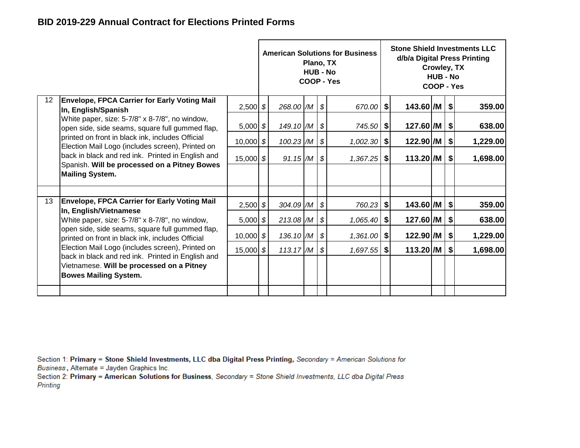|                 |                                                                                                                                                                                    |               |             | Plano, TX<br><b>HUB - No</b> | <b>American Solutions for Business</b><br>COOP - Yes |                        | Crowley, TX<br><b>HUB - No</b><br>COOP - Yes |                           | <b>Stone Shield Investments LLC</b><br>d/b/a Digital Press Printing |
|-----------------|------------------------------------------------------------------------------------------------------------------------------------------------------------------------------------|---------------|-------------|------------------------------|------------------------------------------------------|------------------------|----------------------------------------------|---------------------------|---------------------------------------------------------------------|
| 12 <sup>°</sup> | <b>Envelope, FPCA Carrier for Early Voting Mail</b><br>In, English/Spanish                                                                                                         | $2,500$ \$    | 268.00 /M   |                              | \$<br>670.00 \$                                      | $143.60$ /M $\vert$ \$ |                                              |                           | 359.00                                                              |
|                 | White paper, size: 5-7/8" x 8-7/8", no window,<br>open side, side seams, square full gummed flap,                                                                                  | $5,000$ \$    | 149.10 /M   |                              | \$<br>745.50 \$                                      | 127.60 /M              |                                              | \$                        | 638.00                                                              |
|                 | printed on front in black ink, includes Official<br>Election Mail Logo (includes screen), Printed on                                                                               | $10,000$ \$   | $100.23$ /M |                              | \$<br>$1,002.30$ \$                                  | 122.90 /M              |                                              | $\vert$                   | 1,229.00                                                            |
|                 | back in black and red ink. Printed in English and<br>Spanish. Will be processed on a Pitney Bowes                                                                                  | $15,000$ \$   | $91.15$ /M  |                              | \$<br>$1,367.25$ \$                                  | $113.20$ /M            |                                              | $\vert$                   | 1,698.00                                                            |
|                 | <b>Mailing System.</b>                                                                                                                                                             |               |             |                              |                                                      |                        |                                              |                           |                                                                     |
|                 |                                                                                                                                                                                    |               |             |                              |                                                      |                        |                                              |                           |                                                                     |
| 13              | <b>Envelope, FPCA Carrier for Early Voting Mail</b><br>In, English/Vietnamese                                                                                                      | $2,500$ \$    | 304.09 /M   |                              | \$<br>760.23 \$                                      | 143.60 /M              |                                              | \$                        | 359.00                                                              |
|                 | White paper, size: 5-7/8" x 8-7/8", no window,                                                                                                                                     | $5,000$ \$    | 213.08 /M   |                              | \$<br>$1,065.40$ \$                                  | 127.60 /M              |                                              | $\boldsymbol{\mathsf{s}}$ | 638.00                                                              |
|                 | open side, side seams, square full gummed flap,<br>printed on front in black ink, includes Official                                                                                | $10,000$ \$   | 136.10 /M   |                              | \$<br>$1,361.00$ \$                                  | 122.90 /M              |                                              | \$                        | 1,229.00                                                            |
|                 | Election Mail Logo (includes screen), Printed on<br>back in black and red ink. Printed in English and<br>Vietnamese. Will be processed on a Pitney<br><b>Bowes Mailing System.</b> | 15,000 $ $ \$ | 113.17/M    |                              | \$<br>$1,697.55$ \$                                  | 113.20 /M              |                                              | \$                        | 1,698.00                                                            |
|                 |                                                                                                                                                                                    |               |             |                              |                                                      |                        |                                              |                           |                                                                     |
|                 |                                                                                                                                                                                    |               |             |                              |                                                      |                        |                                              |                           |                                                                     |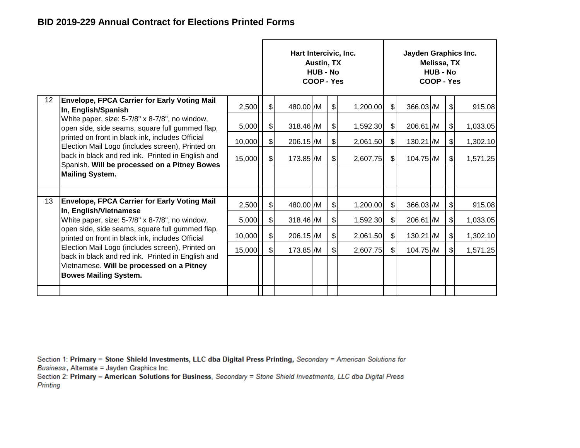|                 |                                                                                                                                |        |               | Hart Intercivic, Inc. | <b>Austin, TX</b><br><b>HUB - No</b><br>COOP - Yes |               |          |               | Jayden Graphics Inc. | Melissa, TX<br><b>HUB - No</b><br>COOP - Yes |               |          |
|-----------------|--------------------------------------------------------------------------------------------------------------------------------|--------|---------------|-----------------------|----------------------------------------------------|---------------|----------|---------------|----------------------|----------------------------------------------|---------------|----------|
| 12 <sup>°</sup> | <b>Envelope, FPCA Carrier for Early Voting Mail</b><br>In, English/Spanish                                                     | 2,500  | $\frac{1}{2}$ | 480.00 /M             |                                                    | $\frac{1}{2}$ | 1,200.00 | \$            | 366.03 /M            |                                              | \$            | 915.08   |
|                 | White paper, size: 5-7/8" x 8-7/8", no window,<br>open side, side seams, square full gummed flap,                              | 5,000  | $\frac{1}{2}$ | 318.46 /M             |                                                    | $\frac{1}{2}$ | 1,592.30 | $\frac{1}{2}$ | 206.61 /M            |                                              | \$            | 1,033.05 |
|                 | printed on front in black ink, includes Official<br>Election Mail Logo (includes screen), Printed on                           | 10,000 | $\frac{1}{2}$ | 206.15 /M             |                                                    | $\frac{1}{2}$ | 2,061.50 | $\frac{1}{2}$ | $130.21$ /M          |                                              | \$            | 1,302.10 |
|                 | back in black and red ink. Printed in English and<br>Spanish. Will be processed on a Pitney Bowes                              | 15,000 | $\frac{1}{2}$ | 173.85 /M             |                                                    | $\frac{1}{2}$ | 2,607.75 | \$            | 104.75 /M            |                                              | $\frac{1}{2}$ | 1,571.25 |
|                 | <b>Mailing System.</b>                                                                                                         |        |               |                       |                                                    |               |          |               |                      |                                              |               |          |
|                 |                                                                                                                                |        |               |                       |                                                    |               |          |               |                      |                                              |               |          |
| 13              | <b>Envelope, FPCA Carrier for Early Voting Mail</b><br>In, English/Vietnamese                                                  | 2,500  | $\frac{1}{2}$ | 480.00 /M             |                                                    | $\frac{1}{2}$ | 1,200.00 | $\frac{1}{2}$ | 366.03 /M            |                                              | \$            | 915.08   |
|                 | White paper, size: 5-7/8" x 8-7/8", no window,                                                                                 | 5,000  | $\frac{1}{2}$ | 318.46 /M             |                                                    | $\frac{1}{2}$ | 1,592.30 | \$            | 206.61 /M            |                                              | \$            | 1,033.05 |
|                 | open side, side seams, square full gummed flap,<br>printed on front in black ink, includes Official                            | 10,000 | $\frac{1}{2}$ | 206.15 /M             |                                                    | $\frac{1}{2}$ | 2,061.50 | $\mathcal{S}$ | $130.21$ /M          |                                              | $\frac{1}{2}$ | 1,302.10 |
|                 | Election Mail Logo (includes screen), Printed on                                                                               | 15,000 | $\frac{1}{2}$ | 173.85 /M             |                                                    | $\mathbb{S}$  | 2,607.75 | $\mathcal{S}$ | 104.75 /M            |                                              | \$            | 1,571.25 |
|                 | back in black and red ink. Printed in English and<br>Vietnamese. Will be processed on a Pitney<br><b>Bowes Mailing System.</b> |        |               |                       |                                                    |               |          |               |                      |                                              |               |          |
|                 |                                                                                                                                |        |               |                       |                                                    |               |          |               |                      |                                              |               |          |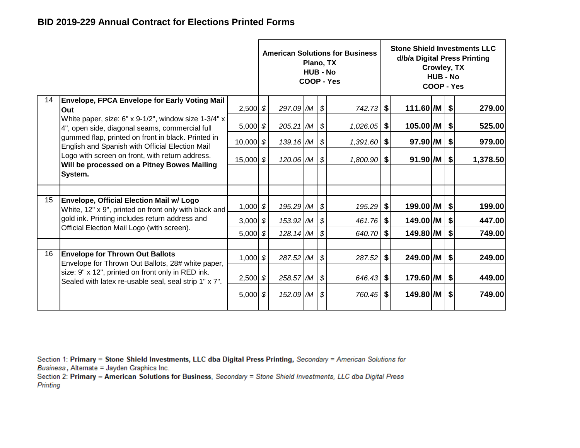|    |                                                                                                                                                                 |               |             | Plano, TX<br><b>HUB - No</b> | <b>American Solutions for Business</b><br>COOP - Yes |                       | Crowley, TX<br><b>HUB - No</b><br>COOP - Yes |                              | <b>Stone Shield Investments LLC</b><br>d/b/a Digital Press Printing |
|----|-----------------------------------------------------------------------------------------------------------------------------------------------------------------|---------------|-------------|------------------------------|------------------------------------------------------|-----------------------|----------------------------------------------|------------------------------|---------------------------------------------------------------------|
| 14 | Envelope, FPCA Envelope for Early Voting Mail<br>Out                                                                                                            | $2,500$ \$    | 297.09 /M   |                              | \$<br>$742.73$ \$                                    | 111.60 /M   \$        |                                              |                              | 279.00                                                              |
|    | White paper, size: 6" x 9-1/2", window size 1-3/4" x<br>4", open side, diagonal seams, commercial full                                                          | 5,000 $$$     | 205.21 /M   |                              | \$<br>$1,026.05$ \$                                  | $105.00$ /M           |                                              | \$                           | 525.00                                                              |
|    | gummed flap, printed on front in black. Printed in<br>English and Spanish with Official Election Mail                                                           | $10,000$ \$   | 139.16 /M   |                              | \$<br>$1,391.60$ \$                                  | 97.90 /M              |                                              | \$                           | 979.00                                                              |
|    | Logo with screen on front, with return address.<br>Will be processed on a Pitney Bowes Mailing                                                                  | 15,000 $ $ \$ | 120.06 /M   |                              | \$<br>$1,800.90$ \$                                  | $91.90$ /M $\vert$ \$ |                                              |                              | 1,378.50                                                            |
|    | System.                                                                                                                                                         |               |             |                              |                                                      |                       |                                              |                              |                                                                     |
|    |                                                                                                                                                                 |               |             |                              |                                                      |                       |                                              |                              |                                                                     |
| 15 | <b>Envelope, Official Election Mail w/ Logo</b><br>White, 12" x 9", printed on front only with black and                                                        | $1,000$ \$    | 195.29 /M   |                              | \$<br>$195.29$ \$                                    | 199.00 /M             |                                              | \$                           | 199.00                                                              |
|    | gold ink. Printing includes return address and                                                                                                                  | 3,000 $$$     | 153.92 /M   |                              | \$<br>$461.76$ \$                                    | 149.00 /M             |                                              | $\left  \frac{1}{2} \right $ | 447.00                                                              |
|    | Official Election Mail Logo (with screen).                                                                                                                      | $5,000$ \$    | $128.14$ /M |                              | \$<br>640.70 \$                                      | 149.80 /M             |                                              | \$                           | 749.00                                                              |
|    |                                                                                                                                                                 |               |             |                              |                                                      |                       |                                              |                              |                                                                     |
| 16 | <b>Envelope for Thrown Out Ballots</b>                                                                                                                          | $1,000$ \$    | 287.52 /M   |                              | \$<br>$287.52$ \$                                    | 249.00 /M             |                                              | \$                           | 249.00                                                              |
|    | Envelope for Thrown Out Ballots, 28# white paper,<br>size: 9" x 12", printed on front only in RED ink.<br>Sealed with latex re-usable seal, seal strip 1" x 7". | $2,500$ \$    | 258.57 /M   |                              | \$<br>$646.43$ \$                                    | $179.60$ /M   \$      |                                              |                              | 449.00                                                              |
|    |                                                                                                                                                                 | 5,000 $$$     | 152.09 /M   |                              | \$<br>760.45 \$                                      | 149.80 /M             |                                              | \$                           | 749.00                                                              |
|    |                                                                                                                                                                 |               |             |                              |                                                      |                       |                                              |                              |                                                                     |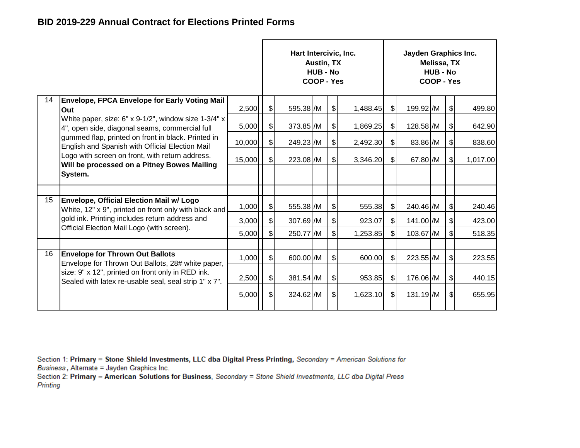|    |                                                                                                            |        |                              | Hart Intercivic, Inc. | <b>Austin, TX</b><br><b>HUB - No</b><br>COOP - Yes |               |          |               | Jayden Graphics Inc. | Melissa, TX<br><b>HUB - No</b><br>COOP - Yes |                           |          |
|----|------------------------------------------------------------------------------------------------------------|--------|------------------------------|-----------------------|----------------------------------------------------|---------------|----------|---------------|----------------------|----------------------------------------------|---------------------------|----------|
| 14 | <b>Envelope, FPCA Envelope for Early Voting Mail</b><br>Out                                                | 2,500  | $\frac{1}{2}$                | 595.38 /M             |                                                    | $\frac{1}{2}$ | 1,488.45 | $\frac{1}{2}$ | 199.92 /M            |                                              | $\frac{1}{2}$             | 499.80   |
|    | White paper, size: 6" x 9-1/2", window size 1-3/4" x<br>4", open side, diagonal seams, commercial full     | 5,000  | $\frac{1}{2}$                | 373.85 /M             |                                                    | $\frac{1}{2}$ | 1,869.25 | $\mathbb{S}$  | 128.58 /M            |                                              | $\frac{1}{2}$             | 642.90   |
|    | gummed flap, printed on front in black. Printed in<br>English and Spanish with Official Election Mail      | 10,000 | $\frac{1}{2}$                | 249.23 /M             |                                                    | $\frac{1}{2}$ | 2,492.30 | $\frac{1}{2}$ | 83.86 /M             |                                              | $\frac{1}{2}$             | 838.60   |
|    | Logo with screen on front, with return address.<br>Will be processed on a Pitney Bowes Mailing             | 15,000 | $\left  \mathcal{S} \right $ | 223.08 /M             |                                                    | $\frac{1}{2}$ | 3,346.20 | $\mathbb{S}$  | 67.80 /M             |                                              | $\sqrt{2}$                | 1,017.00 |
|    | System.                                                                                                    |        |                              |                       |                                                    |               |          |               |                      |                                              |                           |          |
| 15 | <b>Envelope, Official Election Mail w/ Logo</b>                                                            |        |                              |                       |                                                    |               |          |               |                      |                                              |                           |          |
|    | White, 12" x 9", printed on front only with black and                                                      | 1,000  | $\frac{1}{2}$                | 555.38 /M             |                                                    | $\frac{1}{2}$ | 555.38   | $\mathsf{S}$  | 240.46 /M            |                                              | $\frac{1}{2}$             | 240.46   |
|    | gold ink. Printing includes return address and                                                             | 3,000  | $\left  \frac{1}{2} \right $ | 307.69 /M             |                                                    | \$            | 923.07   | $\frac{1}{2}$ | 141.00 /M            |                                              | ୍\$                       | 423.00   |
|    | Official Election Mail Logo (with screen).                                                                 | 5,000  | $\frac{1}{2}$                | 250.77 /M             |                                                    | \$            | 1,253.85 | $\frac{1}{2}$ | 103.67 /M            |                                              | $\boldsymbol{\mathsf{S}}$ | 518.35   |
|    |                                                                                                            |        |                              |                       |                                                    |               |          |               |                      |                                              |                           |          |
| 16 | <b>Envelope for Thrown Out Ballots</b><br>Envelope for Thrown Out Ballots, 28# white paper,                | 1,000  | \$I                          | 600.00 /M             |                                                    | $\frac{1}{2}$ | 600.00   | $\mathbb{S}$  | 223.55 /M            |                                              | $\mathfrak{S}$            | 223.55   |
|    | size: 9" x 12", printed on front only in RED ink.<br>Sealed with latex re-usable seal, seal strip 1" x 7". | 2,500  | $\frac{1}{2}$                | 381.54 /M             |                                                    | $\frac{1}{2}$ | 953.85   | $\mathbb{S}$  | 176.06 /M            |                                              | $\frac{1}{2}$             | 440.15   |
|    |                                                                                                            | 5,000  | $\frac{1}{2}$                | 324.62 /M             |                                                    | $\frac{1}{2}$ | 1,623.10 | $\frac{1}{2}$ | 131.19 /M            |                                              | $\frac{1}{2}$             | 655.95   |
|    |                                                                                                            |        |                              |                       |                                                    |               |          |               |                      |                                              |                           |          |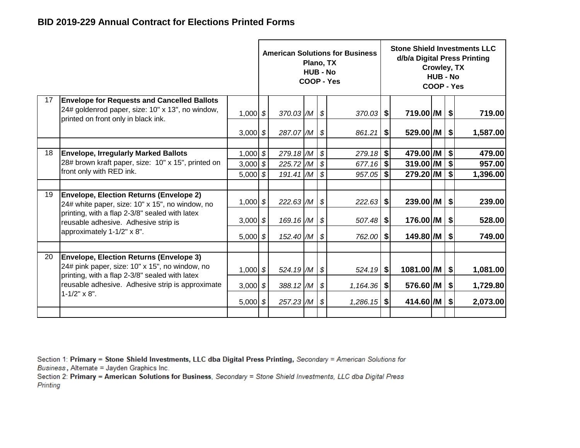|    |                                                                                                                                               |                                        |                                     | Plano, TX<br><b>HUB - No</b> |                                                                  | <b>American Solutions for Business</b><br><b>COOP - Yes</b> |          |                                     | Crowley, TX<br><b>HUB - No</b><br>COOP - Yes |                           | <b>Stone Shield Investments LLC</b><br>d/b/a Digital Press Printing |
|----|-----------------------------------------------------------------------------------------------------------------------------------------------|----------------------------------------|-------------------------------------|------------------------------|------------------------------------------------------------------|-------------------------------------------------------------|----------|-------------------------------------|----------------------------------------------|---------------------------|---------------------------------------------------------------------|
| 17 | <b>Envelope for Requests and Cancelled Ballots</b><br>24# goldenrod paper, size: 10" x 13", no window,<br>printed on front only in black ink. | $1,000$ \$                             | $370.03$ /M $\frac{1}{9}$           |                              |                                                                  | $370.03$ \$                                                 |          | 719.00 /M                           |                                              | $\sqrt{3}$                | 719.00                                                              |
|    |                                                                                                                                               | 3,000 $$$                              | 287.07 /M \$                        |                              |                                                                  | 861.21                                                      | \$       | 529.00 /M                           |                                              | $\boldsymbol{\mathsf{S}}$ | 1,587.00                                                            |
| 18 | <b>Envelope, Irregularly Marked Ballots</b><br>28# brown kraft paper, size: 10" x 15", printed on<br>front only with RED ink.                 | $1,000$ \$<br>$3,000$ \$<br>$5,000$ \$ | 279.18 /M<br>225.72 /M<br>191.41 /M |                              | $\boldsymbol{\mathcal{S}}$<br>  \$<br>$\boldsymbol{\mathcal{S}}$ | 279.18<br>677.16<br>$957.05$ \$                             | \$<br>\$ | 479.00 /M<br>319.00 /M<br>279.20 /M |                                              | \$<br>\$<br>\$            | 479.00<br>957.00<br>1,396.00                                        |
| 19 | <b>Envelope, Election Returns (Envelope 2)</b><br>24# white paper, size: 10" x 15", no window, no                                             | $1,000$ \$                             | $222.63$ /M $\frac{1}{9}$           |                              |                                                                  | $222.63$ \$                                                 |          | 239.00 /M   \$                      |                                              |                           | 239.00                                                              |
|    | printing, with a flap 2-3/8" sealed with latex<br>reusable adhesive. Adhesive strip is                                                        | 3,000 $$$                              | 169.16 $/M$ \$                      |                              |                                                                  |                                                             |          | 176.00 /M                           |                                              | \$                        | 528.00                                                              |
|    | approximately 1-1/2" x 8".                                                                                                                    | $5,000$ \$                             | 152.40 /M                           |                              | \$                                                               | 762.00                                                      | \$       | 149.80 /M                           |                                              | $\boldsymbol{\mathsf{S}}$ | 749.00                                                              |
| 20 | <b>Envelope, Election Returns (Envelope 3)</b><br>24# pink paper, size: 10" x 15", no window, no                                              | $1,000$ \$                             | 524.19 /M \$                        |                              |                                                                  | $524.19$ \$                                                 |          | 1081.00 /M                          |                                              | $\boldsymbol{\mathsf{S}}$ | 1,081.00                                                            |
|    | printing, with a flap 2-3/8" sealed with latex<br>reusable adhesive. Adhesive strip is approximate<br>$1 - 1/2" \times 8".$                   | 3,000 $$$                              | 388.12 /M                           |                              | \$                                                               | $1,164.36$ \$                                               |          | 576.60 /M                           |                                              | $\boldsymbol{\mathsf{s}}$ | 1,729.80                                                            |
|    |                                                                                                                                               | $5,000$ \$                             | $257.23$ /M $\frac{1}{9}$           |                              |                                                                  | $1,286.15$ \$                                               |          | $414.60$ /M $\vert$ \$              |                                              |                           | 2,073.00                                                            |
|    |                                                                                                                                               |                                        |                                     |                              |                                                                  |                                                             |          |                                     |                                              |                           |                                                                     |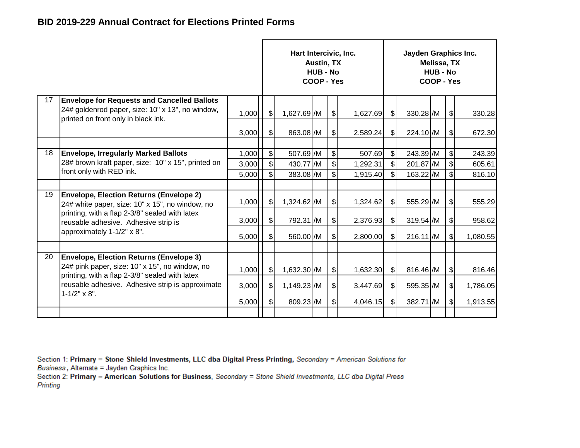|    |                                                                                                                                                    |                         |                                                                         | Hart Intercivic, Inc.               | Austin, TX<br><b>HUB - No</b><br>COOP - Yes |                                                                                     |                                |                                                 | Jayden Graphics Inc.                | Melissa, TX<br><b>HUB - No</b><br>COOP - Yes |                           |                            |
|----|----------------------------------------------------------------------------------------------------------------------------------------------------|-------------------------|-------------------------------------------------------------------------|-------------------------------------|---------------------------------------------|-------------------------------------------------------------------------------------|--------------------------------|-------------------------------------------------|-------------------------------------|----------------------------------------------|---------------------------|----------------------------|
| 17 | <b>Envelope for Requests and Cancelled Ballots</b><br>24# goldenrod paper, size: 10" x 13", no window,<br>printed on front only in black ink.      | 1,000                   | $\mathcal{L}$                                                           | 1,627.69 /M                         |                                             | $\frac{1}{2}$                                                                       | 1,627.69                       | $\frac{1}{2}$                                   | 330.28 /M                           |                                              | $\boldsymbol{\mathsf{S}}$ | 330.28                     |
|    |                                                                                                                                                    | 3,000                   | $\sqrt{2}$                                                              | 863.08 /M                           |                                             | $\frac{1}{2}$                                                                       | 2,589.24                       | $\frac{1}{2}$                                   | 224.10 /M                           |                                              | \$                        | 672.30                     |
| 18 | <b>Envelope, Irregularly Marked Ballots</b><br>28# brown kraft paper, size: 10" x 15", printed on<br>front only with RED ink.                      | 1,000<br>3,000<br>5,000 | $\boldsymbol{\mathsf{S}}$<br>$\boldsymbol{\mathsf{S}}$<br>$\frac{1}{2}$ | 507.69 /M<br>430.77 /M<br>383.08 /M |                                             | $\boldsymbol{\mathsf{S}}$<br>$\boldsymbol{\mathsf{S}}$<br>$\boldsymbol{\mathsf{S}}$ | 507.69<br>1,292.31<br>1,915.40 | $\frac{1}{2}$<br>$\frac{1}{2}$<br>$\frac{1}{2}$ | 243.39 /M<br>201.87 /M<br>163.22 /M |                                              | \$<br>\$<br>\$            | 243.39<br>605.61<br>816.10 |
| 19 | <b>Envelope, Election Returns (Envelope 2)</b><br>24# white paper, size: 10" x 15", no window, no                                                  | 1,000                   | $\mathfrak{g}$                                                          | 1,324.62 /M                         |                                             | $\frac{1}{2}$                                                                       | 1,324.62                       | $\frac{1}{2}$                                   | 555.29 /M                           |                                              | $\boldsymbol{\theta}$     | 555.29                     |
|    | printing, with a flap 2-3/8" sealed with latex<br>reusable adhesive. Adhesive strip is<br>approximately 1-1/2" x 8".                               | 3,000                   | $\left  \mathcal{L} \right $                                            | 792.31 /M                           |                                             | $\frac{1}{2}$                                                                       | 2,376.93                       | \$                                              | 319.54 /M                           |                                              | \$                        | 958.62                     |
|    |                                                                                                                                                    | 5,000                   | $\left  \mathcal{L} \right $                                            | 560.00 /M                           |                                             | $\mathcal{S}$                                                                       | 2,800.00                       | $\frac{1}{2}$                                   | $216.11$ /M                         |                                              | \$                        | 1,080.55                   |
| 20 | <b>Envelope, Election Returns (Envelope 3)</b><br>24# pink paper, size: 10" x 15", no window, no<br>printing, with a flap 2-3/8" sealed with latex | 1,000                   | $\mathcal{S}$                                                           | 1,632.30 /M                         |                                             | $\frac{1}{2}$                                                                       | 1,632.30                       | $\frac{1}{2}$                                   | 816.46 /M                           |                                              | $\frac{1}{2}$             | 816.46                     |
|    | reusable adhesive. Adhesive strip is approximate                                                                                                   | 3,000                   | \$                                                                      | 1,149.23 /M                         |                                             | $\frac{1}{2}$                                                                       | 3,447.69                       | $\frac{1}{2}$                                   | 595.35 /M                           |                                              | \$                        | 1,786.05                   |
|    | $1 - 1/2" \times 8".$                                                                                                                              | 5,000                   | $\mathfrak{g}$                                                          | 809.23 /M                           |                                             | $\mathcal{S}$                                                                       | 4,046.15                       | $\frac{1}{2}$                                   | 382.71 /M                           |                                              | \$                        | 1,913.55                   |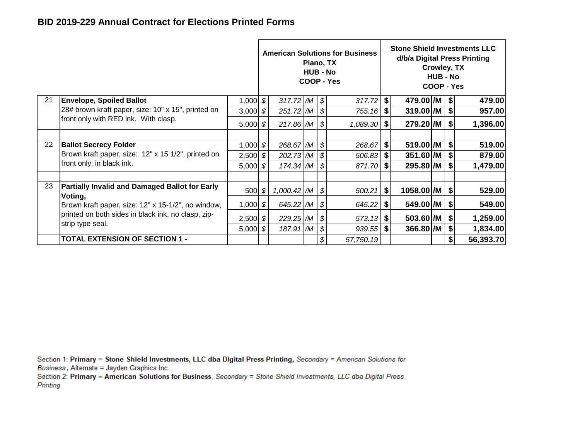|    |                                                                        |            |                  | Plano, TX<br><b>HUB - No</b> |    | <b>American Solutions for Business</b><br>COOP - Yes |                       |                        | Crowley, TX<br><b>HUB - No</b><br>COOP - Yes |    | <b>Stone Shield Investments LLC</b><br>d/b/a Digital Press Printing |
|----|------------------------------------------------------------------------|------------|------------------|------------------------------|----|------------------------------------------------------|-----------------------|------------------------|----------------------------------------------|----|---------------------------------------------------------------------|
| 21 | <b>Envelope, Spoiled Ballot</b>                                        | $1,000$ \$ | 317.72 $/M \sim$ |                              |    |                                                      |                       | $479.00$ /M $\vert$ \$ |                                              |    | 479.00                                                              |
|    | 28# brown kraft paper, size: 10" x 15", printed on                     | 3,000 $$$  | 251.72 M         |                              | \$ | $755.16$ \$                                          |                       | $319.00$ /M $\vert$ \$ |                                              |    | 957.00                                                              |
|    | front only with RED ink. With clasp.                                   | $5,000$ \$ | 217.86 /M        |                              | \$ | $1,089.30$ \$                                        |                       | $279.20$ /M   \$       |                                              |    | 1,396.00                                                            |
| 22 | <b>Ballot Secrecy Folder</b>                                           | $1,000$ \$ | 268.67 /M        |                              | \$ | 268.67                                               | \$                    | $519.00$ /M $\vert$ \$ |                                              |    | 519.00                                                              |
|    | Brown kraft paper, size: 12" x 15 1/2", printed on                     | $2,500$ \$ | 202.73 /M        |                              | \$ |                                                      |                       | $351.60$ /M $\mid$ \$  |                                              |    | 879.00                                                              |
|    | front only, in black ink.                                              | $5,000$ \$ | $174.34$ /M      |                              | \$ | 871.70 \$                                            |                       | 295.80 /M   \$         |                                              |    | 1,479.00                                                            |
| 23 | <b>Partially Invalid and Damaged Ballot for Early</b><br>Voting,       | 500   \$   | 1,000.42 /M      |                              | \$ |                                                      |                       | 1058.00 /M   \$        |                                              |    | 529.00                                                              |
|    | Brown kraft paper, size: 12" x 15-1/2", no window,                     | $1,000$ \$ | 645.22 /M        |                              | \$ | $645.22$   \$                                        |                       | 549.00 / M   \$        |                                              |    | 549.00                                                              |
|    | printed on both sides in black ink, no clasp, zip-<br>strip type seal. | $2,500$ \$ | 229.25 /M        |                              | S  |                                                      | $503.60$ /M $\mid$ \$ | 1,259.00               |                                              |    |                                                                     |
|    |                                                                        | $5,000$ \$ | 187.91 /M        |                              | \$ | $939.55$ \$                                          |                       | 366.80 /M              |                                              | \$ | 1,834.00                                                            |
|    | <b>TOTAL EXTENSION OF SECTION 1 -</b>                                  |            |                  |                              | \$ | 57,750.19                                            |                       |                        |                                              | \$ | 56,393.70                                                           |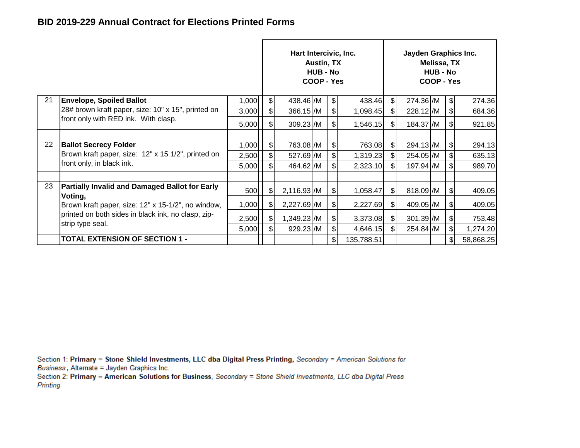|    |                                                                                    |                |                               | Hart Intercivic, Inc.  | Austin, TX<br><b>HUB - No</b><br>COOP - Yes |                                |                      |               | Jayden Graphics Inc.   | Melissa, TX<br><b>HUB - No</b><br>COOP - Yes |                                |                  |
|----|------------------------------------------------------------------------------------|----------------|-------------------------------|------------------------|---------------------------------------------|--------------------------------|----------------------|---------------|------------------------|----------------------------------------------|--------------------------------|------------------|
| 21 | <b>Envelope, Spoiled Ballot</b>                                                    | 1,000          | $\frac{1}{2}$                 | 438.46 /M              |                                             | $\frac{1}{2}$                  | 438.46               | $\mathsf{S}$  | 274.36 /M              |                                              | $\frac{1}{2}$                  | 274.36           |
|    | 28# brown kraft paper, size: 10" x 15", printed on                                 | 3,000          | $\frac{1}{2}$                 | 366.15 /M              |                                             | \$                             | 1,098.45             | \$I           | 228.12 /M              |                                              | $\mathfrak{S}$                 | 684.36           |
|    | front only with RED ink. With clasp.                                               | 5,000          | $\frac{1}{2}$                 | 309.23 /M              |                                             | $\frac{1}{2}$                  | 1,546.15             | \$I           | 184.37 /M              |                                              | $\frac{1}{2}$                  | 921.85           |
| 22 | <b>Ballot Secrecy Folder</b><br>Brown kraft paper, size: 12" x 15 1/2", printed on | 1,000          | $\frac{1}{2}$                 | 763.08 /M              |                                             | $\mathcal{S}$                  | 763.08               | $\mathcal{S}$ | 294.13 /M              |                                              | $\frac{1}{2}$                  | 294.13           |
|    | front only, in black ink.                                                          | 2,500<br>5,000 | $\frac{1}{2}$<br>$\mathsf{s}$ | 527.69 /M<br>464.62 /M |                                             | $\frac{1}{2}$<br>$\frac{1}{2}$ | 1,319.23<br>2,323.10 | \$I<br>\$I    | 254.05 /M<br>197.94 /M |                                              | $\frac{1}{2}$<br>$\mathcal{L}$ | 635.13<br>989.70 |
|    |                                                                                    |                |                               |                        |                                             |                                |                      |               |                        |                                              |                                |                  |
| 23 | <b>Partially Invalid and Damaged Ballot for Early</b><br>Voting,                   | 500            | $\frac{1}{2}$                 | 2,116.93 /M            |                                             | $\frac{1}{2}$                  | 1,058.47             | $\frac{1}{2}$ | 818.09 /M              |                                              | $\frac{1}{2}$                  | 409.05           |
|    | Brown kraft paper, size: 12" x 15-1/2", no window,                                 | 1,000          | $\frac{1}{2}$                 | 2,227.69 /M            |                                             | $\frac{1}{2}$                  | 2,227.69             | $\frac{1}{2}$ | 409.05 /M              |                                              | $\frac{1}{2}$                  | 409.05           |
|    | printed on both sides in black ink, no clasp, zip-<br>strip type seal.             | 2,500          | $\frac{1}{2}$                 | 1,349.23 / M           |                                             | $\frac{1}{2}$                  | 3,373.08             | \$            | $301.39$ /M            |                                              | $\frac{1}{2}$                  | 753.48           |
|    |                                                                                    | 5,000          | $\mathsf{s}$                  | 929.23 /M              |                                             | $\frac{1}{2}$                  | 4,646.15             | \$I           | 254.84 /M              |                                              | $\sqrt{3}$                     | 1,274.20         |
|    | <b>TOTAL EXTENSION OF SECTION 1 -</b>                                              |                |                               |                        |                                             | $\mathbb{S}$                   | 135,788.51           |               |                        |                                              | $\mathfrak{g}$                 | 58,868.25        |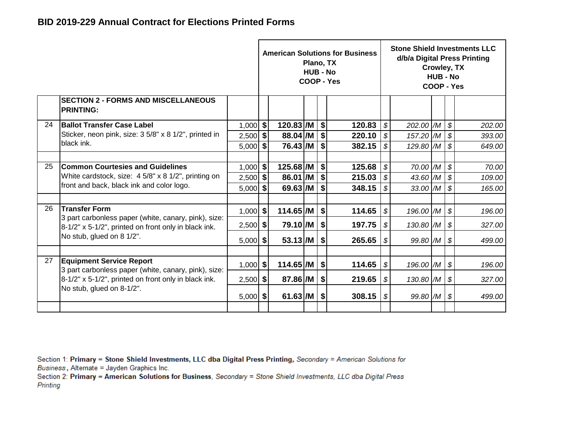|    |                                                                                                  |            |                           | Plano, TX<br><b>HUB - No</b> |    | <b>American Solutions for Business</b><br>COOP - Yes |                            |                         | Crowley, TX<br><b>HUB - No</b><br>COOP - Yes |                            | <b>Stone Shield Investments LLC</b><br>d/b/a Digital Press Printing |
|----|--------------------------------------------------------------------------------------------------|------------|---------------------------|------------------------------|----|------------------------------------------------------|----------------------------|-------------------------|----------------------------------------------|----------------------------|---------------------------------------------------------------------|
|    | <b>SECTION 2 - FORMS AND MISCELLANEOUS</b><br><b>PRINTING:</b>                                   |            |                           |                              |    |                                                      |                            |                         |                                              |                            |                                                                     |
| 24 | <b>Ballot Transfer Case Label</b>                                                                | $1,000$ \$ | 120.83 /M                 |                              | \$ | 120.83                                               | \$                         | 202.00 /M               |                                              | $\boldsymbol{\mathcal{S}}$ | 202.00                                                              |
|    | Sticker, neon pink, size: 3 5/8" x 8 1/2", printed in                                            | $2,500$ \$ | 88.04 /M                  |                              | \$ | 220.10                                               | \$                         | 157.20 /M               |                                              | $\mathcal{S}$              | 393.00                                                              |
|    | black ink.                                                                                       | $5,000$ \$ | $76.43$ /M                |                              | s  | 382.15                                               | \$                         | 129.80 /M               |                                              | $\mathcal{S}$              | 649.00                                                              |
|    |                                                                                                  |            |                           |                              |    |                                                      |                            |                         |                                              |                            |                                                                     |
| 25 | <b>Common Courtesies and Guidelines</b>                                                          | $1,000$ \$ | $125.68$ /M $\frac{1}{9}$ |                              |    | 125.68                                               | \$                         | 70.00 /M                |                                              | $\boldsymbol{\mathcal{S}}$ | 70.00                                                               |
|    | White cardstock, size: 4 5/8" x 8 1/2", printing on<br>front and back, black ink and color logo. | $2,500$ \$ | 86.01 /M                  |                              |    | 215.03                                               | \$                         | 43.60 /M                |                                              | \$                         | 109.00                                                              |
|    |                                                                                                  | 5,000      | \$<br>$69.63$ /M          |                              | \$ | 348.15                                               | \$                         | $33.00$ /M              |                                              | $\boldsymbol{\mathcal{S}}$ | 165.00                                                              |
| 26 | <b>Transfer Form</b>                                                                             |            |                           |                              |    |                                                      |                            |                         |                                              |                            |                                                                     |
|    | 3 part carbonless paper (white, canary, pink), size:                                             | $1,000$ \$ | $114.65$ /M $\frac{1}{9}$ |                              |    | 114.65                                               | $\boldsymbol{\mathcal{S}}$ | 196.00 /M \$            |                                              |                            | 196.00                                                              |
|    | 8-1/2" x 5-1/2", printed on front only in black ink.                                             | $2,500$ \$ | 79.10 /M   \$             |                              |    | 197.75                                               | \$                         | $130.80$ /M $\vert \$$  |                                              |                            | 327.00                                                              |
|    | No stub, glued on 8 1/2".                                                                        | 5,000      | \$<br>$53.13$ /M          |                              | \$ | 265.65                                               | \$                         | 99.80 $/M$ \$           |                                              |                            | 499.00                                                              |
|    |                                                                                                  |            |                           |                              |    |                                                      |                            |                         |                                              |                            |                                                                     |
| 27 | <b>Equipment Service Report</b><br>3 part carbonless paper (white, canary, pink), size:          | $1,000$ \$ | $114.65$ /M               |                              | \$ | 114.65                                               | \$                         | 196.00 /M               |                                              | \$                         | 196.00                                                              |
|    | 8-1/2" x 5-1/2", printed on front only in black ink.                                             | $2,500$ \$ | 87.86 /M                  |                              | \$ | 219.65                                               | \$                         | $130.80$ $/M$ \$        |                                              |                            | 327.00                                                              |
|    | No stub, glued on 8-1/2".                                                                        | $5,000$ \$ | $61.63$ /M $\mid$ \$      |                              |    | 308.15                                               | \$                         | $99.80$ $/M$ $\vert$ \$ |                                              |                            | 499.00                                                              |
|    |                                                                                                  |            |                           |                              |    |                                                      |                            |                         |                                              |                            |                                                                     |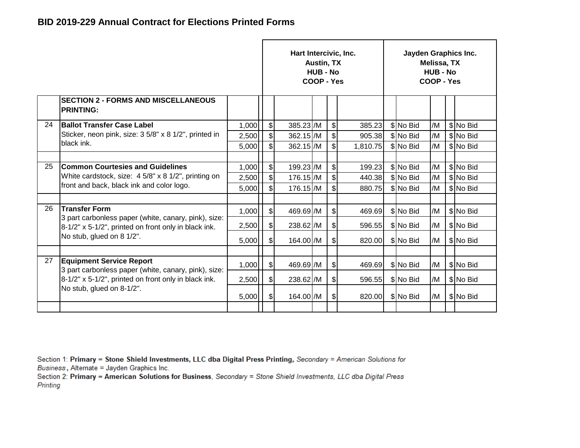|    |                                                                                                              |       |                              | Hart Intercivic, Inc. | Austin, TX<br><b>HUB - No</b><br>COOP - Yes |       |          | Jayden Graphics Inc. | Melissa, TX<br><b>HUB - No</b><br>COOP - Yes |           |
|----|--------------------------------------------------------------------------------------------------------------|-------|------------------------------|-----------------------|---------------------------------------------|-------|----------|----------------------|----------------------------------------------|-----------|
|    | <b>SECTION 2 - FORMS AND MISCELLANEOUS</b><br><b>PRINTING:</b>                                               |       |                              |                       |                                             |       |          |                      |                                              |           |
| 24 | <b>Ballot Transfer Case Label</b>                                                                            | 1,000 | \$I                          | 385.23 /M             |                                             | \$    | 385.23   | \$ No Bid            | /M                                           | \$ No Bid |
|    | Sticker, neon pink, size: 3 5/8" x 8 1/2", printed in                                                        | 2,500 | $\left  \mathcal{L} \right $ | 362.15 /M             |                                             | $\$\$ | 905.38   | \$No Bid             | /M                                           | \$ No Bid |
|    | black ink.                                                                                                   | 5,000 | $\mathfrak{S}$               | 362.15 /M             |                                             | \$    | 1,810.75 | \$No Bid             | /M                                           | \$ No Bid |
|    |                                                                                                              |       |                              |                       |                                             |       |          |                      |                                              |           |
| 25 | <b>Common Courtesies and Guidelines</b>                                                                      | 1,000 | $\left  \mathcal{L} \right $ | 199.23 /M             |                                             | $\$\$ | 199.23   | \$No Bid             | /M                                           | \$ No Bid |
|    | White cardstock, size: $4\frac{5}{8}$ x 8 1/2", printing on                                                  | 2,500 | $\mathbb{S}$                 | 176.15 /M             |                                             | \$    | 440.38   | \$No Bid             | /M                                           | \$ No Bid |
|    | front and back, black ink and color logo.                                                                    | 5,000 | $\mathsf{s}$                 | 176.15 /M             |                                             | \$    | 880.75   | \$No Bid             | /M                                           | \$ No Bid |
|    |                                                                                                              |       |                              |                       |                                             |       |          |                      |                                              |           |
| 26 | <b>Transfer Form</b>                                                                                         | 1,000 | $\frac{1}{2}$                | 469.69 /M             |                                             | $\$\$ | 469.69   | \$ No Bid            | /M                                           | \$No Bid  |
|    | 3 part carbonless paper (white, canary, pink), size:<br>8-1/2" x 5-1/2", printed on front only in black ink. | 2,500 | \$I                          | 238.62 /M             |                                             | \$    | 596.55   | \$No Bid             | /M                                           | \$ No Bid |
|    | No stub, glued on 8 1/2".                                                                                    | 5,000 | $\mathcal{S}$                | 164.00 / M            |                                             | \$    | 820.00   | \$ No Bid            | /M                                           | \$No Bid  |
|    |                                                                                                              |       |                              |                       |                                             |       |          |                      |                                              |           |
| 27 | <b>Equipment Service Report</b><br>3 part carbonless paper (white, canary, pink), size:                      | 1,000 | $\mathcal{S}$                | 469.69 /M             |                                             | \$    | 469.69   | \$No Bid             | /M                                           | \$ No Bid |
|    | 8-1/2" x 5-1/2", printed on front only in black ink.                                                         | 2,500 | $\frac{1}{2}$                | 238.62 /M             |                                             | \$    | 596.55   | \$No Bid             | /M                                           | \$ No Bid |
|    | No stub, glued on 8-1/2".                                                                                    | 5,000 | $\frac{1}{2}$                | 164.00 /M             |                                             | \$    | 820.00   | \$No Bid             | /M                                           | \$ No Bid |
|    |                                                                                                              |       |                              |                       |                                             |       |          |                      |                                              |           |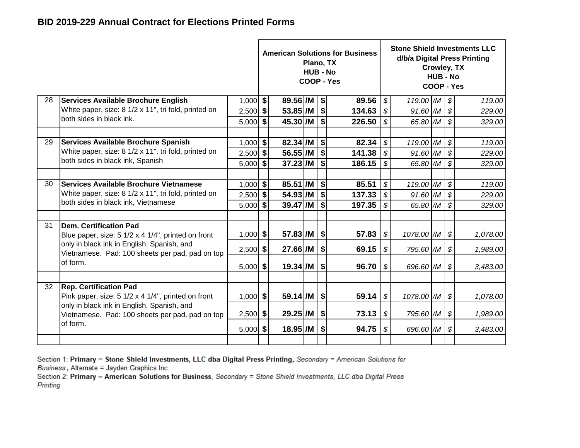|    |                                                                                               |            |                                             |                          | Plano, TX<br><b>HUB - No</b> |                   | <b>American Solutions for Business</b><br><b>COOP - Yes</b> |                            |            | Crowley, TX<br><b>HUB - No</b><br>COOP - Yes |                            | <b>Stone Shield Investments LLC</b><br>d/b/a Digital Press Printing |
|----|-----------------------------------------------------------------------------------------------|------------|---------------------------------------------|--------------------------|------------------------------|-------------------|-------------------------------------------------------------|----------------------------|------------|----------------------------------------------|----------------------------|---------------------------------------------------------------------|
| 28 | Services Available Brochure English                                                           | $1,000$ \$ |                                             | $89.56$ /M $\frac{1}{9}$ |                              |                   | 89.56                                                       | $\boldsymbol{\mathcal{S}}$ | 119.00 /M  |                                              | $\boldsymbol{\mathcal{S}}$ | 119.00                                                              |
|    | White paper, size: 8 1/2 x 11", tri fold, printed on                                          | $2,500$ \$ |                                             | $53.85$ /M               |                              | \$                | 134.63                                                      | \$                         | $91.60$ /M |                                              | $\boldsymbol{\mathcal{S}}$ | 229.00                                                              |
|    | both sides in black ink.                                                                      | $5,000$ \$ |                                             | $45.30$ /M               |                              | $\boldsymbol{\$}$ | 226.50                                                      | $\boldsymbol{\mathcal{S}}$ | 65.80 /M   |                                              | $\boldsymbol{\mathcal{S}}$ | 329.00                                                              |
| 29 | Services Available Brochure Spanish                                                           | $1,000$ \$ |                                             | 82.34 /M                 |                              | \$                | 82.34                                                       | $\boldsymbol{\mathcal{S}}$ | 119.00 /M  |                                              | $\boldsymbol{\mathcal{S}}$ | 119.00                                                              |
|    | White paper, size: 8 1/2 x 11", tri fold, printed on                                          | $2,500$ \$ |                                             | $56.55$ /M               |                              | \$                | 141.38                                                      | $\overline{\mathcal{S}}$   | 91.60 /M   |                                              | $\boldsymbol{\mathcal{S}}$ | 229.00                                                              |
|    | both sides in black ink, Spanish                                                              | 5,000      | \$                                          | $37.23$ /M               |                              | \$                | 186.15                                                      | $\mathcal{S}$              | 65.80 /M   | \$                                           | 329.00                     |                                                                     |
|    |                                                                                               |            |                                             |                          |                              |                   |                                                             |                            |            |                                              |                            |                                                                     |
| 30 | <b>Services Available Brochure Vietnamese</b>                                                 | $1,000$ \$ |                                             | 85.51 /M                 |                              | \$                | 85.51                                                       | $\mathcal{L}$              | 119.00 /M  |                                              | $\boldsymbol{\mathcal{S}}$ | 119.00                                                              |
|    | White paper, size: 8 1/2 x 11", tri fold, printed on                                          | $2,500$ \$ |                                             | 54.93 /M                 |                              | \$                | 137.33                                                      | $\mathcal{S}$              | 91.60 /M   |                                              | $\boldsymbol{\mathcal{S}}$ | 229.00                                                              |
|    | both sides in black ink, Vietnamese                                                           | $5,000$ \$ |                                             | $39.47$ /M               |                              | \$                | 197.35                                                      | \$                         | 65.80 /M   |                                              | $\boldsymbol{\mathcal{S}}$ | 329.00                                                              |
|    |                                                                                               |            |                                             |                          |                              |                   |                                                             |                            |            |                                              |                            |                                                                     |
| 31 | Dem. Certification Pad<br>Blue paper, size: 5 1/2 x 4 1/4", printed on front                  | $1,000$ \$ |                                             | $57.83/M$ \$             |                              |                   | 57.83                                                       | \$                         | 1078.00 /M |                                              | \$                         | 1,078.00                                                            |
|    | only in black ink in English, Spanish, and<br>Vietnamese. Pad: 100 sheets per pad, pad on top | $2,500$ \$ |                                             | 27.66 /M                 |                              | \$                | 69.15                                                       | \$                         | 795.60 /M  |                                              | \$                         | 1,989.00                                                            |
|    | of form.                                                                                      | $5,000$ \$ |                                             | $19.34$ /M               |                              | \$                | 96.70                                                       | $\boldsymbol{\mathcal{S}}$ | 696.60 /M  |                                              | $\boldsymbol{\mathcal{S}}$ | 3,483.00                                                            |
|    |                                                                                               |            |                                             |                          |                              |                   |                                                             |                            |            |                                              |                            |                                                                     |
| 32 | <b>Rep. Certification Pad</b><br>Pink paper, size: 5 1/2 x 4 1/4", printed on front           | $1,000$ \$ |                                             | $59.14$ /M               |                              | \$                | 59.14                                                       | $\sqrt{s}$                 | 1078.00 /M | 1,078.00                                     |                            |                                                                     |
|    | only in black ink in English, Spanish, and<br>Vietnamese. Pad: 100 sheets per pad, pad on top |            | 29.25 /M<br>\$<br>73.13<br>$2,500$ \$       |                          |                              |                   | $\sqrt{s}$                                                  | 795.60 /M                  |            | $\boldsymbol{\mathcal{S}}$                   | 1,989.00                   |                                                                     |
|    | of form.                                                                                      |            | 18.95 /M<br>94.75<br>$5,000$ \$<br>\$<br>\$ |                          |                              |                   |                                                             |                            | 696.60 /M  |                                              | $\boldsymbol{\mathcal{S}}$ | 3,483.00                                                            |
|    |                                                                                               |            |                                             |                          |                              |                   |                                                             |                            |            |                                              |                            |                                                                     |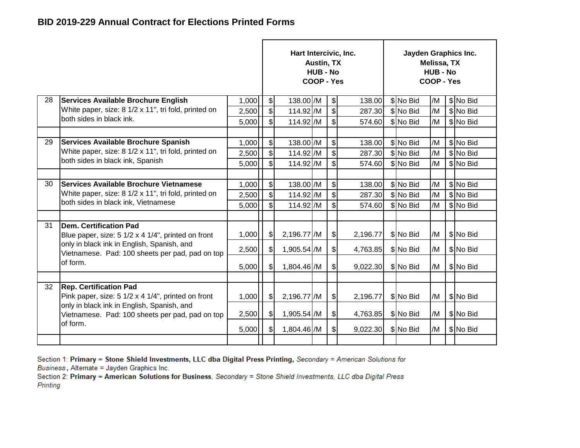|    |                                                                                               |       |                              | Hart Intercivic, Inc. | Austin, TX<br><b>HUB - No</b><br>COOP - Yes |                            |          | Jayden Graphics Inc. | Melissa, TX<br><b>HUB - No</b><br>COOP - Yes |           |
|----|-----------------------------------------------------------------------------------------------|-------|------------------------------|-----------------------|---------------------------------------------|----------------------------|----------|----------------------|----------------------------------------------|-----------|
| 28 | <b>Services Available Brochure English</b>                                                    | 1,000 | $\left  \frac{1}{2} \right $ | 138.00 /M             |                                             | $\boldsymbol{\mathsf{S}}$  | 138.00   | \$ No Bid            | /M                                           | \$ No Bid |
|    | White paper, size: 8 1/2 x 11", tri fold, printed on                                          | 2,500 | $\boldsymbol{s}$             | 114.92 /M             |                                             | $\boldsymbol{\mathsf{S}}$  | 287.30   | \$No Bid             | /M                                           | \$ No Bid |
|    | both sides in black ink.                                                                      | 5,000 | $\mathcal{S}$                | 114.92 /M             |                                             | \$                         | 574.60   | \$No Bid             | /M                                           | \$ No Bid |
|    |                                                                                               |       |                              |                       |                                             |                            |          |                      |                                              |           |
| 29 | <b>Services Available Brochure Spanish</b>                                                    | 1,000 | $\left  \mathcal{L} \right $ | 138.00 /M             |                                             | $\boldsymbol{\mathsf{\$}}$ | 138.00   | \$ No Bid            | /M                                           | \$ No Bid |
|    | White paper, size: 8 1/2 x 11", tri fold, printed on                                          | 2,500 | $\bullet$                    | 114.92 /M             |                                             | $\boldsymbol{\mathsf{S}}$  | 287.30   | \$ No Bid            | /M                                           | \$ No Bid |
|    | both sides in black ink, Spanish                                                              | 5,000 | \$                           | 114.92 /M             |                                             | \$                         | 574.60   | \$No Bid             | /M                                           | \$ No Bid |
|    |                                                                                               |       |                              |                       |                                             |                            |          |                      |                                              |           |
| 30 | <b>Services Available Brochure Vietnamese</b>                                                 | 1,000 | $\boldsymbol{\mathsf{S}}$    | 138.00 /M             |                                             | $\frac{1}{2}$              | 138.00   | \$ No Bid            | /M                                           | \$ No Bid |
|    | White paper, size: 8 1/2 x 11", tri fold, printed on                                          | 2,500 | $\left  \mathcal{L} \right $ | 114.92 /M             |                                             | $\frac{1}{2}$              | 287.30   | \$No Bid             | /M                                           | \$No Bid  |
|    | both sides in black ink, Vietnamese                                                           | 5,000 | $\mathsf{s}$                 | 114.92 /M             |                                             | \$                         | 574.60   | \$No Bid             | /M                                           | \$ No Bid |
|    |                                                                                               |       |                              |                       |                                             |                            |          |                      |                                              |           |
| 31 | Dem. Certification Pad<br>Blue paper, size: 5 1/2 x 4 1/4", printed on front                  | 1,000 | $\frac{1}{2}$                | 2,196.77 / M          |                                             | $\frac{1}{2}$              | 2,196.77 | \$No Bid             | /M                                           | \$ No Bid |
|    | only in black ink in English, Spanish, and<br>Vietnamese. Pad: 100 sheets per pad, pad on top | 2,500 | $\mathcal{S}$                | 1,905.54 /M           |                                             | $\frac{1}{2}$              | 4,763.85 | \$No Bid             | /M                                           | \$No Bid  |
|    | of form.                                                                                      | 5,000 | $\frac{1}{2}$                | 1,804.46 /M           |                                             | $\frac{1}{2}$              | 9,022.30 | \$ No Bid            | /M                                           | \$ No Bid |
|    |                                                                                               |       |                              |                       |                                             |                            |          |                      |                                              |           |
| 32 | <b>Rep. Certification Pad</b><br>Pink paper, size: 5 1/2 x 4 1/4", printed on front           | 1,000 | $\frac{1}{2}$                | 2,196.77 / M          |                                             | $\frac{1}{2}$              | 2,196.77 | \$No Bid             | /M                                           | \$No Bid  |
|    | only in black ink in English, Spanish, and<br>Vietnamese. Pad: 100 sheets per pad, pad on top | 2,500 | $\frac{1}{2}$                | 1,905.54 /M           |                                             | $\frac{1}{2}$              | 4,763.85 | \$No Bid             | /M                                           | \$No Bid  |
|    | of form.                                                                                      | 5,000 | $\mathcal{S}$                | 1,804.46 /M           |                                             | $\frac{1}{2}$              | 9,022.30 | \$ No Bid            | /M                                           | \$ No Bid |
|    |                                                                                               |       |                              |                       |                                             |                            |          |                      |                                              |           |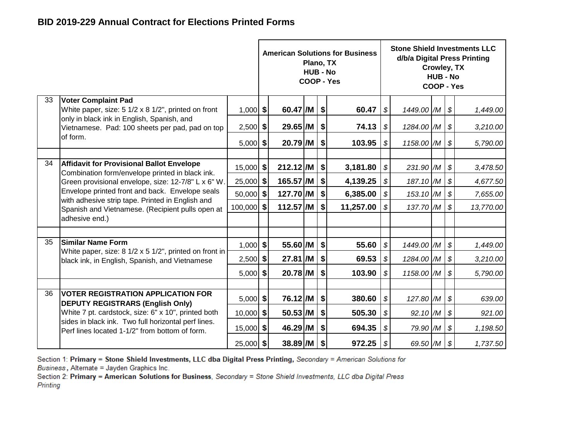|    |                                                                                                        |             |                                                        |             | Plano, TX<br><b>HUB - No</b> |    | <b>American Solutions for Business</b><br>COOP - Yes |                            |            | Crowley, TX<br><b>HUB - No</b><br>COOP - Yes |                            | <b>Stone Shield Investments LLC</b><br>d/b/a Digital Press Printing |
|----|--------------------------------------------------------------------------------------------------------|-------------|--------------------------------------------------------|-------------|------------------------------|----|------------------------------------------------------|----------------------------|------------|----------------------------------------------|----------------------------|---------------------------------------------------------------------|
| 33 | <b>Voter Complaint Pad</b><br>White paper, size: 5 1/2 x 8 1/2", printed on front                      | $1,000$ \$  |                                                        | $60.47$ /M  |                              | \$ | 60.47                                                | $\boldsymbol{\mathcal{S}}$ | 1449.00 /M |                                              | $\boldsymbol{\mathcal{F}}$ | 1,449.00                                                            |
|    | only in black ink in English, Spanish, and<br>Vietnamese. Pad: 100 sheets per pad, pad on top          | $2,500$ \$  |                                                        | $29.65$ /M  |                              | \$ | 74.13                                                | $\boldsymbol{\mathcal{S}}$ | 1284.00 /M |                                              | $\boldsymbol{\mathcal{S}}$ | 3,210.00                                                            |
|    | of form.                                                                                               | $5,000$ \$  |                                                        | $20.79$ /M  |                              | \$ | 103.95                                               | $\boldsymbol{\mathcal{S}}$ | 1158.00 /M |                                              | $\boldsymbol{\mathcal{F}}$ | 5,790.00                                                            |
| 34 | <b>Affidavit for Provisional Ballot Envelope</b>                                                       | 15,000 \$   |                                                        | $212.12$ /M |                              | \$ | 3,181.80                                             | $\boldsymbol{\mathcal{S}}$ | 231.90 /M  |                                              | $\boldsymbol{\mathcal{S}}$ | 3,478.50                                                            |
|    | Combination form/envelope printed in black ink.<br>Green provisional envelope, size: 12-7/8" L x 6" W. | $25,000$ \$ | $165.57$ /M<br>4,139.25<br>\$                          |             |                              |    |                                                      |                            | 187.10 /M  |                                              | \$                         | 4,677.50                                                            |
|    | Envelope printed front and back. Envelope seals                                                        | 50,000 \$   |                                                        | 127.70 /M   |                              | \$ | 6,385.00                                             | \$                         | 153.10 /M  |                                              | $\boldsymbol{\mathcal{S}}$ | 7,655.00                                                            |
|    | with adhesive strip tape. Printed in English and<br>Spanish and Vietnamese. (Recipient pulls open at   | 100,000 \$  |                                                        | $112.57$ /M |                              | \$ | 11,257.00                                            | \$                         | 137.70 /M  |                                              | $\boldsymbol{\mathcal{S}}$ | 13,770.00                                                           |
|    | adhesive end.)                                                                                         |             |                                                        |             |                              |    |                                                      |                            |            |                                              |                            |                                                                     |
| 35 | <b>Similar Name Form</b>                                                                               |             |                                                        |             |                              |    |                                                      |                            |            |                                              |                            |                                                                     |
|    | White paper, size: 8 1/2 x 5 1/2", printed on front in                                                 | $1,000$ \$  |                                                        | 55.60 /M    |                              | \$ | 55.60                                                | $\boldsymbol{\mathcal{S}}$ | 1449.00 /M |                                              | $\boldsymbol{\mathcal{S}}$ | 1,449.00                                                            |
|    | black ink, in English, Spanish, and Vietnamese                                                         | $2,500$ \$  |                                                        | $27.81$ /M  |                              | \$ | 69.53                                                | $\boldsymbol{\mathcal{S}}$ | 1284.00 /M |                                              | $\boldsymbol{\mathcal{S}}$ | 3,210.00                                                            |
|    |                                                                                                        | $5,000$ \$  |                                                        | $20.78$ /M  |                              | \$ | 103.90                                               | \$                         | 1158.00 /M |                                              | $\boldsymbol{\mathcal{S}}$ | 5,790.00                                                            |
| 36 | <b>VOTER REGISTRATION APPLICATION FOR</b>                                                              |             |                                                        |             |                              |    |                                                      |                            |            |                                              |                            |                                                                     |
|    | <b>DEPUTY REGISTRARS (English Only)</b>                                                                | $5,000$ \$  | 76.12 /M<br>\$<br>380.60<br>$\boldsymbol{\mathcal{S}}$ |             |                              |    |                                                      |                            | 127.80 /M  |                                              | $\boldsymbol{\mathcal{F}}$ | 639.00                                                              |
|    | White 7 pt. cardstock, size: 6" x 10", printed both                                                    | $10,000$ \$ |                                                        | $50.53$ /M  |                              | \$ | 505.30                                               | \$                         | 92.10 /M   |                                              | $\boldsymbol{\mathcal{S}}$ | 921.00                                                              |
|    | sides in black ink. Two full horizontal perf lines.<br>Perf lines located 1-1/2" from bottom of form.  | $15,000$ \$ | 46.29 /M                                               |             |                              | \$ | 694.35                                               | $\boldsymbol{\mathcal{S}}$ | 79.90 /M   |                                              | $\boldsymbol{\mathcal{S}}$ | 1,198.50                                                            |
|    |                                                                                                        | $25,000$ \$ |                                                        | 38.89/M     |                              | \$ | 972.25                                               | \$                         | 69.50 /M   |                                              | $\boldsymbol{\mathcal{S}}$ | 1,737.50                                                            |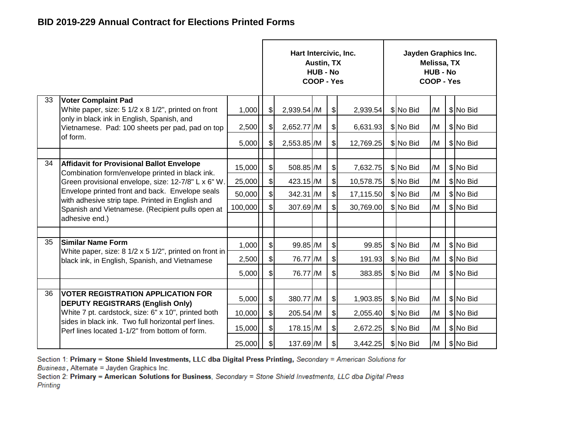|    |                                                                                                       |         |                             | Hart Intercivic, Inc. | Austin, TX<br><b>HUB - No</b><br>COOP - Yes |                           |           | Jayden Graphics Inc. | Melissa, TX<br><b>HUB - No</b><br><b>COOP - Yes</b> |           |
|----|-------------------------------------------------------------------------------------------------------|---------|-----------------------------|-----------------------|---------------------------------------------|---------------------------|-----------|----------------------|-----------------------------------------------------|-----------|
| 33 | <b>Voter Complaint Pad</b><br>White paper, size: 5 1/2 x 8 1/2", printed on front                     | 1,000   | $\boldsymbol{\mathsf{S}}$   | 2,939.54 /M           |                                             | $\frac{1}{2}$             | 2,939.54  | \$No Bid             | /M                                                  | \$No Bid  |
|    | only in black ink in English, Spanish, and<br>Vietnamese. Pad: 100 sheets per pad, pad on top         | 2,500   | $\frac{1}{2}$               | 2,652.77 /M           |                                             | $\frac{1}{2}$             | 6,631.93  | \$ No Bid            | /M                                                  | \$No Bid  |
|    | of form.                                                                                              | 5,000   | $\frac{1}{2}$               | 2,553.85 /M           |                                             | $\boldsymbol{\mathsf{S}}$ | 12,769.25 | \$No Bid             | /M                                                  | \$ No Bid |
|    |                                                                                                       |         |                             |                       |                                             |                           |           |                      |                                                     |           |
| 34 | <b>Affidavit for Provisional Ballot Envelope</b><br>Combination form/envelope printed in black ink.   | 15,000  | $\frac{1}{2}$               | 508.85 /M             |                                             | $\boldsymbol{\mathsf{S}}$ | 7,632.75  | \$No Bid             | /M                                                  | \$No Bid  |
|    | Green provisional envelope, size: 12-7/8" L x 6" W.                                                   | 25,000  | $\left  \mathbf{S} \right $ | 423.15 /M             |                                             | $\boldsymbol{\mathsf{S}}$ | 10,578.75 | \$No Bid             | /M                                                  | \$No Bid  |
|    | Envelope printed front and back. Envelope seals                                                       | 50,000  | \$                          | 342.31 /M             |                                             | $\boldsymbol{\mathsf{S}}$ | 17,115.50 | \$No Bid             | /M                                                  | \$ No Bid |
|    | with adhesive strip tape. Printed in English and<br>Spanish and Vietnamese. (Recipient pulls open at  | 100,000 | \$                          | 307.69 /M             |                                             | $\mathcal{S}$             | 30,769.00 | \$ No Bid            | /M                                                  | \$No Bid  |
|    | adhesive end.)                                                                                        |         |                             |                       |                                             |                           |           |                      |                                                     |           |
|    |                                                                                                       |         |                             |                       |                                             |                           |           |                      |                                                     |           |
| 35 | <b>Similar Name Form</b><br>White paper, size: 8 1/2 x 5 1/2", printed on front in                    | 1,000   | $\frac{1}{2}$               | 99.85 /M              |                                             | $\frac{1}{2}$             | 99.85     | \$No Bid             | /M                                                  | \$No Bid  |
|    | black ink, in English, Spanish, and Vietnamese                                                        | 2,500   | \$                          | 76.77 /M              |                                             | $\boldsymbol{\mathsf{S}}$ | 191.93    | \$No Bid             | /M                                                  | \$No Bid  |
|    |                                                                                                       | 5,000   | \$                          | 76.77 /M              |                                             | $\frac{1}{2}$             | 383.85    | \$ No Bid            | /M                                                  | \$No Bid  |
|    |                                                                                                       |         |                             |                       |                                             |                           |           |                      |                                                     |           |
| 36 | <b>IVOTER REGISTRATION APPLICATION FOR</b><br><b>DEPUTY REGISTRARS (English Only)</b>                 | 5,000   | $\mathcal{S}$               | 380.77 /M             |                                             | $\frac{1}{2}$             | 1,903.85  | \$No Bid             | /M                                                  | \$No Bid  |
|    | White 7 pt. cardstock, size: 6" x 10", printed both                                                   | 10,000  | $\frac{1}{2}$               | 205.54 /M             |                                             | $\frac{1}{2}$             | 2,055.40  | \$ No Bid            | /M                                                  | \$No Bid  |
|    | sides in black ink. Two full horizontal perf lines.<br>Perf lines located 1-1/2" from bottom of form. | 15,000  | $\frac{1}{2}$               | 178.15 /M             |                                             | $\frac{1}{2}$             | 2,672.25  | \$No Bid             | /M                                                  | \$No Bid  |
|    |                                                                                                       | 25,000  | \$                          | 137.69 / M            |                                             | $\frac{1}{2}$             | 3,442.25  | \$No Bid             | /M                                                  | \$No Bid  |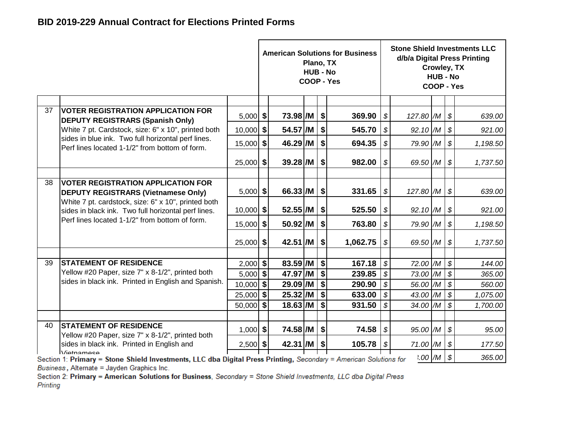|    |                                                                                                                   |             |                          | Plano, TX<br><b>HUB - No</b> |                 | <b>American Solutions for Business</b><br>COOP - Yes |                            |                          | Crowley, TX<br><b>HUB - No</b><br>COOP - Yes |                            | <b>Stone Shield Investments LLC</b><br>d/b/a Digital Press Printing |
|----|-------------------------------------------------------------------------------------------------------------------|-------------|--------------------------|------------------------------|-----------------|------------------------------------------------------|----------------------------|--------------------------|----------------------------------------------|----------------------------|---------------------------------------------------------------------|
|    |                                                                                                                   |             |                          |                              |                 |                                                      |                            |                          |                                              |                            |                                                                     |
| 37 | <b>VOTER REGISTRATION APPLICATION FOR</b><br><b>DEPUTY REGISTRARS (Spanish Only)</b>                              | $5,000$ \$  | 73.98 /M                 |                              | \$              | 369.90                                               | \$                         | $127.80$ M $\frac{1}{9}$ |                                              |                            | 639.00                                                              |
|    | White 7 pt. Cardstock, size: 6" x 10", printed both                                                               | $10,000$ \$ | 54.57 /M                 |                              | \$              | 545.70                                               | \$                         | 92.10 /M                 |                                              | $\boldsymbol{\mathcal{S}}$ | 921.00                                                              |
|    | sides in blue ink. Two full horizontal perf lines.<br>Perf lines located 1-1/2" from bottom of form.              | $15,000$ \$ | 46.29 /M                 |                              | \$              | 694.35                                               | \$                         | 79.90 /M                 |                                              | $\boldsymbol{\mathcal{S}}$ | 1,198.50                                                            |
|    |                                                                                                                   | $25,000$ \$ | $39.28$ /M               |                              | \$              | 982.00                                               | \$                         | 69.50 $/M$ \$            |                                              |                            | 1,737.50                                                            |
| 38 | <b>VOTER REGISTRATION APPLICATION FOR</b>                                                                         |             |                          |                              |                 |                                                      |                            |                          |                                              |                            |                                                                     |
|    | <b>DEPUTY REGISTRARS (Vietnamese Only)</b>                                                                        | $5,000$ \$  | $66.33$ /M $\frac{1}{9}$ |                              |                 | 331.65                                               | \$                         | 127.80 $/M$ \$           |                                              |                            | 639.00                                                              |
|    | White 7 pt. cardstock, size: 6" x 10", printed both<br>sides in black ink. Two full horizontal perf lines.        | $10,000$ \$ | $52.55$ /M               |                              | - \$            | 525.50                                               | \$                         | $92.10$ /M $\frac{1}{9}$ |                                              |                            | 921.00                                                              |
|    | Perf lines located 1-1/2" from bottom of form.                                                                    | $15,000$ \$ | 50.92 /M                 |                              | \$              | 763.80                                               | \$                         | 79.90 /M                 |                                              | $\boldsymbol{\mathcal{S}}$ | 1,198.50                                                            |
|    |                                                                                                                   | $25,000$ \$ | $42.51$ /M               |                              | \$              | 1,062.75                                             | \$                         | 69.50 $/M$ \$            |                                              |                            | 1,737.50                                                            |
| 39 | <b>STATEMENT OF RESIDENCE</b>                                                                                     | $2,000$ \$  | 83.59 /M                 |                              | $\overline{\$}$ | 167.18                                               | $\boldsymbol{\mathcal{S}}$ | 72.00 /M                 |                                              | $\boldsymbol{\mathcal{S}}$ | 144.00                                                              |
|    | Yellow #20 Paper, size 7" x 8-1/2", printed both                                                                  | $5,000$ \$  | 47.97 /M                 |                              | \$              | 239.85                                               | \$                         | 73.00 /M                 |                                              | $\boldsymbol{\mathcal{S}}$ | 365.00                                                              |
|    | sides in black ink. Printed in English and Spanish.                                                               | $10,000$ \$ | $29.09$ /M               |                              | \$              | 290.90                                               | \$                         | 56.00 /M                 |                                              | $\boldsymbol{\mathcal{S}}$ | 560.00                                                              |
|    |                                                                                                                   | $25,000$ \$ | $25.32$ /M               |                              | l \$            | 633.00                                               | \$                         | $43.00$ M                |                                              | $\boldsymbol{\mathcal{S}}$ | 1,075.00                                                            |
|    |                                                                                                                   | $50,000$ \$ | $18.63$ /M               |                              | \$              | 931.50                                               | \$                         | 34.00 /M                 |                                              | $\boldsymbol{\mathcal{S}}$ | 1,700.00                                                            |
|    |                                                                                                                   |             |                          |                              |                 |                                                      |                            |                          |                                              |                            |                                                                     |
| 40 | <b>STATEMENT OF RESIDENCE</b><br>Yellow #20 Paper, size 7" x 8-1/2", printed both                                 | $1,000$ \$  | 74.58 /M                 |                              | \$              | 74.58                                                | \$                         | 95.00 /M                 |                                              | \$                         | 95.00                                                               |
|    | sides in black ink. Printed in English and<br>Vietnamese                                                          | $2,500$ \$  | 42.31 /M                 |                              | \$              | 105.78                                               | \$                         | 71.00 /M                 |                                              | $\boldsymbol{\mathcal{S}}$ | 177.50                                                              |
|    | Section 1: Primary = Stone Shield Investments, LLC dba Digital Press Printing, Secondary = American Solutions for |             |                          |                              |                 |                                                      |                            | $1.00$ /M   \$           |                                              |                            | 365.00                                                              |

Business, Alternate = Jayden Graphics Inc.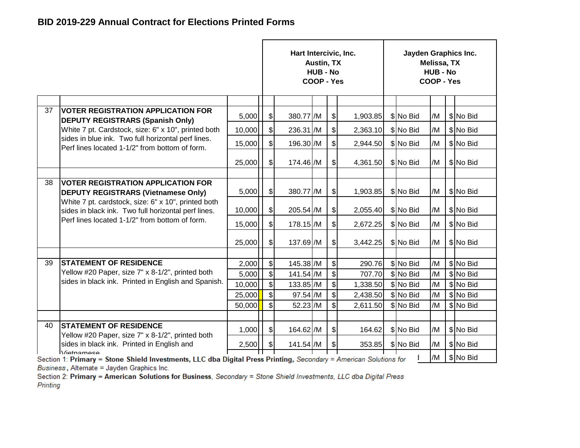|    |                                                                                                                                 |        |                              | Hart Intercivic, Inc. | <b>Austin, TX</b><br><b>HUB - No</b><br>COOP - Yes |               |          | Jayden Graphics Inc. | Melissa, TX<br><b>HUB - No</b><br>COOP - Yes |           |
|----|---------------------------------------------------------------------------------------------------------------------------------|--------|------------------------------|-----------------------|----------------------------------------------------|---------------|----------|----------------------|----------------------------------------------|-----------|
|    |                                                                                                                                 |        |                              |                       |                                                    |               |          |                      |                                              |           |
| 37 | <b>VOTER REGISTRATION APPLICATION FOR</b><br><b>DEPUTY REGISTRARS (Spanish Only)</b>                                            | 5,000  | $\mathfrak{F}$               | 380.77 /M             |                                                    | $\frac{1}{2}$ | 1,903.85 | \$No Bid             | /M                                           | \$ No Bid |
|    | White 7 pt. Cardstock, size: 6" x 10", printed both                                                                             | 10,000 | $\frac{1}{2}$                | 236.31 /M             |                                                    | $\frac{1}{2}$ | 2,363.10 | \$ No Bid            | /M                                           | \$ No Bid |
|    | sides in blue ink. Two full horizontal perf lines.<br>Perf lines located 1-1/2" from bottom of form.                            | 15,000 | $\boldsymbol{\mathsf{S}}$    | 196.30 /M             |                                                    | $\frac{1}{2}$ | 2,944.50 | \$No Bid             | /M                                           | \$ No Bid |
|    |                                                                                                                                 | 25,000 | $\mathcal{L}$                | 174.46 /M             |                                                    | $\frac{1}{2}$ | 4,361.50 | \$No Bid             | /M                                           | \$No Bid  |
|    |                                                                                                                                 |        |                              |                       |                                                    |               |          |                      |                                              |           |
| 38 | <b>VOTER REGISTRATION APPLICATION FOR</b><br><b>DEPUTY REGISTRARS (Vietnamese Only)</b>                                         | 5,000  | $\mathfrak{F}$               | 380.77 /M             |                                                    | $\frac{1}{2}$ | 1,903.85 | \$No Bid             | /M                                           | \$ No Bid |
|    | White 7 pt. cardstock, size: 6" x 10", printed both<br>sides in black ink. Two full horizontal perf lines.                      | 10,000 | $\mathcal{S}$                | 205.54 /M             |                                                    | $\frac{1}{2}$ | 2,055.40 | \$No Bid             | /M                                           | \$ No Bid |
|    | Perf lines located 1-1/2" from bottom of form.                                                                                  | 15,000 | $\frac{1}{2}$                | $178.15$ /M           |                                                    | $\mathcal{S}$ | 2,672.25 | \$No Bid             | /M                                           | \$No Bid  |
|    |                                                                                                                                 | 25,000 | $\boldsymbol{\hat{\theta}}$  | 137.69 /M             |                                                    | $\frac{1}{2}$ | 3,442.25 | \$No Bid             | /M                                           | \$No Bid  |
|    |                                                                                                                                 |        |                              |                       |                                                    |               |          |                      |                                              |           |
| 39 | <b>STATEMENT OF RESIDENCE</b>                                                                                                   | 2,000  | $\boldsymbol{\mathsf{S}}$    | 145.38 /M             |                                                    | $\frac{1}{2}$ | 290.76   | \$ No Bid            | /M                                           | \$No Bid  |
|    | Yellow #20 Paper, size 7" x 8-1/2", printed both<br>sides in black ink. Printed in English and Spanish.                         | 5,000  | $\boldsymbol{\mathsf{S}}$    | 141.54 /M             |                                                    | $\sqrt[6]{}$  | 707.70   | \$ No Bid            | /M                                           | \$ No Bid |
|    |                                                                                                                                 | 10,000 | $\left  \mathcal{L} \right $ | 133.85 /M             |                                                    | $\frac{1}{2}$ | 1,338.50 | \$No Bid             | /M                                           | \$No Bid  |
|    |                                                                                                                                 | 25,000 | $\boldsymbol{\mathsf{S}}$    | 97.54 /M              |                                                    | $\mathcal{S}$ | 2,438.50 | \$No Bid             | /M                                           | \$No Bid  |
|    |                                                                                                                                 | 50,000 | $\mathfrak{S}$               | $52.23$ /M            |                                                    | $\mathbb{S}$  | 2,611.50 | \$No Bid             | /M                                           | \$No Bid  |
|    |                                                                                                                                 |        |                              |                       |                                                    |               |          |                      |                                              |           |
| 40 | <b>STATEMENT OF RESIDENCE</b><br>Yellow #20 Paper, size 7" x 8-1/2", printed both                                               | 1,000  | $\sqrt{3}$                   | 164.62 /M             |                                                    | $\frac{1}{2}$ | 164.62   | \$No Bid             | /M                                           | \$No Bid  |
|    | sides in black ink. Printed in English and                                                                                      | 2,500  | \$                           | 141.54 /M             |                                                    | $\frac{1}{2}$ | 353.85   | \$No Bid             | /M                                           | \$No Bid  |
|    | Vietnamese<br>Section 1: Primary = Stone Shield Investments, LLC dba Digital Press Printing, Secondary = American Solutions for |        |                              |                       |                                                    |               |          |                      | /M                                           | \$ No Bid |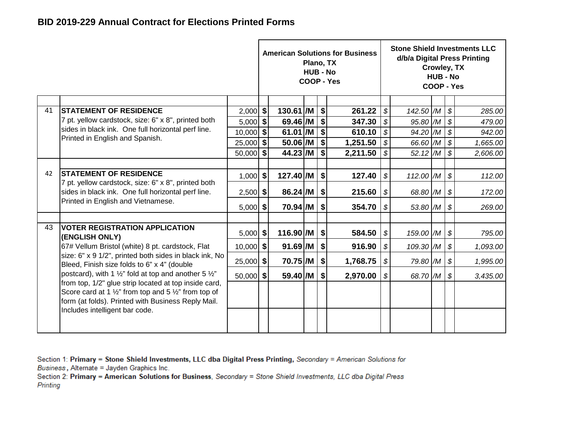|    |                                                                                                                                                                     |             |             | Plano, TX<br><b>HUB - No</b> |                           | <b>American Solutions for Business</b><br>COOP - Yes |                            |                | Crowley, TX<br><b>HUB - No</b><br>COOP - Yes |                            | <b>Stone Shield Investments LLC</b><br>d/b/a Digital Press Printing |
|----|---------------------------------------------------------------------------------------------------------------------------------------------------------------------|-------------|-------------|------------------------------|---------------------------|------------------------------------------------------|----------------------------|----------------|----------------------------------------------|----------------------------|---------------------------------------------------------------------|
|    |                                                                                                                                                                     |             |             |                              |                           |                                                      |                            |                |                                              |                            |                                                                     |
| 41 | <b>STATEMENT OF RESIDENCE</b>                                                                                                                                       | $2,000$ \$  | 130.61 /M   |                              | $\boldsymbol{\mathsf{s}}$ | 261.22                                               | $\boldsymbol{\mathcal{S}}$ | 142.50 /M      |                                              | $\boldsymbol{\mathcal{F}}$ | 285.00                                                              |
|    | 7 pt. yellow cardstock, size: 6" x 8", printed both                                                                                                                 | $5,000$ \$  | 69.46 /M    |                              | \$                        | 347.30                                               | $\boldsymbol{\mathcal{S}}$ | 95.80 /M       |                                              | $\boldsymbol{\mathcal{S}}$ | 479.00                                                              |
|    | sides in black ink. One full horizontal perf line.<br>Printed in English and Spanish.                                                                               | $10,000$ \$ | 61.01 /M    |                              | \$                        | 610.10                                               | \$                         | 94.20 /M       |                                              | $\boldsymbol{\mathcal{S}}$ | 942.00                                                              |
|    |                                                                                                                                                                     | $25,000$ \$ | 50.06 /M    |                              | \$                        | 1,251.50                                             | \$                         | 66.60 /M       |                                              | $\boldsymbol{\mathcal{S}}$ | 1,665.00                                                            |
|    |                                                                                                                                                                     | $50,000$ \$ | 44.23 /M    |                              | \$                        | 2,211.50                                             | $\boldsymbol{\mathcal{S}}$ | $52.12$ /M     |                                              | $\boldsymbol{\mathcal{S}}$ | 2,606.00                                                            |
|    |                                                                                                                                                                     |             |             |                              |                           |                                                      |                            |                |                                              |                            |                                                                     |
| 42 | <b>STATEMENT OF RESIDENCE</b>                                                                                                                                       | $1,000$ \$  | 127.40 /M   |                              | \$                        | 127.40                                               | $\boldsymbol{\mathcal{S}}$ | 112.00 $/M$ \$ |                                              |                            | 112.00                                                              |
|    | 7 pt. yellow cardstock, size: 6" x 8", printed both<br>sides in black ink. One full horizontal perf line.                                                           | $2,500$ \$  | 86.24 / M   |                              | \$                        | 215.60                                               | \$                         | 68.80 M \$     |                                              |                            | 172.00                                                              |
|    | Printed in English and Vietnamese.                                                                                                                                  | $5,000$ \$  | 70.94 /M    |                              | \$                        | 354.70                                               | \$                         | 53.80 $/M$ \$  |                                              |                            | 269.00                                                              |
|    |                                                                                                                                                                     |             |             |                              |                           |                                                      |                            |                |                                              |                            |                                                                     |
| 43 | <b>VOTER REGISTRATION APPLICATION</b><br>(ENGLISH ONLY)                                                                                                             | $5,000$ \$  | $116.90$ /M |                              | \$                        | 584.50                                               | $\boldsymbol{\mathcal{S}}$ | 159.00 /M      |                                              | $\boldsymbol{\mathcal{S}}$ | 795.00                                                              |
|    | 67# Vellum Bristol (white) 8 pt. cardstock, Flat                                                                                                                    | $10,000$ \$ | $91.69$ /M  |                              | \$                        | 916.90                                               | \$                         | 109.30 /M      |                                              | $\boldsymbol{\mathcal{S}}$ | 1,093.00                                                            |
|    | size: 6" x 9 1/2", printed both sides in black ink, No<br>Bleed, Finish size folds to 6" x 4" (double                                                               | $25,000$ \$ | 70.75 /M    |                              | \$                        | 1,768.75                                             | $\mathcal{S}$              | 79.80 /M       |                                              | $\boldsymbol{\mathcal{S}}$ | 1,995.00                                                            |
|    | postcard), with 1 $\frac{1}{2}$ " fold at top and another 5 $\frac{1}{2}$ "                                                                                         | $50,000$ \$ | 59.40 /M    |                              | \$                        | 2,970.00                                             | $\boldsymbol{\mathcal{S}}$ | 68.70 /M       |                                              | $\boldsymbol{\mathcal{S}}$ | 3,435.00                                                            |
|    | from top, 1/2" glue strip located at top inside card,<br>Score card at 1 1/2" from top and 5 1/2" from top of<br>form (at folds). Printed with Business Reply Mail. |             |             |                              |                           |                                                      |                            |                |                                              |                            |                                                                     |
|    | Includes intelligent bar code.                                                                                                                                      |             |             |                              |                           |                                                      |                            |                |                                              |                            |                                                                     |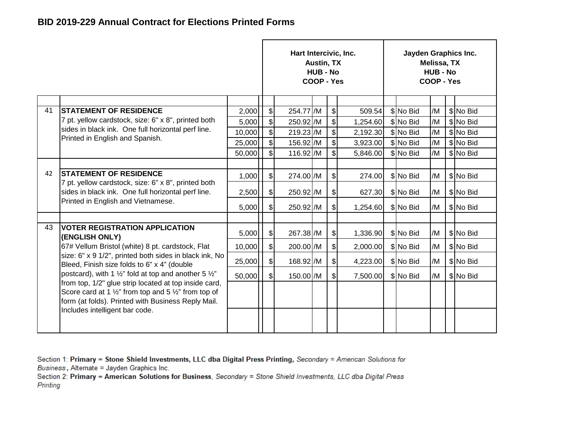|    |                                                                                                                                                                                           |        |                              | Hart Intercivic, Inc. | <b>Austin, TX</b><br><b>HUB - No</b><br>COOP - Yes |                             |          | Jayden Graphics Inc. | Melissa, TX<br><b>HUB - No</b><br>COOP - Yes |           |
|----|-------------------------------------------------------------------------------------------------------------------------------------------------------------------------------------------|--------|------------------------------|-----------------------|----------------------------------------------------|-----------------------------|----------|----------------------|----------------------------------------------|-----------|
|    |                                                                                                                                                                                           |        |                              |                       |                                                    |                             |          |                      |                                              |           |
| 41 | <b>ISTATEMENT OF RESIDENCE</b>                                                                                                                                                            | 2,000  | \$                           | 254.77 /M             |                                                    | $\boldsymbol{\hat{\theta}}$ | 509.54   | \$ No Bid            | /M                                           | \$ No Bid |
|    | 7 pt. yellow cardstock, size: 6" x 8", printed both                                                                                                                                       | 5,000  | $\left  \mathcal{L} \right $ | 250.92 /M             |                                                    | $\frac{1}{2}$               | 1,254.60 | \$ No Bid            | /M                                           | \$ No Bid |
|    | sides in black ink. One full horizontal perf line.                                                                                                                                        | 10,000 | $\frac{1}{2}$                | 219.23 /M             |                                                    | $\frac{1}{2}$               | 2,192.30 | \$ No Bid            | /M                                           | \$ No Bid |
|    | Printed in English and Spanish.                                                                                                                                                           | 25,000 | $\frac{1}{2}$                | 156.92 /M             |                                                    | $\frac{1}{2}$               | 3,923.00 | \$No Bid             | /M                                           | \$ No Bid |
|    |                                                                                                                                                                                           | 50,000 | $\mathcal{S}$                | 116.92 /M             |                                                    | $\frac{1}{2}$               | 5,846.00 | \$ No Bid            | /M                                           | \$ No Bid |
|    |                                                                                                                                                                                           |        |                              |                       |                                                    |                             |          |                      |                                              |           |
| 42 | <b>STATEMENT OF RESIDENCE</b>                                                                                                                                                             | 1,000  | $\boldsymbol{\mathsf{S}}$    | 274.00 /M             |                                                    | $\boldsymbol{\mathsf{S}}$   | 274.00   | \$ No Bid            | /M                                           | \$ No Bid |
|    | 7 pt. yellow cardstock, size: 6" x 8", printed both<br>sides in black ink. One full horizontal perf line.                                                                                 | 2,500  | $\mathcal{S}$                | 250.92 /M             |                                                    | $\frac{1}{2}$               | 627.30   | \$ No Bid            | /M                                           | \$No Bid  |
|    | Printed in English and Vietnamese.                                                                                                                                                        | 5,000  | $\mathcal{S}$                | 250.92 /M             |                                                    | $\frac{1}{2}$               | 1,254.60 | \$ No Bid            | /M                                           | \$ No Bid |
|    |                                                                                                                                                                                           |        |                              |                       |                                                    |                             |          |                      |                                              |           |
| 43 | <b>IVOTER REGISTRATION APPLICATION</b><br>(ENGLISH ONLY)                                                                                                                                  | 5,000  | $\mathcal{S}$                | 267.38 /M             |                                                    | $\frac{1}{2}$               | 1,336.90 | \$ No Bid            | /M                                           | \$No Bid  |
|    | 67# Vellum Bristol (white) 8 pt. cardstock, Flat                                                                                                                                          | 10,000 | $\boldsymbol{\mathsf{S}}$    | 200.00 /M             |                                                    | $\frac{1}{2}$               | 2,000.00 | \$ No Bid            | /M                                           | \$ No Bid |
|    | size: 6" x 9 1/2", printed both sides in black ink, No<br>Bleed, Finish size folds to 6" x 4" (double                                                                                     | 25,000 | $\frac{1}{2}$                | 168.92 / M            |                                                    | $\frac{1}{2}$               | 4,223.00 | \$No Bid             | /M                                           | \$No Bid  |
|    | postcard), with 1 $\frac{1}{2}$ " fold at top and another 5 $\frac{1}{2}$ "                                                                                                               | 50,000 | $\mathsf{s}$                 | 150.00 /M             |                                                    | $\mathbb{S}$                | 7,500.00 | \$No Bid             | /M                                           | \$ No Bid |
|    | from top, 1/2" glue strip located at top inside card,<br>Score card at 1 $\frac{1}{2}$ " from top and 5 $\frac{1}{2}$ " from top of<br>form (at folds). Printed with Business Reply Mail. |        |                              |                       |                                                    |                             |          |                      |                                              |           |
|    | Includes intelligent bar code.                                                                                                                                                            |        |                              |                       |                                                    |                             |          |                      |                                              |           |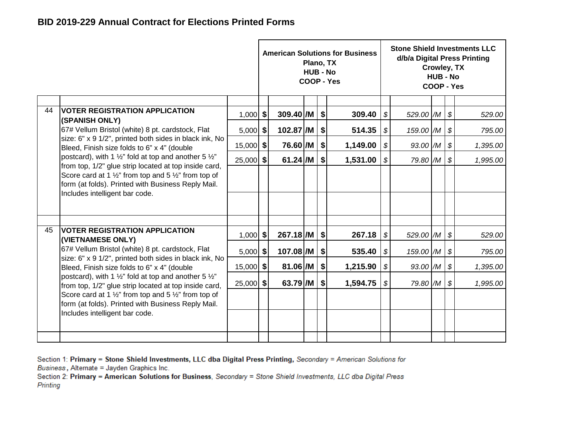|    |                                                                                                                                                                                                                             |             |                    | Plano, TX<br><b>HUB - No</b> |               | <b>American Solutions for Business</b><br>COOP - Yes |                            |                | Crowley, TX<br><b>HUB - No</b><br>COOP - Yes |                            | <b>Stone Shield Investments LLC</b><br>d/b/a Digital Press Printing |
|----|-----------------------------------------------------------------------------------------------------------------------------------------------------------------------------------------------------------------------------|-------------|--------------------|------------------------------|---------------|------------------------------------------------------|----------------------------|----------------|----------------------------------------------|----------------------------|---------------------------------------------------------------------|
|    |                                                                                                                                                                                                                             |             |                    |                              |               |                                                      |                            |                |                                              |                            |                                                                     |
| 44 | <b>VOTER REGISTRATION APPLICATION</b><br>(SPANISH ONLY)                                                                                                                                                                     | $1,000$ \$  | $309.40$ /M        |                              | \$            | 309.40                                               | $\mathcal{L}$              | 529.00 /M      |                                              | \$                         | 529.00                                                              |
|    | 67# Vellum Bristol (white) 8 pt. cardstock, Flat                                                                                                                                                                            | $5,000$ \$  | $102.87$ /M        |                              | \$            | 514.35                                               | \$                         | 159.00 /M   \$ |                                              |                            | 795.00                                                              |
|    | size: 6" x 9 1/2", printed both sides in black ink, No<br>Bleed, Finish size folds to 6" x 4" (double                                                                                                                       | $15,000$ \$ | 76.60 /M           |                              | $\frac{1}{2}$ | 1,149.00                                             | \$                         | 93.00 /M       |                                              | $\boldsymbol{\mathcal{S}}$ | 1,395.00                                                            |
|    | postcard), with 1 $\frac{1}{2}$ " fold at top and another 5 $\frac{1}{2}$ "                                                                                                                                                 | $25,000$ \$ | $61.24$ /M         |                              | \$            | 1,531.00                                             | $\boldsymbol{\mathcal{S}}$ | 79.80 /M       |                                              | $\boldsymbol{\mathcal{F}}$ | 1,995.00                                                            |
|    | from top, 1/2" glue strip located at top inside card,<br>Score card at 1 $\frac{1}{2}$ " from top and 5 $\frac{1}{2}$ " from top of<br>form (at folds). Printed with Business Reply Mail.<br>Includes intelligent bar code. |             |                    |                              |               |                                                      |                            |                |                                              |                            |                                                                     |
|    |                                                                                                                                                                                                                             |             |                    |                              |               |                                                      |                            |                |                                              |                            |                                                                     |
|    |                                                                                                                                                                                                                             |             |                    |                              |               |                                                      |                            |                |                                              |                            |                                                                     |
| 45 | <b>VOTER REGISTRATION APPLICATION</b><br>(VIETNAMESE ONLY)                                                                                                                                                                  | $1,000$ \$  | $267.18$ /M $ $ \$ |                              |               | 267.18                                               | $\boldsymbol{\mathcal{S}}$ | 529.00 /M \$   |                                              |                            | 529.00                                                              |
|    | 67# Vellum Bristol (white) 8 pt. cardstock, Flat                                                                                                                                                                            | $5,000$ \$  | $107.08$ /M        |                              | \$            | 535.40                                               | \$                         | 159.00 /M   \$ |                                              |                            | 795.00                                                              |
|    | size: 6" x 9 1/2", printed both sides in black ink, No<br>Bleed, Finish size folds to 6" x 4" (double                                                                                                                       | $15,000$ \$ | 81.06 /M           |                              | \$            | 1,215.90                                             | $\boldsymbol{\mathcal{S}}$ | 93.00 /M       |                                              | $\boldsymbol{\mathcal{F}}$ | 1,395.00                                                            |
|    | postcard), with 1 $\frac{1}{2}$ " fold at top and another 5 $\frac{1}{2}$ "<br>from top, 1/2" glue strip located at top inside card,                                                                                        | $25,000$ \$ | $63.79$ /M         |                              | $ $ \$        | 1,594.75                                             | \$                         | 79.80 M \$     |                                              |                            | 1,995.00                                                            |
|    | Score card at 1 $\frac{1}{2}$ " from top and 5 $\frac{1}{2}$ " from top of<br>form (at folds). Printed with Business Reply Mail.                                                                                            |             |                    |                              |               |                                                      |                            |                |                                              |                            |                                                                     |
|    | Includes intelligent bar code.                                                                                                                                                                                              |             |                    |                              |               |                                                      |                            |                |                                              |                            |                                                                     |
|    |                                                                                                                                                                                                                             |             |                    |                              |               |                                                      |                            |                |                                              |                            |                                                                     |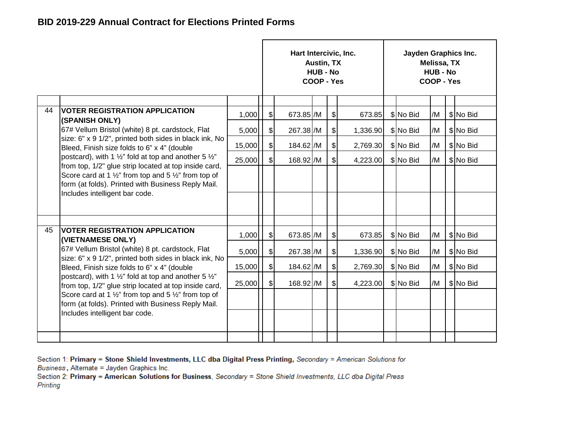|    |                                                                                                                                      |        |                              | Hart Intercivic, Inc. | Austin, TX<br><b>HUB - No</b><br>COOP - Yes |               |          | Jayden Graphics Inc. | Melissa, TX<br><b>HUB - No</b><br>COOP - Yes |           |
|----|--------------------------------------------------------------------------------------------------------------------------------------|--------|------------------------------|-----------------------|---------------------------------------------|---------------|----------|----------------------|----------------------------------------------|-----------|
|    |                                                                                                                                      |        |                              |                       |                                             |               |          |                      |                                              |           |
| 44 | <b>VOTER REGISTRATION APPLICATION</b>                                                                                                | 1,000  | $\frac{1}{2}$                | 673.85 /M             |                                             | \$            | 673.85   | \$No Bid             | /M                                           | \$No Bid  |
|    | (SPANISH ONLY)<br>67# Vellum Bristol (white) 8 pt. cardstock, Flat                                                                   | 5,000  | $\frac{1}{2}$                | 267.38 /M             |                                             | $\mathcal{S}$ | 1,336.90 | \$ No Bid            | /M                                           | \$No Bid  |
|    | size: 6" x 9 1/2", printed both sides in black ink, No<br>Bleed, Finish size folds to 6" x 4" (double                                | 15,000 | $\frac{1}{2}$                | 184.62 /M             |                                             | $\frac{1}{2}$ | 2,769.30 | \$No Bid             | /M                                           | \$ No Bid |
|    | postcard), with 1 $\frac{1}{2}$ " fold at top and another 5 $\frac{1}{2}$ "<br>from top, 1/2" glue strip located at top inside card, | 25,000 | $\mathsf{s}$                 | 168.92 /M             |                                             | $\mathcal{S}$ | 4,223.00 | \$No Bid             | /M                                           | \$ No Bid |
|    | Score card at 1 $\frac{1}{2}$ " from top and 5 $\frac{1}{2}$ " from top of<br>form (at folds). Printed with Business Reply Mail.     |        |                              |                       |                                             |               |          |                      |                                              |           |
|    | Includes intelligent bar code.                                                                                                       |        |                              |                       |                                             |               |          |                      |                                              |           |
|    |                                                                                                                                      |        |                              |                       |                                             |               |          |                      |                                              |           |
| 45 | VOTER REGISTRATION APPLICATION<br>(VIETNAMESE ONLY)                                                                                  | 1,000  | $\left  \mathcal{L} \right $ | 673.85 /M             |                                             | \$            | 673.85   | \$No Bid             | /M                                           | \$No Bid  |
|    | 67# Vellum Bristol (white) 8 pt. cardstock, Flat                                                                                     | 5,000  | $\frac{1}{2}$                | 267.38 /M             |                                             | $\frac{1}{2}$ | 1,336.90 | \$No Bid             | /M                                           | \$No Bid  |
|    | size: 6" x 9 1/2", printed both sides in black ink, No<br>Bleed, Finish size folds to 6" x 4" (double                                | 15,000 | $\boldsymbol{\mathsf{S}}$    | 184.62 /M             |                                             | $\mathcal{S}$ | 2,769.30 | \$No Bid             | /M                                           | \$No Bid  |
|    | postcard), with 1 $\frac{1}{2}$ " fold at top and another 5 $\frac{1}{2}$ "<br>from top, 1/2" glue strip located at top inside card, | 25,000 | $\mathcal{S}$                | 168.92 /M             |                                             | $\mathcal{S}$ | 4,223.00 | \$No Bid             | /M                                           | \$No Bid  |
|    | Score card at 1 $\frac{1}{2}$ " from top and 5 $\frac{1}{2}$ " from top of<br>form (at folds). Printed with Business Reply Mail.     |        |                              |                       |                                             |               |          |                      |                                              |           |
|    | Includes intelligent bar code.                                                                                                       |        |                              |                       |                                             |               |          |                      |                                              |           |
|    |                                                                                                                                      |        |                              |                       |                                             |               |          |                      |                                              |           |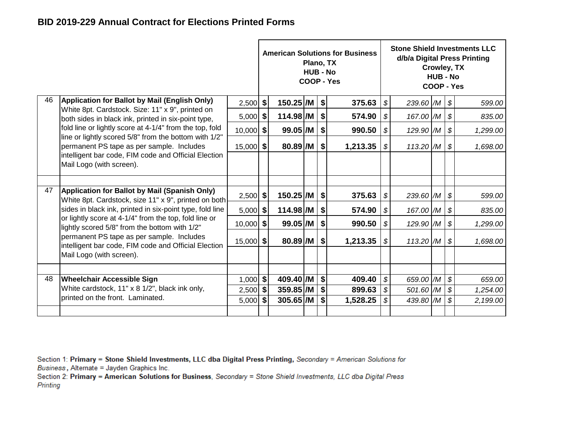|    |                                                                                                                                                                                        |             |                                             |                        | Plano, TX<br><b>HUB - No</b> |    | <b>American Solutions for Business</b><br>COOP - Yes |                            |                           | Crowley, TX<br><b>HUB - No</b><br>COOP - Yes |                            | <b>Stone Shield Investments LLC</b><br>d/b/a Digital Press Printing |
|----|----------------------------------------------------------------------------------------------------------------------------------------------------------------------------------------|-------------|---------------------------------------------|------------------------|------------------------------|----|------------------------------------------------------|----------------------------|---------------------------|----------------------------------------------|----------------------------|---------------------------------------------------------------------|
| 46 | Application for Ballot by Mail (English Only)                                                                                                                                          | $2,500$ \$  |                                             | $150.25$ /M $\vert$ \$ |                              |    | 375.63                                               | $\boldsymbol{\mathcal{S}}$ | 239.60 $/M$ $\vert$ \$    |                                              |                            | 599.00                                                              |
|    | White 8pt. Cardstock. Size: 11" x 9", printed on<br>both sides in black ink, printed in six-point type,                                                                                | $5,000$ \$  |                                             | $114.98$ /M            |                              | \$ | 574.90                                               | \$                         | 167.00 /M                 |                                              | $\boldsymbol{\mathcal{S}}$ | 835.00                                                              |
|    | fold line or lightly score at 4-1/4" from the top, fold                                                                                                                                | $10,000$ \$ |                                             | $99.05$ /M             |                              | \$ | 990.50                                               | \$                         | 129.90 /M                 |                                              | $\boldsymbol{\mathcal{S}}$ | 1,299.00                                                            |
|    | line or lightly scored 5/8" from the bottom with 1/2"<br>permanent PS tape as per sample. Includes<br>intelligent bar code, FIM code and Official Election<br>Mail Logo (with screen). | $15,000$ \$ |                                             | $80.89$ /M             |                              | \$ | 1,213.35                                             | \$                         | 113.20 $/M$ $\frac{1}{9}$ |                                              |                            | 1,698.00                                                            |
|    |                                                                                                                                                                                        |             |                                             |                        |                              |    |                                                      |                            |                           |                                              |                            |                                                                     |
| 47 | Application for Ballot by Mail (Spanish Only)<br>White 8pt. Cardstock, size 11" x 9", printed on both                                                                                  | $2,500$ \$  |                                             | 150.25 /M              |                              | \$ | 375.63                                               | \$                         | 239.60 /M                 |                                              | $\boldsymbol{\mathcal{F}}$ | 599.00                                                              |
|    | sides in black ink, printed in six-point type, fold line                                                                                                                               | $5,000$ \$  |                                             | $114.98$ /M            |                              | \$ | 574.90                                               | $\boldsymbol{\mathcal{S}}$ | 167.00 /M                 |                                              | $\boldsymbol{\mathcal{S}}$ | 835.00                                                              |
|    | or lightly score at 4-1/4" from the top, fold line or<br>lightly scored 5/8" from the bottom with 1/2"                                                                                 | $10,000$ \$ |                                             | $99.05$ /M             |                              | \$ | 990.50                                               | \$                         | 129.90 /M                 |                                              | $\boldsymbol{\mathcal{S}}$ | 1,299.00                                                            |
|    | permanent PS tape as per sample. Includes<br>intelligent bar code, FIM code and Official Election<br>Mail Logo (with screen).                                                          | $15,000$ \$ |                                             | $80.89$ /M             |                              | \$ | 1,213.35                                             | $\boldsymbol{\mathcal{S}}$ | $113.20$ $/M$             |                                              | $\boldsymbol{\mathcal{S}}$ | 1,698.00                                                            |
|    |                                                                                                                                                                                        |             |                                             |                        |                              |    |                                                      |                            |                           |                                              |                            |                                                                     |
| 48 | <b>Wheelchair Accessible Sign</b>                                                                                                                                                      | $1,000$ \$  |                                             | 409.40 /M              |                              | \$ | 409.40                                               | $\boldsymbol{\mathcal{S}}$ | 659.00 /M                 |                                              | $\boldsymbol{\mathcal{S}}$ | 659.00                                                              |
|    | White cardstock, 11" x 8 1/2", black ink only,<br>printed on the front. Laminated.                                                                                                     | $2,500$ \$  |                                             | $359.85$ /M            |                              | \$ | 899.63                                               | $\boldsymbol{\mathcal{S}}$ | 501.60 /M                 |                                              | $\boldsymbol{\mathcal{S}}$ | 1,254.00                                                            |
|    |                                                                                                                                                                                        |             | $305.65$ /M<br>\$<br>$5,000$ \$<br>1,528.25 |                        |                              |    |                                                      | \$                         | 439.80 /M                 |                                              | $\boldsymbol{\mathcal{S}}$ | 2,199.00                                                            |
|    |                                                                                                                                                                                        |             |                                             |                        |                              |    |                                                      |                            |                           |                                              |                            |                                                                     |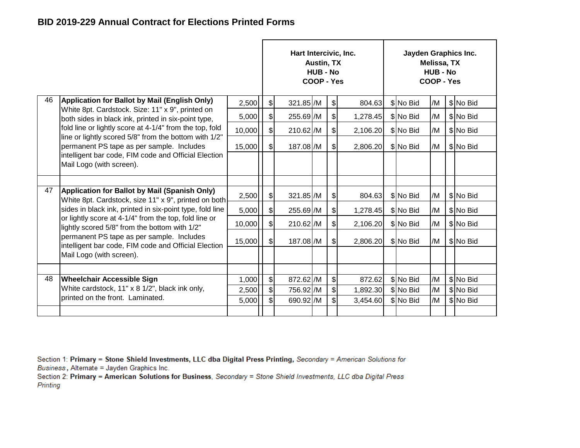|    |                                                                                                         |        |                              | Hart Intercivic, Inc. | Austin, TX<br><b>HUB - No</b><br>COOP - Yes |                |          | Jayden Graphics Inc. | Melissa, TX<br><b>HUB - No</b><br>COOP - Yes |           |
|----|---------------------------------------------------------------------------------------------------------|--------|------------------------------|-----------------------|---------------------------------------------|----------------|----------|----------------------|----------------------------------------------|-----------|
| 46 | <b>Application for Ballot by Mail (English Only)</b>                                                    | 2,500  | $\frac{1}{2}$                | 321.85 /M             |                                             | $\frac{1}{2}$  | 804.63   | \$No Bid             | /M                                           | \$No Bid  |
|    | White 8pt. Cardstock. Size: 11" x 9", printed on<br>both sides in black ink, printed in six-point type, | 5,000  | $\frac{1}{2}$                | 255.69 /M             |                                             | $\frac{1}{2}$  | 1,278.45 | \$ No Bid            | /M                                           | \$No Bid  |
|    | fold line or lightly score at 4-1/4" from the top, fold                                                 | 10,000 | $\frac{1}{2}$                | 210.62 /M             |                                             | $\frac{1}{2}$  | 2,106.20 | \$ No Bid            | /M                                           | \$ No Bid |
|    | line or lightly scored 5/8" from the bottom with 1/2"<br>permanent PS tape as per sample. Includes      | 15,000 | $\mathcal{L}$                | 187.08 /M             |                                             | $\frac{1}{2}$  | 2,806.20 | \$ No Bid            | /M                                           | \$No Bid  |
|    | intelligent bar code, FIM code and Official Election<br>Mail Logo (with screen).                        |        |                              |                       |                                             |                |          |                      |                                              |           |
|    |                                                                                                         |        |                              |                       |                                             |                |          |                      |                                              |           |
| 47 | Application for Ballot by Mail (Spanish Only)<br>White 8pt. Cardstock, size 11" x 9", printed on both   | 2,500  | \$                           | 321.85 /M             |                                             | $\frac{1}{2}$  | 804.63   | \$ No Bid            | /M                                           | \$No Bid  |
|    | sides in black ink, printed in six-point type, fold line                                                | 5,000  | $\left  \mathcal{L} \right $ | 255.69 /M             |                                             | $\frac{1}{2}$  | 1,278.45 | \$No Bid             | /M                                           | \$No Bid  |
|    | or lightly score at 4-1/4" from the top, fold line or<br>lightly scored 5/8" from the bottom with 1/2"  | 10,000 | $\mathcal{S}$                | 210.62 /M             |                                             | $\frac{1}{2}$  | 2,106.20 | \$No Bid             | /M                                           | \$ No Bid |
|    | permanent PS tape as per sample. Includes<br>intelligent bar code, FIM code and Official Election       | 15,000 | $\mathfrak{g}$               | 187.08 /M             |                                             | $\frac{1}{2}$  | 2,806.20 | \$ No Bid            | /M                                           | \$No Bid  |
|    | Mail Logo (with screen).                                                                                |        |                              |                       |                                             |                |          |                      |                                              |           |
|    |                                                                                                         |        |                              |                       |                                             |                |          |                      |                                              |           |
| 48 | <b>Wheelchair Accessible Sign</b>                                                                       | 1,000  | $\frac{1}{2}$                | 872.62 /M             |                                             | $$\mathbb{S}$$ | 872.62   | \$No Bid             | /M                                           | \$ No Bid |
|    | White cardstock, 11" x 8 1/2", black ink only,                                                          | 2,500  | $\frac{1}{2}$                | 756.92 /M             |                                             | $\frac{1}{2}$  | 1,892.30 | \$ No Bid            | /M                                           | \$ No Bid |
|    | printed on the front. Laminated.                                                                        | 5,000  | $\mathfrak{S}$               | 690.92 /M             |                                             | \$             | 3,454.60 | \$No Bid             | /M                                           | \$ No Bid |
|    |                                                                                                         |        |                              |                       |                                             |                |          |                      |                                              |           |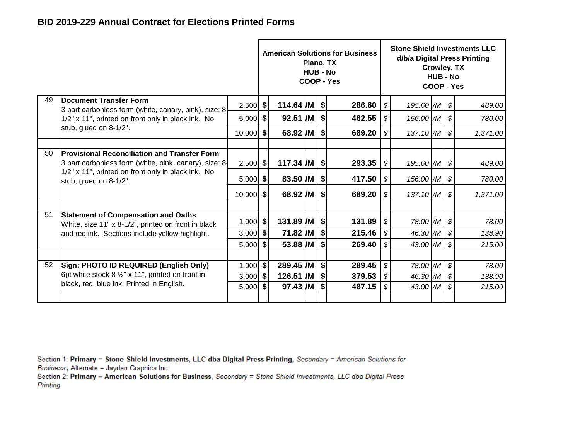|    |                                                                                                       |             |                           | Plano, TX<br><b>HUB - No</b> | <b>American Solutions for Business</b><br>COOP - Yes |                                                         |                | Crowley, TX<br><b>HUB - No</b><br>COOP - Yes |                            | <b>Stone Shield Investments LLC</b><br>d/b/a Digital Press Printing |
|----|-------------------------------------------------------------------------------------------------------|-------------|---------------------------|------------------------------|------------------------------------------------------|---------------------------------------------------------|----------------|----------------------------------------------|----------------------------|---------------------------------------------------------------------|
| 49 | <b>Document Transfer Form</b><br>3 part carbonless form (white, canary, pink), size: 8                | $2,500$ \$  | $114.64$ /M $\vert$ \$    |                              | 286.60                                               | $\boldsymbol{\mathcal{S}}$                              | 195.60 /M   \$ |                                              |                            | 489.00                                                              |
|    | 1/2" x 11", printed on front only in black ink. No                                                    | $5,000$ \$  | $92.51$ /M                |                              | \$<br>462.55                                         | \$                                                      | 156.00 /M      |                                              | \$                         | 780.00                                                              |
|    | stub, glued on 8-1/2".                                                                                | $10,000$ \$ | 68.92 /M                  |                              | \$<br>689.20                                         | $\boldsymbol{\mathcal{S}}$                              | 137.10 /M      |                                              | $\boldsymbol{\mathcal{S}}$ | 1,371.00                                                            |
|    |                                                                                                       |             |                           |                              |                                                      |                                                         |                |                                              |                            |                                                                     |
| 50 | Provisional Reconciliation and Transfer Form<br>3 part carbonless form (white, pink, canary), size: 8 | $2,500$ \$  | $117.34$ /M $\vert$ \$    |                              | 293.35                                               | \$                                                      | 195.60 /M \$   |                                              |                            | 489.00                                                              |
|    | 1/2" x 11", printed on front only in black ink. No<br>stub, glued on 8-1/2".                          | $5,000$ \$  | 83.50 /M                  |                              | \$<br>417.50                                         | \$                                                      | 156.00 /M      |                                              | $\boldsymbol{\mathcal{S}}$ | 780.00                                                              |
|    |                                                                                                       | $10,000$ \$ | 68.92 /M                  |                              | \$<br>689.20                                         | $\boldsymbol{\mathcal{S}}$                              | 137.10 /M      |                                              | \$                         | 1,371.00                                                            |
|    |                                                                                                       |             |                           |                              |                                                      |                                                         |                |                                              |                            |                                                                     |
| 51 | <b>Statement of Compensation and Oaths</b><br>White, size 11" x 8-1/2", printed on front in black     | $1,000$ \$  | $131.89$ /M $\frac{1}{9}$ |                              | 131.89                                               | $\sqrt{S}$                                              | 78.00 /M       |                                              | \$                         | 78.00                                                               |
|    | and red ink. Sections include yellow highlight.                                                       | $3,000$ \$  | 71.82 /M                  |                              | \$<br>215.46                                         | \$                                                      | 46.30 /M       |                                              | \$                         | 138.90                                                              |
|    |                                                                                                       | $5,000$ \$  | 53.88 /M                  |                              | \$<br>269.40                                         | \$                                                      | 43.00 /M       |                                              | \$                         | 215.00                                                              |
|    |                                                                                                       |             |                           |                              |                                                      |                                                         |                |                                              |                            |                                                                     |
| 52 | Sign: PHOTO ID REQUIRED (English Only)                                                                | $1,000$ \$  | 289.45 /M                 |                              | \$<br>289.45                                         | $\mathcal{S}$<br>$\boldsymbol{\mathcal{S}}$<br>78.00 /M |                |                                              |                            | 78.00                                                               |
|    | 6pt white stock 8 1/2" x 11", printed on front in<br>black, red, blue ink. Printed in English.        | $3,000$ \$  | 126.51 /M                 |                              | \$<br>379.53                                         | \$                                                      | 46.30 /M       |                                              | $\boldsymbol{\mathcal{S}}$ | 138.90                                                              |
|    |                                                                                                       | $5,000$ \$  | $97.43$ /M                |                              | \$<br>487.15                                         | $\boldsymbol{\mathcal{S}}$                              | 43.00 /M       |                                              | $\boldsymbol{\mathcal{S}}$ | 215.00                                                              |
|    |                                                                                                       |             |                           |                              |                                                      |                                                         |                |                                              |                            |                                                                     |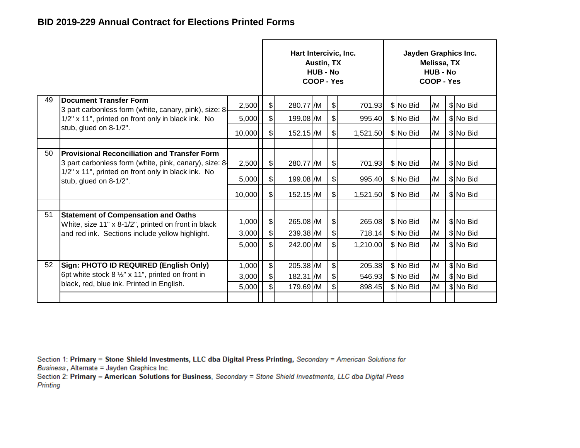|    |                                                                                                              |        |                           | Hart Intercivic, Inc. | <b>Austin, TX</b><br><b>HUB - No</b><br>COOP - Yes |                            |          | Jayden Graphics Inc. | Melissa, TX<br><b>HUB - No</b><br>COOP - Yes |           |
|----|--------------------------------------------------------------------------------------------------------------|--------|---------------------------|-----------------------|----------------------------------------------------|----------------------------|----------|----------------------|----------------------------------------------|-----------|
| 49 | <b>IDocument Transfer Form</b><br>3 part carbonless form (white, canary, pink), size: 8                      | 2,500  | $\mathcal{S}$             | 280.77 /M             |                                                    | \$                         | 701.93   | \$No Bid             | /M                                           | \$No Bid  |
|    | 1/2" x 11", printed on front only in black ink. No                                                           | 5,000  | $\frac{1}{2}$             | 199.08 /M             |                                                    | \$                         | 995.40   | \$ No Bid            | /M                                           | \$No Bid  |
|    | stub, glued on 8-1/2".                                                                                       | 10,000 | $\frac{1}{2}$             | 152.15 /M             |                                                    | $\frac{1}{2}$              | 1,521.50 | \$ No Bid            | /M                                           | \$ No Bid |
|    |                                                                                                              |        |                           |                       |                                                    |                            |          |                      |                                              |           |
| 50 | <b>Provisional Reconciliation and Transfer Form</b><br>3 part carbonless form (white, pink, canary), size: 8 | 2,500  | $\frac{1}{2}$             | 280.77 /M             |                                                    | $\frac{1}{2}$              | 701.93   | \$ No Bid            | /M                                           | \$No Bid  |
|    | 1/2" x 11", printed on front only in black ink. No<br>stub, glued on 8-1/2".                                 | 5,000  | $\frac{1}{2}$             | 199.08 /M             |                                                    | \$                         | 995.40   | \$ No Bid            | /M                                           | \$No Bid  |
|    |                                                                                                              | 10,000 | $\frac{1}{2}$             | 152.15 /M             |                                                    | \$                         | 1,521.50 | \$No Bid             | /M                                           | \$ No Bid |
|    |                                                                                                              |        |                           |                       |                                                    |                            |          |                      |                                              |           |
| 51 | <b>Statement of Compensation and Oaths</b><br>White, size 11" x 8-1/2", printed on front in black            | 1,000  | $\frac{1}{2}$             | 265.08 /M             |                                                    | $\frac{1}{2}$              | 265.08   | \$ No Bid            | /M                                           | \$No Bid  |
|    | and red ink. Sections include yellow highlight.                                                              | 3,000  | $\frac{1}{2}$             | 239.38 /M             |                                                    | $\boldsymbol{\mathsf{\$}}$ | 718.14   | \$No Bid             | /M                                           | \$ No Bid |
|    |                                                                                                              | 5,000  | $\mathsf{s}$              | 242.00 /M             |                                                    | \$                         | 1,210.00 | \$No Bid             | /M                                           | \$ No Bid |
|    |                                                                                                              |        |                           |                       |                                                    |                            |          |                      |                                              |           |
| 52 | Sign: PHOTO ID REQUIRED (English Only)                                                                       | 1,000  | $\boldsymbol{\mathsf{S}}$ | 205.38 /M             |                                                    | $\frac{1}{2}$              | 205.38   | \$No Bid             | /M                                           | \$ No Bid |
|    | 6pt white stock $8\frac{1}{2}$ " x 11", printed on front in                                                  | 3,000  | $\frac{1}{2}$             | 182.31 /M             |                                                    | \$                         | 546.93   | \$No Bid             | /M                                           | \$ No Bid |
|    | black, red, blue ink. Printed in English.                                                                    | 5,000  | $\mathbb{S}$              | 179.69 / M            |                                                    | \$                         | 898.45   | \$No Bid             | /M                                           | \$ No Bid |
|    |                                                                                                              |        |                           |                       |                                                    |                            |          |                      |                                              |           |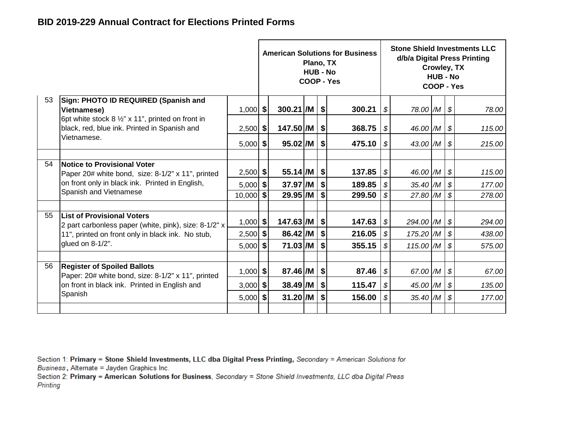|    |                                                                                                   |             |                        | Plano, TX<br><b>HUB - No</b> |            | <b>American Solutions for Business</b><br>COOP - Yes |                            |               | Crowley, TX<br><b>HUB - No</b><br>COOP - Yes |                            | <b>Stone Shield Investments LLC</b><br>d/b/a Digital Press Printing |
|----|---------------------------------------------------------------------------------------------------|-------------|------------------------|------------------------------|------------|------------------------------------------------------|----------------------------|---------------|----------------------------------------------|----------------------------|---------------------------------------------------------------------|
| 53 | Sign: PHOTO ID REQUIRED (Spanish and<br><b>Vietnamese)</b>                                        | $1,000$ \$  | 300.21 /M   \$         |                              |            | 300.21                                               | \$                         | 78.00 /M \$   |                                              |                            | 78.00                                                               |
|    | 6pt white stock 8 1/2" x 11", printed on front in<br>black, red, blue ink. Printed in Spanish and | $2,500$ \$  | $147.50$ /M $ $ \$     |                              |            | 368.75                                               | \$                         | 46.00 /M \$   |                                              |                            | 115.00                                                              |
|    | Vietnamese.                                                                                       | $5,000$ \$  | $95.02$ /M $\mid$ \$   |                              |            | 475.10                                               | $\mathcal{S}$              | 43.00 $/M$ \$ |                                              |                            | 215.00                                                              |
| 54 | Notice to Provisional Voter<br>Paper 20# white bond, size: 8-1/2" x 11", printed                  | $2,500$ \$  | $55.14$ /M   \$        |                              |            | 137.85                                               | $\sqrt{s}$                 | 46.00 /M   \$ |                                              |                            | 115.00                                                              |
|    | on front only in black ink. Printed in English,<br>Spanish and Vietnamese                         | $5,000$ \$  | 37.97 /M               |                              | \$         | 189.85                                               | $\mathcal{S}$              | $35.40$ /M    |                                              | $\boldsymbol{\mathcal{S}}$ | 177.00                                                              |
|    |                                                                                                   | $10,000$ \$ | 29.95 /M               |                              | \$         | 299.50                                               | \$                         | 27.80 /M      |                                              | $\mathcal{S}$              | 278.00                                                              |
| 55 | <b>List of Provisional Voters</b><br>2 part carbonless paper (white, pink), size: 8-1/2" x        | $1,000$ \$  | $147.63$ /M $\vert$ \$ |                              |            | 147.63                                               | l \$                       | 294.00 /M     |                                              | \$                         | 294.00                                                              |
|    | 11", printed on front only in black ink. No stub,                                                 | $2,500$ \$  | $86.42$ /M             |                              | \$         | 216.05                                               | $\boldsymbol{\mathcal{S}}$ | 175.20 /M     |                                              | $\boldsymbol{\mathcal{S}}$ | 438.00                                                              |
|    | glued on 8-1/2".                                                                                  | $5,000$ \$  | 71.03 /M               |                              | \$         | 355.15                                               | -\$                        | 115.00 /M     |                                              | $\boldsymbol{\mathcal{S}}$ | 575.00                                                              |
| 56 |                                                                                                   |             |                        |                              |            |                                                      |                            |               |                                              |                            |                                                                     |
|    | <b>Register of Spoiled Ballots</b><br>Paper: 20# white bond, size: 8-1/2" x 11", printed          | $1,000$ \$  | 87.46 /M               |                              | \$         | 87.46                                                | <b>S</b>                   | 67.00 $/M$ \$ |                                              |                            | 67.00                                                               |
|    | on front in black ink. Printed in English and                                                     | $3,000$ \$  | $38.49$ /M             |                              | $\sqrt{3}$ | 115.47                                               | \$                         | 45.00 /M      |                                              | $\boldsymbol{\mathcal{S}}$ | 135.00                                                              |
|    | Spanish                                                                                           | $5,000$ \$  | 31.20/M                |                              | \$         | 156.00                                               | \$                         | $35.40$ $/M$  |                                              | $\boldsymbol{\mathcal{S}}$ | 177.00                                                              |
|    |                                                                                                   |             |                        |                              |            |                                                      |                            |               |                                              |                            |                                                                     |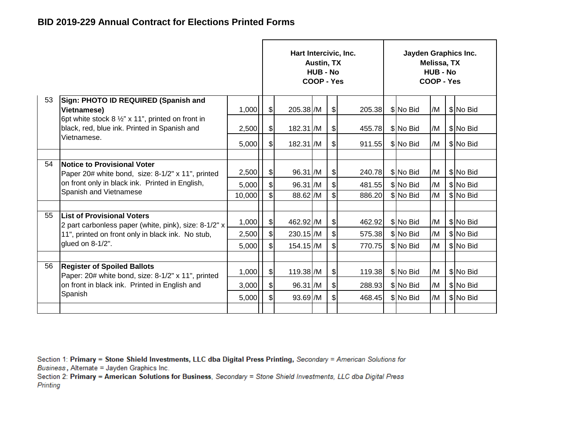|    |                                                                                                             |        |                | Hart Intercivic, Inc. | Austin, TX<br>HUB - No<br>COOP - Yes |                             |        | Jayden Graphics Inc. | Melissa, TX<br><b>HUB - No</b><br>COOP - Yes |           |
|----|-------------------------------------------------------------------------------------------------------------|--------|----------------|-----------------------|--------------------------------------|-----------------------------|--------|----------------------|----------------------------------------------|-----------|
| 53 | Sign: PHOTO ID REQUIRED (Spanish and<br><b>Vietnamese)</b>                                                  | 1,000  | \$             | 205.38 /M             |                                      | $\frac{1}{2}$               | 205.38 | \$No Bid             | /M                                           | \$No Bid  |
|    | 6pt white stock $8\frac{1}{2}$ " x 11", printed on front in<br>black, red, blue ink. Printed in Spanish and | 2,500  | \$             | 182.31 /M             |                                      | $\boldsymbol{\hat{\theta}}$ | 455.78 | \$ No Bid            | /M                                           | \$No Bid  |
|    | Vietnamese.                                                                                                 | 5,000  | \$             | 182.31 /M             |                                      | \$                          | 911.55 | \$ No Bid            | /M                                           | \$ No Bid |
|    |                                                                                                             |        |                |                       |                                      |                             |        |                      |                                              |           |
| 54 | Notice to Provisional Voter<br>Paper 20# white bond, size: 8-1/2" x 11", printed                            | 2,500  | \$             | 96.31 /M              |                                      | $\frac{1}{2}$               | 240.78 | \$ No Bid            | /M                                           | \$No Bid  |
|    | on front only in black ink. Printed in English,                                                             | 5,000  | \$             | 96.31 /M              |                                      | $\frac{1}{2}$               | 481.55 | \$No Bid             | /M                                           | \$No Bid  |
|    | Spanish and Vietnamese                                                                                      | 10,000 | $\mathfrak{S}$ | 88.62 /M              |                                      | $\mathbb{S}$                | 886.20 | \$No Bid             | /M                                           | \$ No Bid |
|    |                                                                                                             |        |                |                       |                                      |                             |        |                      |                                              |           |
| 55 | <b>List of Provisional Voters</b><br>2 part carbonless paper (white, pink), size: 8-1/2" x                  | 1,000  | $\frac{1}{2}$  | 462.92 / M            |                                      | $\mathcal{S}$               | 462.92 | \$ No Bid            | /M                                           | \$ No Bid |
|    | 11", printed on front only in black ink. No stub,                                                           | 2,500  | $\frac{1}{2}$  | 230.15 /M             |                                      | \$                          | 575.38 | \$ No Bid            | /M                                           | \$ No Bid |
|    | glued on 8-1/2".                                                                                            | 5,000  | $\mathfrak{S}$ | 154.15 /M             |                                      | $\mathfrak{S}$              | 770.75 | \$ No Bid            | /M                                           | \$No Bid  |
|    |                                                                                                             |        |                |                       |                                      |                             |        |                      |                                              |           |
| 56 | <b>Register of Spoiled Ballots</b><br>Paper: 20# white bond, size: 8-1/2" x 11", printed                    | 1,000  | \$             | 119.38 /M             |                                      | $\frac{1}{2}$               | 119.38 | \$ No Bid            | /M                                           | \$ No Bid |
|    | on front in black ink. Printed in English and                                                               | 3,000  | $\frac{1}{2}$  | 96.31 /M              |                                      | $\frac{1}{2}$               | 288.93 | \$ No Bid            | /M                                           | \$No Bid  |
|    | Spanish                                                                                                     | 5,000  | \$             | $93.69$ /M            |                                      | \$                          | 468.45 | \$No Bid             | /M                                           | \$No Bid  |
|    |                                                                                                             |        |                |                       |                                      |                             |        |                      |                                              |           |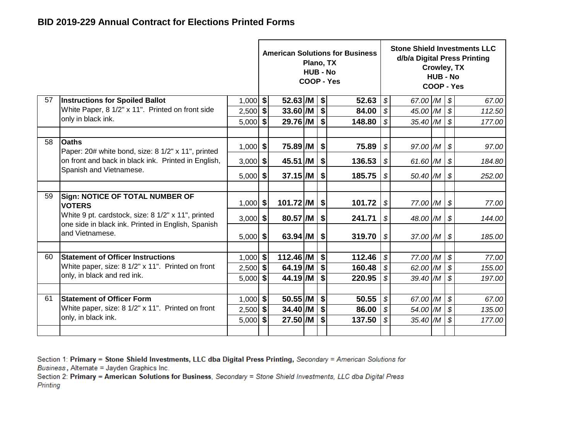|    |                                                                                                        |                          |                                       |                          | Plano, TX<br><b>HUB - No</b> |                   | <b>American Solutions for Business</b><br>COOP - Yes |                                  |                      | Crowley, TX<br><b>HUB - No</b><br>COOP - Yes |                                  | <b>Stone Shield Investments LLC</b><br>d/b/a Digital Press Printing |
|----|--------------------------------------------------------------------------------------------------------|--------------------------|---------------------------------------|--------------------------|------------------------------|-------------------|------------------------------------------------------|----------------------------------|----------------------|----------------------------------------------|----------------------------------|---------------------------------------------------------------------|
| 57 | <b>Instructions for Spoiled Ballot</b>                                                                 | 1,000                    | $\vert$                               | $52.63$ /M               |                              | \$                | 52.63                                                | \$                               | 67.00 /M             |                                              | $\boldsymbol{\mathcal{S}}$       | 67.00                                                               |
|    | White Paper, 8 1/2" x 11". Printed on front side                                                       | $2,500$ \$               |                                       | 33.60/M                  |                              | $\frac{1}{2}$     | 84.00                                                | $\boldsymbol{\mathcal{S}}$       | 45.00 /M             |                                              | $\boldsymbol{\mathcal{S}}$       | 112.50                                                              |
|    | only in black ink.                                                                                     | $5,000$ \$               |                                       | 29.76 /M                 |                              | \$                | 148.80                                               | \$                               | 35.40 /M             |                                              | $\boldsymbol{\mathcal{S}}$       | 177.00                                                              |
| 58 | <b>Oaths</b><br>Paper: 20# white bond, size: 8 1/2" x 11", printed                                     | $1,000$ \$               |                                       | 75.89 /M                 |                              | $\sqrt{2}$        | 75.89                                                | $\boldsymbol{\mathcal{S}}$       | 97.00 /M             |                                              | $\boldsymbol{\mathcal{S}}$       | 97.00                                                               |
|    | on front and back in black ink. Printed in English,                                                    | $3,000$ \$               | 136.53<br>45.51 /M<br>\$              |                          |                              |                   |                                                      | \$                               | 61.60 /M             |                                              | $\boldsymbol{\mathcal{S}}$       | 184.80                                                              |
|    | Spanish and Vietnamese.                                                                                | $5,000$ \$               |                                       | $37.15$ /M $\frac{1}{9}$ |                              |                   | 185.75                                               | \$                               | 50.40 /M             |                                              | $\boldsymbol{\mathcal{S}}$       | 252.00                                                              |
| 59 | Sign: NOTICE OF TOTAL NUMBER OF<br><b>VOTERS</b><br>White 9 pt. cardstock, size: 8 1/2" x 11", printed | $1,000$ \$               |                                       | 101.72 /M<br>80.57 /M    |                              | $\sqrt{2}$        | 101.72<br>241.71                                     | $\sqrt{3}$                       | 77.00 /M             |                                              | \$                               | 77.00                                                               |
|    | one side in black ink. Printed in English, Spanish<br>and Vietnamese.                                  | $3,000$ \$<br>$5,000$ \$ |                                       | $63.94$ /M               |                              | \$<br>\$          | 319.70                                               | $\boldsymbol{\mathcal{S}}$<br>\$ | 48.00 /M<br>37.00 /M |                                              | $\boldsymbol{\mathcal{S}}$<br>\$ | 144.00<br>185.00                                                    |
| 60 | <b>Statement of Officer Instructions</b>                                                               | $1,000$ \$               |                                       | $112.46$ /M              |                              | $\sqrt{2}$        | 112.46                                               | $\boldsymbol{\mathcal{S}}$       | 77.00 /M             |                                              | $\boldsymbol{\mathcal{S}}$       | 77.00                                                               |
|    | White paper, size: 8 1/2" x 11". Printed on front                                                      | $2,500$ \$               |                                       | $64.19$ /M               |                              | \$                | 160.48                                               | $\boldsymbol{\mathcal{S}}$       | 62.00 /M             |                                              | $\boldsymbol{\mathcal{S}}$       | 155.00                                                              |
|    | only, in black and red ink.                                                                            | 5,000                    | \$                                    | 44.19 /M                 |                              | \$                | 220.95                                               | \$                               | 39.40 /M             |                                              | \$                               | 197.00                                                              |
| 61 | <b>Statement of Officer Form</b>                                                                       |                          | 50.55 /M<br>\$<br>50.55<br>$1,000$ \$ |                          |                              |                   |                                                      | $\boldsymbol{\mathcal{S}}$       | 67.00 /M             |                                              | \$                               | 67.00                                                               |
|    | White paper, size: 8 1/2" x 11". Printed on front                                                      | $2,500$ \$               |                                       | $34.40$ /M               |                              | $\boldsymbol{\$}$ | 86.00                                                | $\boldsymbol{\mathcal{F}}$       | 54.00 /M             |                                              | $\boldsymbol{\mathcal{S}}$       | 135.00                                                              |
|    | only, in black ink.                                                                                    | 5,000                    | $27.50$ /M<br>\$<br>\$                |                          |                              |                   | 137.50                                               | $\mathcal{S}$                    | 35.40 /M             |                                              | $\boldsymbol{\mathcal{S}}$       | 177.00                                                              |
|    |                                                                                                        |                          |                                       |                          |                              |                   |                                                      |                                  |                      |                                              |                                  |                                                                     |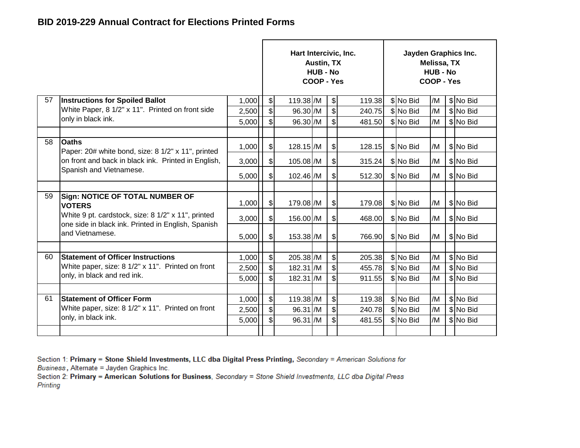|    |                                                                                                          |       |                              | Hart Intercivic, Inc. | <b>Austin, TX</b><br><b>HUB - No</b><br>COOP - Yes |                           |        | Jayden Graphics Inc. | Melissa, TX<br><b>HUB - No</b><br>COOP - Yes |           |
|----|----------------------------------------------------------------------------------------------------------|-------|------------------------------|-----------------------|----------------------------------------------------|---------------------------|--------|----------------------|----------------------------------------------|-----------|
| 57 | <b>Instructions for Spoiled Ballot</b>                                                                   | 1,000 | $\left  \mathcal{L} \right $ | 119.38 /M             |                                                    | \$                        | 119.38 | \$No Bid             | /M                                           | \$ No Bid |
|    | White Paper, 8 1/2" x 11". Printed on front side                                                         | 2,500 | $\mathbb S$                  | 96.30 /M              |                                                    | $\boldsymbol{\mathsf{S}}$ | 240.75 | \$No Bid             | /M                                           | \$ No Bid |
|    | only in black ink.                                                                                       | 5,000 | \$                           | 96.30 /M              |                                                    | \$                        | 481.50 | \$No Bid             | /M                                           | \$ No Bid |
|    |                                                                                                          |       |                              |                       |                                                    |                           |        |                      |                                              |           |
| 58 | <b>Oaths</b><br>Paper: 20# white bond, size: 8 1/2" x 11", printed                                       | 1,000 | $\boldsymbol{\mathsf{S}}$    | 128.15 /M             |                                                    | $\frac{1}{2}$             | 128.15 | \$ No Bid            | /M                                           | \$ No Bid |
|    | on front and back in black ink. Printed in English,                                                      | 3,000 | \$                           | 105.08 /M             |                                                    | $\frac{1}{2}$             | 315.24 | \$No Bid             | /M                                           | \$No Bid  |
|    | Spanish and Vietnamese.                                                                                  | 5,000 | \$                           | 102.46 /M             |                                                    | \$                        | 512.30 | \$No Bid             | /M                                           | \$ No Bid |
|    |                                                                                                          |       |                              |                       |                                                    |                           |        |                      |                                              |           |
| 59 | <b>Sign: NOTICE OF TOTAL NUMBER OF</b><br><b>VOTERS</b>                                                  | 1,000 | $\left  \mathcal{S} \right $ | 179.08 /M             |                                                    | \$                        | 179.08 | \$ No Bid            | /M                                           | \$No Bid  |
|    | White 9 pt. cardstock, size: 8 1/2" x 11", printed<br>one side in black ink. Printed in English, Spanish | 3,000 | $\frac{1}{2}$                | 156.00 /M             |                                                    | \$                        | 468.00 | \$ No Bid            | /M                                           | \$No Bid  |
|    | and Vietnamese.                                                                                          | 5,000 | $\mathcal{S}$                | 153.38 /M             |                                                    | $\frac{1}{2}$             | 766.90 | \$ No Bid            | /M                                           | \$No Bid  |
|    |                                                                                                          |       |                              |                       |                                                    |                           |        |                      |                                              |           |
| 60 | <b>Statement of Officer Instructions</b>                                                                 | 1,000 | $\frac{1}{2}$                | 205.38 /M             |                                                    | $\frac{1}{2}$             | 205.38 | \$ No Bid            | /M                                           | \$ No Bid |
|    | White paper, size: 8 1/2" x 11". Printed on front                                                        | 2,500 | $\mathcal{S}$                | 182.31 /M             |                                                    | \$                        | 455.78 | \$ No Bid            | /M                                           | \$ No Bid |
|    | only, in black and red ink.                                                                              | 5,000 | \$                           | 182.31 /M             |                                                    | \$                        | 911.55 | \$No Bid             | /M                                           | \$ No Bid |
|    |                                                                                                          |       |                              |                       |                                                    |                           |        |                      |                                              |           |
| 61 | <b>Statement of Officer Form</b>                                                                         | 1,000 | $\frac{1}{2}$                | 119.38 /M             |                                                    | $\boldsymbol{\mathsf{S}}$ | 119.38 | \$No Bid             | /M                                           | \$ No Bid |
|    | White paper, size: 8 1/2" x 11". Printed on front                                                        | 2,500 | \$                           | 96.31 /M              |                                                    | $\boldsymbol{\$}$         | 240.78 | \$No Bid             | /M                                           | \$ No Bid |
|    | only, in black ink.                                                                                      | 5,000 | $\mathfrak{S}$               | 96.31 /M              |                                                    | \$                        | 481.55 | \$No Bid             | /M                                           | \$ No Bid |
|    |                                                                                                          |       |                              |                       |                                                    |                           |        |                      |                                              |           |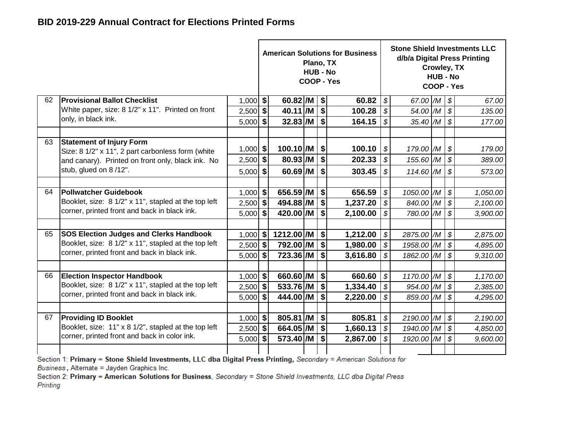|    |                                                                            |                          |                           | Plano, TX<br><b>HUB - No</b> |                         | <b>American Solutions for Business</b><br>COOP - Yes |                            |                           | Crowley, TX<br><b>HUB - No</b><br>COOP - Yes |                            | <b>Stone Shield Investments LLC</b><br>d/b/a Digital Press Printing |
|----|----------------------------------------------------------------------------|--------------------------|---------------------------|------------------------------|-------------------------|------------------------------------------------------|----------------------------|---------------------------|----------------------------------------------|----------------------------|---------------------------------------------------------------------|
| 62 | <b>Provisional Ballot Checklist</b>                                        | $1,000$ \$               | $60.82$ /M $\frac{1}{9}$  |                              |                         | 60.82                                                | \$                         | 67.00 $/M$ \$             |                                              |                            | 67.00                                                               |
|    | White paper, size: 8 1/2" x 11". Printed on front                          | $2,500$ \$               | $40.11$ /M $\frac{1}{9}$  |                              |                         | 100.28                                               | \$                         | $54.00$ $/M$ \$           |                                              |                            | 135.00                                                              |
|    | only, in black ink.                                                        | $5,000$ \$               | $32.83$ /M $\frac{1}{9}$  |                              |                         | 164.15                                               | $\mathcal{S}$              | $35.40$ /M $\frac{1}{9}$  |                                              |                            | 177.00                                                              |
|    |                                                                            |                          |                           |                              |                         |                                                      |                            |                           |                                              |                            |                                                                     |
| 63 | <b>Statement of Injury Form</b>                                            | $1,000$ \$               | $100.10$ /M $ $ \$        |                              |                         | 100.10                                               | \$                         | $179.00$ /M $\frac{1}{9}$ |                                              |                            | 179.00                                                              |
|    | Size: 8 1/2" x 11", 2 part carbonless form (white                          | $2,500$ \$               | 80.93 /M                  |                              | $\sqrt{3}$              | 202.33                                               | \$                         | $155.60$ /M $\$$          |                                              |                            | 389.00                                                              |
|    | and canary). Printed on front only, black ink. No<br>stub, glued on 8/12". |                          |                           |                              |                         |                                                      |                            |                           |                                              |                            |                                                                     |
|    |                                                                            | $5,000$ \$               | $60.69$ /M                |                              | $\vert$ \$              | 303.45                                               | \$                         | $114.60$ /M $\$$          |                                              |                            | 573.00                                                              |
| 64 | <b>Pollwatcher Guidebook</b>                                               |                          | 656.59 /M $ $ \$          |                              |                         | 656.59                                               | \$                         | 1050.00 /M                |                                              | $\mathcal{S}$              |                                                                     |
|    | Booklet, size: 8 1/2" x 11", stapled at the top left                       | $1,000$ \$<br>$2,500$ \$ | 494.88 /M \$              |                              |                         | 1,237.20                                             | \$                         | 840.00 /M \$              |                                              |                            | 1,050.00                                                            |
|    | corner, printed front and back in black ink.                               | $5,000$ \$               | 420.00 /M                 |                              | $\overline{\mathbf{3}}$ | 2,100.00                                             | \$                         | 780.00 /M \$              |                                              |                            | 2,100.00<br>3,900.00                                                |
|    |                                                                            |                          |                           |                              |                         |                                                      |                            |                           |                                              |                            |                                                                     |
| 65 | <b>SOS Election Judges and Clerks Handbook</b>                             | $1,000$ \$               | 1212.00 /M $ $ \$         |                              |                         | 1,212.00                                             | \$                         | 2875.00 /M                |                                              | $\boldsymbol{\mathcal{S}}$ | 2,875.00                                                            |
|    | Booklet, size: 8 1/2" x 11", stapled at the top left                       | $2,500$ \$               | 792.00 /M \$              |                              |                         | 1,980.00                                             | $\boldsymbol{\mathcal{S}}$ | 1958.00 /M \$             |                                              |                            | 4,895.00                                                            |
|    | corner, printed front and back in black ink.                               | $5,000$ \$               | $723.36$ /M $\frac{1}{5}$ |                              |                         | 3,616.80                                             | \$                         | 1862.00 /M \$             |                                              |                            | 9,310.00                                                            |
|    |                                                                            |                          |                           |                              |                         |                                                      |                            |                           |                                              |                            |                                                                     |
| 66 | <b>Election Inspector Handbook</b>                                         | $1,000$ \$               | 660.60 /M   \$            |                              |                         | 660.60                                               | \$                         | 1170.00 /M                |                                              | $\sqrt{s}$                 | 1,170.00                                                            |
|    | Booklet, size: 8 1/2" x 11", stapled at the top left                       | $2,500$ \$               | $533.76$ /M $ $ \$        |                              |                         | 1,334.40                                             | $\boldsymbol{\mathcal{S}}$ | $954.00$ /M $\frac{1}{9}$ |                                              |                            | 2,385.00                                                            |
|    | corner, printed front and back in black ink.                               | $5,000$ \$               | $444.00$ /M $\frac{1}{5}$ |                              |                         | 2,220.00                                             | \$                         | 859.00 /M \$              |                                              |                            | 4,295.00                                                            |
|    |                                                                            |                          |                           |                              |                         |                                                      |                            |                           |                                              |                            |                                                                     |
| 67 | <b>Providing ID Booklet</b>                                                | $1,000$ \$               | $805.81$ /M $\frac{1}{9}$ |                              |                         | 805.81                                               | \$                         | 2190.00 /M                |                                              | \$                         | 2,190.00                                                            |
|    | Booklet, size: 11" x 8 1/2", stapled at the top left                       | $2,500$ \$               | 664.05 /M \$              |                              |                         | 1,660.13                                             | \$                         | 1940.00 /M \$             |                                              |                            | 4,850.00                                                            |
|    | corner, printed front and back in color ink.                               | $5,000$ \$               | 573.40 /M                 |                              | $\overline{\bullet}$    | 2,867.00                                             | \$                         | 1920.00 /M \$             |                                              |                            | 9,600.00                                                            |
|    |                                                                            |                          |                           |                              |                         |                                                      |                            |                           |                                              |                            |                                                                     |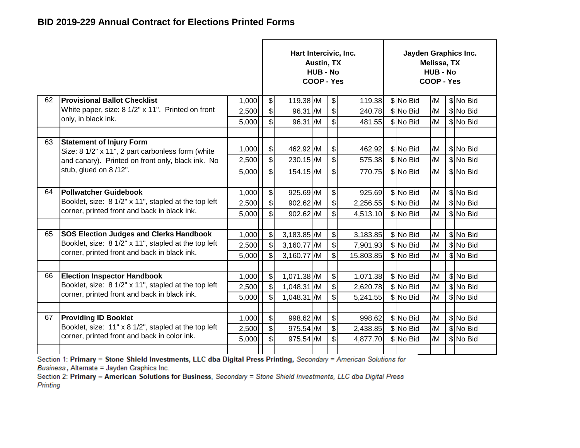|    |                                                                                      |       |                              | Hart Intercivic, Inc. | Austin, TX<br><b>HUB - No</b><br>COOP - Yes |                              |           | Jayden Graphics Inc. | Melissa, TX<br><b>HUB - No</b><br>COOP - Yes |           |
|----|--------------------------------------------------------------------------------------|-------|------------------------------|-----------------------|---------------------------------------------|------------------------------|-----------|----------------------|----------------------------------------------|-----------|
| 62 | <b>Provisional Ballot Checklist</b>                                                  | 1,000 | $\mathcal{S}$                | 119.38 /M             |                                             | $\frac{1}{2}$                | 119.38    | \$No Bid             | /M                                           | \$ No Bid |
|    | White paper, size: 8 1/2" x 11". Printed on front                                    | 2,500 | $\boldsymbol{\mathsf{S}}$    | 96.31 /M              |                                             | \$                           | 240.78    | \$No Bid             | /M                                           | \$ No Bid |
|    | only, in black ink.                                                                  | 5,000 | \$                           | 96.31 /M              |                                             | \$                           | 481.55    | \$No Bid             | /M                                           | \$ No Bid |
|    |                                                                                      |       |                              |                       |                                             |                              |           |                      |                                              |           |
| 63 | <b>Statement of Injury Form</b><br>Size: 8 1/2" x 11", 2 part carbonless form (white | 1,000 | \$                           | 462.92 / M            |                                             | $\frac{1}{2}$                | 462.92    | \$ No Bid            | /M                                           | \$ No Bid |
|    | and canary). Printed on front only, black ink. No                                    | 2,500 | \$                           | 230.15 /M             |                                             | \$                           | 575.38    | \$No Bid             | /M                                           | \$ No Bid |
|    | stub, glued on 8/12".                                                                | 5,000 | \$                           | 154.15 /M             |                                             | \$                           | 770.75    | \$No Bid             | /M                                           | \$ No Bid |
|    |                                                                                      |       |                              |                       |                                             |                              |           |                      |                                              |           |
| 64 | <b>Pollwatcher Guidebook</b>                                                         | 1,000 | $\frac{1}{2}$                | 925.69 /M             |                                             | $\frac{1}{2}$                | 925.69    | \$No Bid             | /M                                           | \$ No Bid |
|    | Booklet, size: 8 1/2" x 11", stapled at the top left                                 | 2,500 | $\boldsymbol{\mathsf{S}}$    | 902.62 /M             |                                             | $\left  \mathcal{L} \right $ | 2,256.55  | \$ No Bid            | /M                                           | \$No Bid  |
|    | corner, printed front and back in black ink.                                         | 5,000 | $\mathsf{s}$                 | 902.62 /M             |                                             | \$                           | 4,513.10  | \$No Bid             | /M                                           | \$ No Bid |
|    |                                                                                      |       |                              |                       |                                             |                              |           |                      |                                              |           |
| 65 | <b>SOS Election Judges and Clerks Handbook</b>                                       | 1,000 | $\left  \mathcal{S} \right $ | 3,183.85 /M           |                                             | $\frac{1}{2}$                | 3,183.85  | \$No Bid             | /M                                           | \$ No Bid |
|    | Booklet, size: 8 1/2" x 11", stapled at the top left                                 | 2,500 | $\boldsymbol{\mathsf{S}}$    | 3,160.77 /M           |                                             | $\left  \mathcal{L} \right $ | 7,901.93  | \$ No Bid            | /M                                           | \$ No Bid |
|    | corner, printed front and back in black ink.                                         | 5,000 | $\mathsf{s}$                 | 3,160.77 /M           |                                             | \$                           | 15,803.85 | \$No Bid             | /M                                           | \$ No Bid |
|    |                                                                                      |       |                              |                       |                                             |                              |           |                      |                                              |           |
| 66 | <b>Election Inspector Handbook</b>                                                   | 1,000 | $\frac{1}{2}$                | 1,071.38 /M           |                                             | $\frac{1}{2}$                | 1,071.38  | \$No Bid             | /M                                           | \$ No Bid |
|    | Booklet, size: 8 1/2" x 11", stapled at the top left                                 | 2,500 | $\boldsymbol{\mathsf{S}}$    | 1,048.31 /M           |                                             | $\frac{1}{2}$                | 2,620.78  | \$No Bid             | /M                                           | \$ No Bid |
|    | corner, printed front and back in black ink.                                         | 5,000 | $\mathcal{S}$                | 1,048.31 /M           |                                             | \$                           | 5,241.55  | \$ No Bid            | /M                                           | \$ No Bid |
|    |                                                                                      |       |                              |                       |                                             |                              |           |                      |                                              |           |
| 67 | <b>Providing ID Booklet</b>                                                          | 1,000 | $\boldsymbol{\mathsf{S}}$    | 998.62 /M             |                                             | \$                           | 998.62    | \$No Bid             | /M                                           | \$ No Bid |
|    | Booklet, size: 11" x 8 1/2", stapled at the top left                                 | 2,500 | $\left  \mathcal{L} \right $ | 975.54 /M             |                                             | $\frac{1}{2}$                | 2,438.85  | \$ No Bid            | /M                                           | \$ No Bid |
|    | corner, printed front and back in color ink.                                         | 5,000 | $\mathfrak{S}$               | 975.54 /M             |                                             | \$                           | 4,877.70  | \$No Bid             | /M                                           | \$ No Bid |
|    |                                                                                      |       |                              |                       |                                             |                              |           |                      |                                              |           |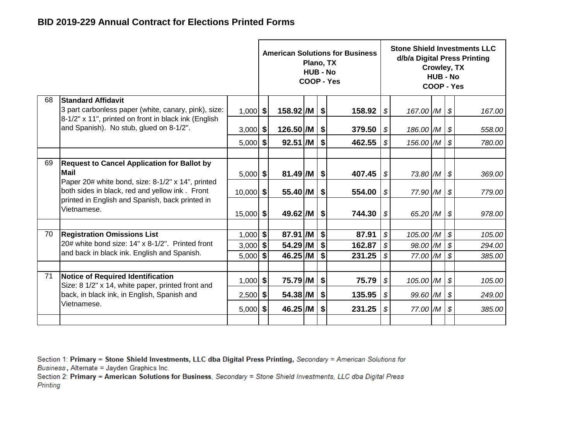|    |                                                                                                              |                          |                       | Plano, TX<br><b>HUB - No</b> |          | <b>American Solutions for Business</b><br>COOP - Yes |                                  |                      | Crowley, TX<br><b>HUB - No</b><br>COOP - Yes |                                                          | <b>Stone Shield Investments LLC</b><br>d/b/a Digital Press Printing |
|----|--------------------------------------------------------------------------------------------------------------|--------------------------|-----------------------|------------------------------|----------|------------------------------------------------------|----------------------------------|----------------------|----------------------------------------------|----------------------------------------------------------|---------------------------------------------------------------------|
| 68 | <b>Standard Affidavit</b>                                                                                    |                          |                       |                              |          |                                                      |                                  |                      |                                              |                                                          |                                                                     |
|    | 3 part carbonless paper (white, canary, pink), size:<br>8-1/2" x 11", printed on front in black ink (English | $1,000$ \$               | $158.92$ /M           |                              | \$       | 158.92                                               | \$                               | 167.00 /M            |                                              | \$                                                       | 167.00                                                              |
|    | and Spanish). No stub, glued on 8-1/2".                                                                      | $3,000$ \$               | $126.50$ /M $\mid$ \$ |                              |          | 379.50                                               | \$                               | 186.00 /M            |                                              | \$                                                       | 558.00                                                              |
|    |                                                                                                              | $5,000$ \$               | $92.51$ /M            |                              | \$       | 462.55                                               | $\boldsymbol{\mathcal{S}}$       | 156.00 /M            |                                              | $\boldsymbol{\mathcal{S}}$                               | 780.00                                                              |
|    |                                                                                                              |                          |                       |                              |          |                                                      |                                  |                      |                                              |                                                          |                                                                     |
| 69 | <b>Request to Cancel Application for Ballot by</b><br><b>Mail</b>                                            | $5,000$ \$               | $81.49$ /M $\mid$ \$  |                              |          | 407.45                                               | \$                               | 73.80 /M             |                                              | \$                                                       | 369.00                                                              |
|    | Paper 20# white bond, size: 8-1/2" x 14", printed<br>both sides in black, red and yellow ink. Front          | $10,000$ \$              | 55.40 /M              |                              | \$       | 554.00                                               | \$                               | 77.90 /M             |                                              | \$                                                       | 779.00                                                              |
|    | printed in English and Spanish, back printed in<br>Vietnamese.                                               | $15,000$ \$              | $49.62$ /M $\vert$ \$ |                              |          | 744.30                                               | \$                               | 65.20 /M             |                                              | \$                                                       | 978.00                                                              |
|    |                                                                                                              |                          |                       |                              |          |                                                      |                                  |                      |                                              |                                                          |                                                                     |
| 70 | <b>Registration Omissions List</b><br>20# white bond size: 14" x 8-1/2". Printed front                       | $1,000$ \$<br>$3,000$ \$ | 87.91 /M<br>54.29 /M  |                              | \$<br>\$ | 87.91<br>162.87                                      | \$<br>$\boldsymbol{\mathcal{S}}$ | 105.00 /M            |                                              | $\boldsymbol{\mathcal{S}}$                               | 105.00                                                              |
|    | and back in black ink. English and Spanish.                                                                  | $5,000$ \$               | 46.25 /M              |                              | \$       | 231.25                                               | \$                               | 98.00 /M<br>77.00 /M |                                              | $\boldsymbol{\mathcal{S}}$<br>$\boldsymbol{\mathcal{S}}$ | 294.00<br>385.00                                                    |
|    |                                                                                                              |                          |                       |                              |          |                                                      |                                  |                      |                                              |                                                          |                                                                     |
| 71 | Notice of Required Identification<br>Size: 8 1/2" x 14, white paper, printed front and                       | $1,000$ \$               | 75.79 /M              |                              | \$       | 75.79                                                | $\boldsymbol{\mathcal{S}}$       | 105.00 /M            |                                              | $\boldsymbol{\mathcal{S}}$                               | 105.00                                                              |
|    | back, in black ink, in English, Spanish and                                                                  | $2,500$ \$               | 54.38 /M              |                              | \$       | 135.95                                               | $\boldsymbol{\mathcal{S}}$       | 99.60 /M             |                                              | $\boldsymbol{\mathcal{S}}$                               | 249.00                                                              |
|    | Vietnamese.                                                                                                  | $5,000$ \$               | 46.25 /M              |                              | \$       | 231.25                                               | \$                               | 77.00 /M             |                                              | $\boldsymbol{\mathcal{S}}$                               | 385.00                                                              |
|    |                                                                                                              |                          |                       |                              |          |                                                      |                                  |                      |                                              |                                                          |                                                                     |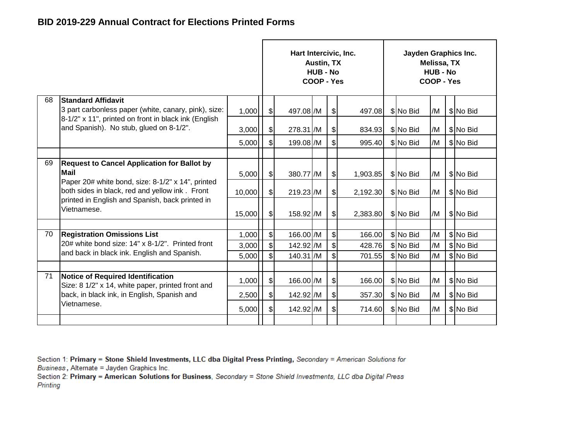|    |                                                                                                     |        |                              | Hart Intercivic, Inc. | <b>Austin, TX</b><br><b>HUB - No</b><br>COOP - Yes |                           |          | Jayden Graphics Inc. | Melissa, TX<br><b>HUB - No</b><br>COOP - Yes |           |
|----|-----------------------------------------------------------------------------------------------------|--------|------------------------------|-----------------------|----------------------------------------------------|---------------------------|----------|----------------------|----------------------------------------------|-----------|
| 68 | <b>Standard Affidavit</b><br>3 part carbonless paper (white, canary, pink), size:                   | 1,000  | \$                           | 497.08 /M             |                                                    | $\frac{1}{2}$             | 497.08   | \$No Bid             | /M                                           | \$No Bid  |
|    | 8-1/2" x 11", printed on front in black ink (English<br>and Spanish). No stub, glued on 8-1/2".     | 3,000  | $\mathcal{S}$                | 278.31 /M             |                                                    | $\frac{1}{2}$             | 834.93   | \$No Bid             | /M                                           | \$No Bid  |
|    |                                                                                                     | 5,000  | $\boldsymbol{\mathsf{S}}$    | 199.08 /M             |                                                    | $\mathbb{S}$              | 995.40   | \$No Bid             | /M                                           | \$No Bid  |
|    |                                                                                                     |        |                              |                       |                                                    |                           |          |                      |                                              |           |
| 69 | <b>Request to Cancel Application for Ballot by</b><br><b>Mail</b>                                   | 5,000  | \$                           | 380.77 /M             |                                                    | $\frac{1}{2}$             | 1,903.85 | \$ No Bid            | /M                                           | \$ No Bid |
|    | Paper 20# white bond, size: 8-1/2" x 14", printed<br>both sides in black, red and yellow ink. Front | 10,000 | \$                           | 219.23 /M             |                                                    | $\frac{1}{2}$             | 2,192.30 | \$No Bid             | /M                                           | \$ No Bid |
|    | printed in English and Spanish, back printed in<br>Vietnamese.                                      | 15,000 | $\boldsymbol{\mathsf{S}}$    | 158.92 / M            |                                                    | $\mathcal{S}$             | 2,383.80 | \$ No Bid            | /M                                           | \$ No Bid |
|    |                                                                                                     |        |                              |                       |                                                    |                           |          |                      |                                              |           |
| 70 | <b>Registration Omissions List</b>                                                                  | 1,000  | $\boldsymbol{\mathsf{S}}$    | 166.00 /M             |                                                    | $\boldsymbol{\mathsf{S}}$ | 166.00   | \$No Bid             | /M                                           | \$No Bid  |
|    | 20# white bond size: 14" x 8-1/2". Printed front<br>and back in black ink. English and Spanish.     | 3,000  | $\left  \mathcal{L} \right $ | 142.92 /M             |                                                    | $\boldsymbol{\mathsf{S}}$ | 428.76   | \$No Bid             | /M                                           | \$No Bid  |
|    |                                                                                                     | 5,000  | $\mathbb S$                  | 140.31 /M             |                                                    | $\mathbb{S}$              | 701.55   | \$No Bid             | /M                                           | \$No Bid  |
|    |                                                                                                     |        |                              |                       |                                                    |                           |          |                      |                                              |           |
| 71 | Notice of Required Identification<br>Size: 8 1/2" x 14, white paper, printed front and              | 1,000  | \$                           | 166.00 /M             |                                                    | $\frac{1}{2}$             | 166.00   | \$ No Bid            | /M                                           | \$ No Bid |
|    | back, in black ink, in English, Spanish and                                                         | 2,500  | $\frac{1}{2}$                | 142.92 /M             |                                                    | $\frac{1}{2}$             | 357.30   | \$No Bid             | /M                                           | \$No Bid  |
|    | Vietnamese.                                                                                         | 5,000  | $\frac{1}{2}$                | 142.92 /M             |                                                    | $\mathcal{S}$             | 714.60   | \$No Bid             | /M                                           | \$No Bid  |
|    |                                                                                                     |        |                              |                       |                                                    |                           |          |                      |                                              |           |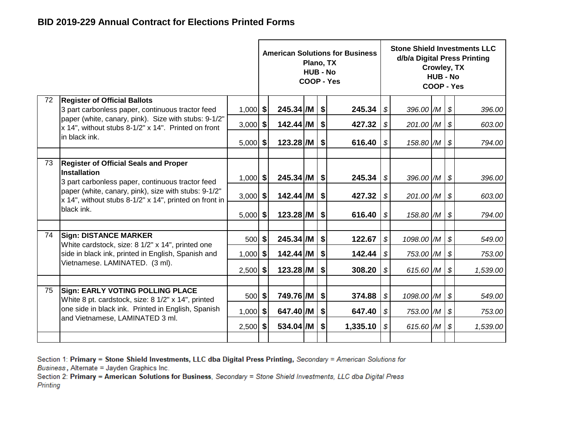|    |                                                                                                                         |            |                           | Plano, TX<br><b>HUB - No</b> | <b>American Solutions for Business</b><br>COOP - Yes |                            |            | <b>Stone Shield Investments LLC</b><br>d/b/a Digital Press Printing<br>Crowley, TX<br><b>HUB - No</b><br>COOP - Yes<br>396.00 $/M$ \$<br>201.00 /M<br>$\boldsymbol{\mathcal{S}}$<br>$158.80$ /M $\frac{1}{9}$<br>396.00 /M \$<br>201.00 /M<br>\$<br>158.80 /M<br>\$<br>1098.00 /M<br>$\boldsymbol{\mathcal{S}}$<br>753.00 /M<br>\$ |                            |          |  |  |  |  |
|----|-------------------------------------------------------------------------------------------------------------------------|------------|---------------------------|------------------------------|------------------------------------------------------|----------------------------|------------|------------------------------------------------------------------------------------------------------------------------------------------------------------------------------------------------------------------------------------------------------------------------------------------------------------------------------------|----------------------------|----------|--|--|--|--|
| 72 | <b>Register of Official Ballots</b><br>3 part carbonless paper, continuous tractor feed                                 | $1,000$ \$ | $245.34$ /M $\vert$ \$    |                              | 245.34                                               | $\sqrt{s}$                 |            |                                                                                                                                                                                                                                                                                                                                    |                            | 396.00   |  |  |  |  |
|    | paper (white, canary, pink). Size with stubs: 9-1/2"<br>x 14", without stubs 8-1/2" x 14". Printed on front             | $3,000$ \$ | $142.44$ /M               |                              | \$<br>427.32                                         | \$                         |            |                                                                                                                                                                                                                                                                                                                                    |                            | 603.00   |  |  |  |  |
|    | in black ink.                                                                                                           | $5,000$ \$ | $123.28$ /M $\frac{1}{9}$ |                              | 616.40                                               | \$                         |            |                                                                                                                                                                                                                                                                                                                                    |                            | 794.00   |  |  |  |  |
| 73 | <b>Register of Official Seals and Proper</b><br><b>Installation</b><br>3 part carbonless paper, continuous tractor feed | $1,000$ \$ | 245.34 /M   \$            |                              | 245.34                                               | $\sqrt{3}$                 |            |                                                                                                                                                                                                                                                                                                                                    |                            | 396.00   |  |  |  |  |
|    | paper (white, canary, pink), size with stubs: 9-1/2"<br>x 14", without stubs 8-1/2" x 14", printed on front in          | $3,000$ \$ | $142.44$ /M               |                              | \$<br>427.32                                         | \$                         |            |                                                                                                                                                                                                                                                                                                                                    |                            | 603.00   |  |  |  |  |
|    | black ink.                                                                                                              | $5,000$ \$ | $123.28$ /M               |                              | \$<br>616.40                                         | $\sqrt{s}$                 |            |                                                                                                                                                                                                                                                                                                                                    |                            | 794.00   |  |  |  |  |
| 74 | <b>Sign: DISTANCE MARKER</b><br>White cardstock, size: 8 1/2" x 14", printed one                                        | $500$ \$   | $245.34$ /M $\frac{1}{9}$ |                              | 122.67                                               | \$                         |            |                                                                                                                                                                                                                                                                                                                                    |                            | 549.00   |  |  |  |  |
|    | side in black ink, printed in English, Spanish and                                                                      | $1,000$ \$ | 142.44 /M                 |                              | \$<br>142.44                                         | $\sqrt{\$}$                |            |                                                                                                                                                                                                                                                                                                                                    |                            | 753.00   |  |  |  |  |
|    | Vietnamese. LAMINATED. (3 ml).                                                                                          | $2,500$ \$ | 123.28 /M                 |                              | \$<br>308.20                                         | $\boldsymbol{\mathcal{S}}$ | 615.60 /M  |                                                                                                                                                                                                                                                                                                                                    | $\boldsymbol{\mathcal{S}}$ | 1,539.00 |  |  |  |  |
| 75 | <b>Sign: EARLY VOTING POLLING PLACE</b>                                                                                 |            |                           |                              |                                                      |                            |            |                                                                                                                                                                                                                                                                                                                                    |                            |          |  |  |  |  |
|    | White 8 pt. cardstock, size: 8 1/2" x 14", printed                                                                      | 500 \$     | 749.76 /M   \$            |                              | 374.88                                               | \$                         | 1098.00 /M |                                                                                                                                                                                                                                                                                                                                    | $\boldsymbol{\mathcal{S}}$ | 549.00   |  |  |  |  |
|    | one side in black ink. Printed in English, Spanish<br>and Vietnamese, LAMINATED 3 ml.                                   | $1,000$ \$ | 647.40 /M                 |                              | \$<br>647.40                                         | \$                         | 753.00 /M  |                                                                                                                                                                                                                                                                                                                                    | $\boldsymbol{\mathcal{S}}$ | 753.00   |  |  |  |  |
|    |                                                                                                                         | $2,500$ \$ | 534.04 /M                 |                              | \$<br>1,335.10                                       | \$                         | 615.60 /M  |                                                                                                                                                                                                                                                                                                                                    | $\boldsymbol{\mathcal{S}}$ | 1,539.00 |  |  |  |  |
|    |                                                                                                                         |            |                           |                              |                                                      |                            |            |                                                                                                                                                                                                                                                                                                                                    |                            |          |  |  |  |  |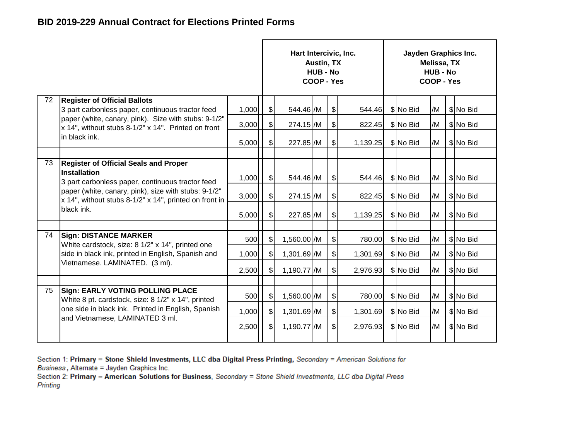|    |                                                                                                                         |       |                              | Hart Intercivic, Inc. | <b>Austin, TX</b><br><b>HUB - No</b><br>COOP - Yes |               |          | Jayden Graphics Inc. | Melissa, TX<br><b>HUB - No</b><br><b>COOP - Yes</b> |           |
|----|-------------------------------------------------------------------------------------------------------------------------|-------|------------------------------|-----------------------|----------------------------------------------------|---------------|----------|----------------------|-----------------------------------------------------|-----------|
| 72 | <b>Register of Official Ballots</b><br>3 part carbonless paper, continuous tractor feed                                 | 1,000 | $\boldsymbol{\hat{\theta}}$  | 544.46 /M             |                                                    | $\frac{1}{2}$ | 544.46   | \$No Bid             | /M                                                  | \$No Bid  |
|    | paper (white, canary, pink). Size with stubs: 9-1/2"<br>x 14", without stubs 8-1/2" x 14". Printed on front             | 3,000 | $\frac{1}{2}$                | 274.15 /M             |                                                    | $\mathcal{S}$ | 822.45   | \$No Bid             | /M                                                  | \$No Bid  |
|    | in black ink.                                                                                                           | 5,000 | $\left  \mathcal{S} \right $ | 227.85 /M             |                                                    | $\mathcal{S}$ | 1,139.25 | \$No Bid             | /M                                                  | \$ No Bid |
| 73 | <b>Register of Official Seals and Proper</b><br><b>Installation</b><br>3 part carbonless paper, continuous tractor feed | 1,000 | $\mathcal{L}$                | 544.46 /M             |                                                    | $\frac{1}{2}$ | 544.46   | \$ No Bid            | /M                                                  | \$No Bid  |
|    | paper (white, canary, pink), size with stubs: 9-1/2"<br>x 14", without stubs 8-1/2" x 14", printed on front in          | 3,000 | $\mathbb{S}$                 | 274.15 /M             |                                                    | $\frac{1}{2}$ | 822.45   | \$No Bid             | /M                                                  | \$ No Bid |
|    | black ink.                                                                                                              | 5,000 | $\mathfrak{L}$               | 227.85 / M            |                                                    | $\mathcal{L}$ | 1,139.25 | \$ No Bid            | /M                                                  | \$No Bid  |
|    |                                                                                                                         |       |                              |                       |                                                    |               |          |                      |                                                     |           |
| 74 | <b>Sign: DISTANCE MARKER</b><br>White cardstock, size: 8 1/2" x 14", printed one                                        | 500   | $\mathfrak{g}$               | 1,560.00 /M           |                                                    | $\mathcal{L}$ | 780.00   | \$ No Bid            | /M                                                  | \$ No Bid |
|    | side in black ink, printed in English, Spanish and                                                                      | 1,000 | $\mathcal{S}$                | 1,301.69 /M           |                                                    | $\frac{1}{2}$ | 1,301.69 | \$No Bid             | /M                                                  | \$No Bid  |
|    | Vietnamese. LAMINATED. (3 ml).                                                                                          | 2,500 | $\mathcal{S}$                | 1,190.77 /M           |                                                    | $\frac{1}{2}$ | 2,976.93 | \$No Bid             | /M                                                  | \$No Bid  |
|    |                                                                                                                         |       |                              |                       |                                                    |               |          |                      |                                                     |           |
| 75 | <b>Sign: EARLY VOTING POLLING PLACE</b><br>White 8 pt. cardstock, size: 8 1/2" x 14", printed                           | 500   | $\frac{1}{2}$                | 1,560.00 /M           |                                                    | $\mathcal{S}$ | 780.00   | \$No Bid             | /M                                                  | \$No Bid  |
|    | one side in black ink. Printed in English, Spanish                                                                      | 1,000 | $\mathcal{S}$                | 1,301.69 /M           |                                                    | $\mathcal{L}$ | 1,301.69 | \$No Bid             | /M                                                  | \$No Bid  |
|    | and Vietnamese, LAMINATED 3 ml.                                                                                         | 2,500 | $\mathcal{S}$                | 1,190.77 /M           |                                                    | $\mathcal{S}$ | 2,976.93 | \$No Bid             | /M                                                  | \$No Bid  |
|    |                                                                                                                         |       |                              |                       |                                                    |               |          |                      |                                                     |           |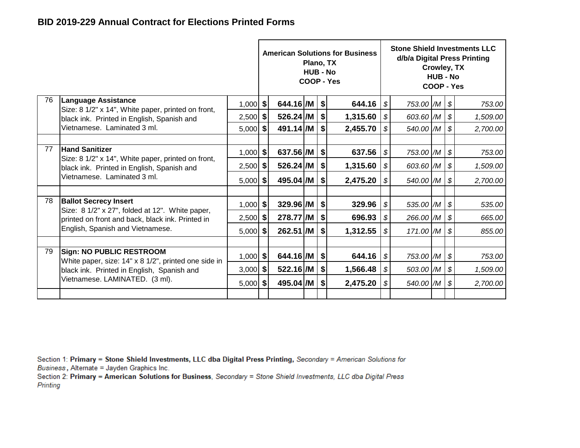|    |                                                                                         |            |                        | Plano, TX<br><b>HUB - No</b> | <b>American Solutions for Business</b><br>COOP - Yes |                            |                           | Crowley, TX<br><b>HUB - No</b><br>COOP - Yes | <b>Stone Shield Investments LLC</b><br>d/b/a Digital Press Printing |
|----|-----------------------------------------------------------------------------------------|------------|------------------------|------------------------------|------------------------------------------------------|----------------------------|---------------------------|----------------------------------------------|---------------------------------------------------------------------|
| 76 | <b>Language Assistance</b><br>Size: 8 1/2" x 14", White paper, printed on front,        | $1,000$ \$ | $644.16$ /M $\vert$ \$ |                              | 644.16 $ $ \$                                        |                            | 753.00 /M   \$            |                                              | 753.00                                                              |
|    | black ink. Printed in English, Spanish and                                              | $2,500$ \$ | 526.24 /M              |                              | 1,315.60                                             | $\sqrt{3}$                 | 603.60 /M   \$            |                                              | 1,509.00                                                            |
|    | Vietnamese. Laminated 3 ml.                                                             | $5,000$ \$ | 491.14 /M              |                              | \$<br>2,455.70                                       | \$                         | 540.00 /M                 |                                              | \$<br>2,700.00                                                      |
|    |                                                                                         |            |                        |                              |                                                      |                            |                           |                                              |                                                                     |
| 77 | <b>Hand Sanitizer</b><br>Size: 8 1/2" x 14", White paper, printed on front,             | $1,000$ \$ | 637.56 /M              |                              | \$<br>637.56                                         | $\boldsymbol{\mathcal{S}}$ | 753.00 /M                 |                                              | \$<br>753.00                                                        |
|    | black ink. Printed in English, Spanish and                                              | $2,500$ \$ | 526.24 /M              |                              | \$<br>1,315.60                                       | \$                         | 603.60 $/M$ $\vert$ \$    |                                              | 1,509.00                                                            |
|    | Vietnamese. Laminated 3 ml.                                                             | $5,000$ \$ | 495.04 /M              |                              | \$<br>2,475.20                                       | $\mathcal{S}$              | 540.00 /M                 |                                              | \$<br>2,700.00                                                      |
| 78 | <b>Ballot Secrecy Insert</b>                                                            |            |                        |                              |                                                      |                            |                           |                                              |                                                                     |
|    | Size: 8 1/2" x 27", folded at 12". White paper,                                         | $1,000$ \$ | 329.96 /M              |                              | \$<br>329.96                                         | $\sqrt{s}$                 | 535.00 /M                 |                                              | \$<br>535.00                                                        |
|    | printed on front and back, black ink. Printed in                                        | $2,500$ \$ | 278.77 /M              |                              | \$<br>696.93                                         | $\mathcal{S}$              | $266.00$ /M $\frac{1}{9}$ |                                              | 665.00                                                              |
|    | English, Spanish and Vietnamese.                                                        | $5,000$ \$ | 262.51 /M              |                              | \$<br>1,312.55                                       | $\boldsymbol{\mathcal{S}}$ | $171.00$ $/M$ $\sqrt$     |                                              | 855.00                                                              |
|    |                                                                                         |            |                        |                              |                                                      |                            |                           |                                              |                                                                     |
| 79 | <b>Sign: NO PUBLIC RESTROOM</b><br>White paper, size: 14" x 8 1/2", printed one side in | $1,000$ \$ | 644.16 /M              |                              | \$<br>644.16                                         | $\sqrt{s}$                 | 753.00 /M                 |                                              | \$<br>753.00                                                        |
|    | black ink. Printed in English, Spanish and                                              | $3,000$ \$ | 522.16 /M              |                              | \$<br>1,566.48                                       | \$                         | 503.00 $/M$ \$            |                                              | 1,509.00                                                            |
|    | Vietnamese. LAMINATED. (3 ml).                                                          | $5,000$ \$ | 495.04 /M              |                              | \$<br>2,475.20                                       | $\boldsymbol{\mathcal{S}}$ | 540.00 /M \$              |                                              | 2,700.00                                                            |
|    |                                                                                         |            |                        |                              |                                                      |                            |                           |                                              |                                                                     |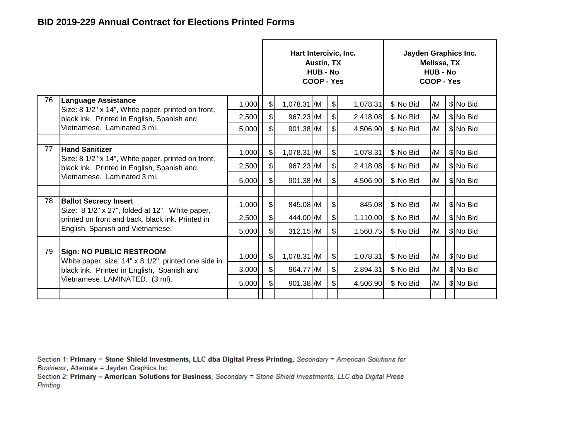|    |                                                                                                  |       |                | Hart Intercivic, Inc. | Austin, TX<br><b>HUB - No</b><br>COOP - Yes |               |          | Jayden Graphics Inc. | Melissa, TX<br><b>HUB - No</b><br>COOP - Yes |           |
|----|--------------------------------------------------------------------------------------------------|-------|----------------|-----------------------|---------------------------------------------|---------------|----------|----------------------|----------------------------------------------|-----------|
| 76 | <b>Language Assistance</b><br>Size: 8 1/2" x 14", White paper, printed on front,                 | 1,000 | \$             | 1,078.31 /M           |                                             | $\frac{1}{2}$ | 1,078.31 | \$ No Bid            | /M                                           | \$ No Bid |
|    | black ink. Printed in English, Spanish and                                                       | 2,500 | $\$\$          | 967.23 /M             |                                             | $\mathcal{S}$ | 2,418.08 | \$No Bid             | /M                                           | \$ No Bid |
|    | Vietnamese. Laminated 3 ml.                                                                      | 5,000 | $\mathfrak{S}$ | 901.38 /M             |                                             | $\mathbb{S}$  | 4,506.90 | \$No Bid             | /M                                           | \$ No Bid |
|    |                                                                                                  |       |                |                       |                                             |               |          |                      |                                              |           |
| 77 | <b>Hand Sanitizer</b>                                                                            | 1,000 | \$             | 1,078.31 /M           |                                             | $\frac{1}{2}$ | 1,078.31 | \$ No Bid            | /M                                           | \$ No Bid |
|    | Size: 8 1/2" x 14", White paper, printed on front,<br>black ink. Printed in English, Spanish and | 2,500 | $\mathcal{S}$  | 967.23 /M             |                                             | $\frac{1}{2}$ | 2,418.08 | \$ No Bid            | /M                                           | \$ No Bid |
|    | Vietnamese. Laminated 3 ml.                                                                      | 5,000 | $\mathcal{S}$  | 901.38 /M             |                                             | \$            | 4,506.90 | \$ No Bid            | /M                                           | \$No Bid  |
|    |                                                                                                  |       |                |                       |                                             |               |          |                      |                                              |           |
| 78 | <b>Ballot Secrecy Insert</b><br>Size: 8 1/2" x 27", folded at 12". White paper,                  | 1,000 | $\mathcal{S}$  | 845.08 /M             |                                             | $\frac{1}{2}$ | 845.08   | \$ No Bid            | /M                                           | \$No Bid  |
|    | printed on front and back, black ink. Printed in                                                 | 2,500 | \$             | 444.00 /M             |                                             | $\frac{1}{2}$ | 1,110.00 | \$No Bid             | /M                                           | \$No Bid  |
|    | English, Spanish and Vietnamese.                                                                 | 5,000 | \$             | $312.15$ /M           |                                             | \$            | 1,560.75 | \$No Bid             | /M                                           | \$ No Bid |
|    |                                                                                                  |       |                |                       |                                             |               |          |                      |                                              |           |
| 79 | <b>Sign: NO PUBLIC RESTROOM</b><br>White paper, size: 14" x 8 1/2", printed one side in          | 1,000 | $\mathcal{S}$  | 1,078.31 /M           |                                             | $\frac{1}{2}$ | 1,078.31 | \$No Bid             | /M                                           | \$No Bid  |
|    | black ink. Printed in English, Spanish and                                                       | 3,000 | $\frac{1}{2}$  | 964.77 /M             |                                             | $\frac{1}{2}$ | 2,894.31 | \$ No Bid            | /M                                           | \$No Bid  |
|    | Vietnamese. LAMINATED. (3 ml).                                                                   | 5,000 | $\frac{1}{2}$  | 901.38 /M             |                                             | $\frac{1}{2}$ | 4,506.90 | \$No Bid             | /M                                           | \$No Bid  |
|    |                                                                                                  |       |                |                       |                                             |               |          |                      |                                              |           |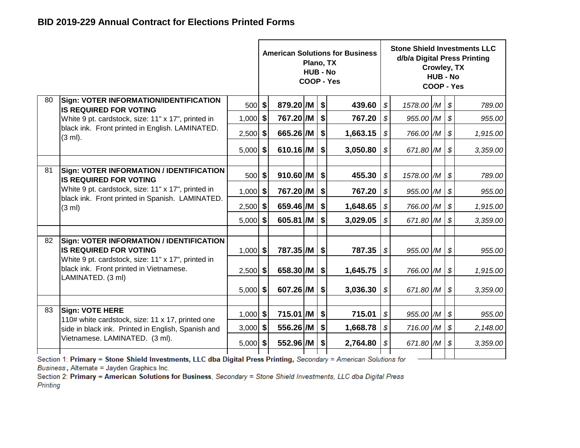|    |                                                                                                       |            |                           | Plano, TX<br><b>HUB - No</b> |    | <b>American Solutions for Business</b><br><b>COOP - Yes</b> |                            |                           | Crowley, TX<br><b>HUB - No</b><br>COOP - Yes |                            | <b>Stone Shield Investments LLC</b><br>d/b/a Digital Press Printing |
|----|-------------------------------------------------------------------------------------------------------|------------|---------------------------|------------------------------|----|-------------------------------------------------------------|----------------------------|---------------------------|----------------------------------------------|----------------------------|---------------------------------------------------------------------|
| 80 | Sign: VOTER INFORMATION/IDENTIFICATION<br><b>IS REQUIRED FOR VOTING</b>                               | $500$ \$   | $879.20$ /M $\frac{1}{9}$ |                              |    | 439.60                                                      | $\boldsymbol{\mathcal{S}}$ | 1578.00 /M \ \$           |                                              |                            | 789.00                                                              |
|    | White 9 pt. cardstock, size: 11" x 17", printed in                                                    | $1,000$ \$ | 767.20 / M                |                              | \$ | 767.20                                                      | \$                         | 955.00 /M                 |                                              | $\boldsymbol{\mathcal{S}}$ | 955.00                                                              |
|    | black ink. Front printed in English. LAMINATED.<br>$(3 \text{ ml})$ .                                 | $2,500$ \$ | 665.26 /M                 |                              | \$ | 1,663.15                                                    | $\boldsymbol{\mathcal{S}}$ | 766.00 /M                 |                                              | $\boldsymbol{\mathcal{S}}$ | 1,915.00                                                            |
|    |                                                                                                       | $5,000$ \$ | 610.16 /M                 |                              | \$ | 3,050.80                                                    | \$                         | 671.80 /M                 |                                              | $\boldsymbol{\mathcal{S}}$ | 3,359.00                                                            |
|    |                                                                                                       |            |                           |                              |    |                                                             |                            |                           |                                              |                            |                                                                     |
| 81 | <b>Sign: VOTER INFORMATION / IDENTIFICATION</b><br><b>IS REQUIRED FOR VOTING</b>                      | 500        | \$<br>910.60 /M           |                              | \$ | 455.30                                                      | $\boldsymbol{\mathcal{S}}$ | 1578.00 /M                |                                              | $\boldsymbol{\mathcal{S}}$ | 789.00                                                              |
|    | White 9 pt. cardstock, size: 11" x 17", printed in<br>black ink. Front printed in Spanish. LAMINATED. | $1,000$ \$ | 767.20 / M                |                              | \$ | 767.20                                                      | \$                         | 955.00 /M                 |                                              | \$                         | 955.00                                                              |
|    | (3 ml)                                                                                                | $2,500$ \$ | 659.46 /M                 |                              | \$ | 1,648.65                                                    | \$                         | 766.00 /M                 |                                              | $\boldsymbol{\mathcal{S}}$ | 1,915.00                                                            |
|    |                                                                                                       | $5,000$ \$ | 605.81 /M                 |                              | \$ | 3,029.05                                                    | \$                         | 671.80 /M                 |                                              | $\boldsymbol{\mathcal{S}}$ | 3,359.00                                                            |
|    |                                                                                                       |            |                           |                              |    |                                                             |                            |                           |                                              |                            |                                                                     |
| 82 | <b>Sign: VOTER INFORMATION / IDENTIFICATION</b><br><b>IIS REQUIRED FOR VOTING</b>                     | $1,000$ \$ | $787.35$ /M $\frac{1}{9}$ |                              |    | $787.35$ $\sqrt{s}$                                         |                            | $955.00$ /M $\frac{1}{9}$ |                                              |                            | 955.00                                                              |
|    | White 9 pt. cardstock, size: 11" x 17", printed in<br>black ink. Front printed in Vietnamese.         | $2,500$ \$ | 658.30 /M                 |                              | \$ | 1,645.75                                                    | $\boldsymbol{\mathcal{S}}$ | 766.00 /M                 |                                              | $\boldsymbol{\mathcal{S}}$ | 1,915.00                                                            |
|    | LAMINATED. (3 ml)                                                                                     |            |                           |                              |    |                                                             |                            |                           |                                              |                            |                                                                     |
|    |                                                                                                       | $5,000$ \$ | 607.26 /M                 |                              | \$ | 3,036.30                                                    | \$                         | 671.80 /M                 |                                              | $\boldsymbol{\mathcal{S}}$ | 3,359.00                                                            |
| 83 | Sign: VOTE HERE                                                                                       |            |                           |                              |    |                                                             |                            |                           |                                              |                            |                                                                     |
|    | 110# white cardstock, size: 11 x 17, printed one                                                      | $1,000$ \$ | 715.01 /M                 |                              | \$ | 715.01                                                      | $\boldsymbol{\mathcal{S}}$ | 955.00 /M                 |                                              | $\boldsymbol{\mathcal{S}}$ | 955.00                                                              |
|    | side in black ink. Printed in English, Spanish and                                                    | $3,000$ \$ | 556.26 /M                 |                              | \$ | 1,668.78                                                    | $\boldsymbol{\mathcal{S}}$ | 716.00 /M                 |                                              | $\boldsymbol{\mathcal{S}}$ | 2,148.00                                                            |
|    | Vietnamese. LAMINATED. (3 ml).                                                                        | $5,000$ \$ | 552.96 /M                 |                              | S. | 2,764.80                                                    | S                          | 671.80 /M                 |                                              | $\boldsymbol{\mathcal{S}}$ | 3,359.00                                                            |
|    | .                                                                                                     |            |                           |                              |    |                                                             |                            |                           |                                              |                            |                                                                     |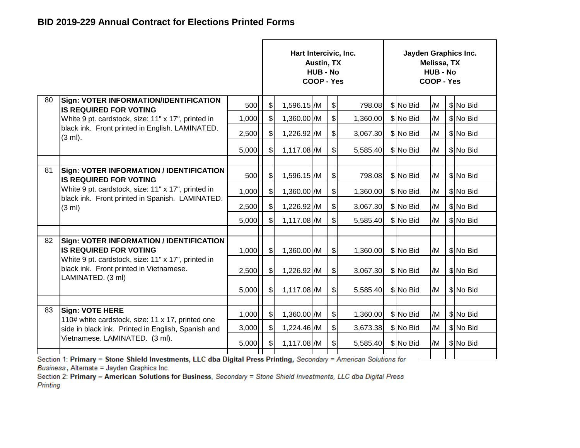|    |                                                                                               |       |                             | Hart Intercivic, Inc. | Austin, TX<br><b>HUB - No</b><br>COOP - Yes |                           |          | Jayden Graphics Inc. | Melissa, TX<br><b>HUB - No</b><br>COOP - Yes |           |
|----|-----------------------------------------------------------------------------------------------|-------|-----------------------------|-----------------------|---------------------------------------------|---------------------------|----------|----------------------|----------------------------------------------|-----------|
| 80 | Sign: VOTER INFORMATION/IDENTIFICATION<br><b>IIS REQUIRED FOR VOTING</b>                      | 500   | $\frac{1}{2}$               | 1,596.15 /M           |                                             | $\frac{1}{2}$             | 798.08   | \$ No Bid            | /M                                           | \$ No Bid |
|    | White 9 pt. cardstock, size: 11" x 17", printed in                                            | 1,000 | $\boldsymbol{\hat{\theta}}$ | 1,360.00 /M           |                                             | $\boldsymbol{\mathsf{S}}$ | 1,360.00 | \$ No Bid            | /M                                           | \$No Bid  |
|    | black ink. Front printed in English. LAMINATED.<br>(3 ml).                                    | 2,500 | $\sqrt{2}$                  | 1,226.92 / M          |                                             | $\mathcal{S}$             | 3,067.30 | \$ No Bid            | /M                                           | \$No Bid  |
|    |                                                                                               | 5,000 | $\sqrt{2}$                  | 1,117.08 /M           |                                             | $\mathcal{S}$             | 5,585.40 | \$ No Bid            | /M                                           | \$No Bid  |
|    |                                                                                               |       |                             |                       |                                             |                           |          |                      |                                              |           |
| 81 | <b>Sign: VOTER INFORMATION / IDENTIFICATION</b><br>IS REQUIRED FOR VOTING                     | 500   | $\frac{1}{2}$               | 1,596.15 / M          |                                             | \$                        | 798.08   | \$ No Bid            | /M                                           | \$ No Bid |
|    | White 9 pt. cardstock, size: 11" x 17", printed in                                            | 1,000 | $\frac{1}{2}$               | 1,360.00 /M           |                                             | $\frac{1}{2}$             | 1,360.00 | \$ No Bid            | /M                                           | \$No Bid  |
|    | black ink. Front printed in Spanish. LAMINATED.<br>(3 ml)                                     | 2,500 | $\mathcal{S}$               | 1,226.92 / M          |                                             | $\mathcal{S}$             | 3,067.30 | \$ No Bid            | /M                                           | \$ No Bid |
|    |                                                                                               | 5,000 | $\mathcal{S}$               | 1,117.08 /M           |                                             | $\mathbb{S}$              | 5,585.40 | \$ No Bid            | /M                                           | \$ No Bid |
|    |                                                                                               |       |                             |                       |                                             |                           |          |                      |                                              |           |
| 82 | <b>Sign: VOTER INFORMATION / IDENTIFICATION</b><br><b>IS REQUIRED FOR VOTING</b>              | 1,000 | $\sqrt{3}$                  | 1,360.00 /M           |                                             | $\frac{1}{2}$             | 1,360.00 | \$ No Bid            | /M                                           | \$No Bid  |
|    | White 9 pt. cardstock, size: 11" x 17", printed in<br>black ink. Front printed in Vietnamese. | 2,500 | $\mathcal{S}$               | 1,226.92 / M          |                                             | $\mathcal{S}$             | 3,067.30 | \$ No Bid            | /M                                           | \$ No Bid |
|    | LAMINATED. (3 ml)                                                                             | 5,000 | $\mathbb{S}$                | 1,117.08 /M           |                                             | $\mathcal{S}$             | 5,585.40 | \$ No Bid            | /M                                           | \$ No Bid |
|    |                                                                                               |       |                             |                       |                                             |                           |          |                      |                                              |           |
| 83 | <b>Sign: VOTE HERE</b><br>110# white cardstock, size: 11 x 17, printed one                    | 1,000 | $\sqrt{3}$                  | 1,360.00 /M           |                                             | $\frac{1}{2}$             | 1,360.00 | \$ No Bid            | /M                                           | \$No Bid  |
|    | side in black ink. Printed in English, Spanish and                                            | 3,000 | $\mathcal{S}$               | 1,224.46 /M           |                                             | $\frac{1}{2}$             | 3,673.38 | \$ No Bid            | /M                                           | \$ No Bid |
|    | Vietnamese. LAMINATED. (3 ml).                                                                | 5,000 | $\frac{1}{2}$               | 1,117.08 /M           |                                             | $\mathcal{S}$             | 5,585.40 | \$ No Bid            | /M                                           | \$No Bid  |
|    |                                                                                               |       |                             |                       |                                             |                           |          |                      |                                              |           |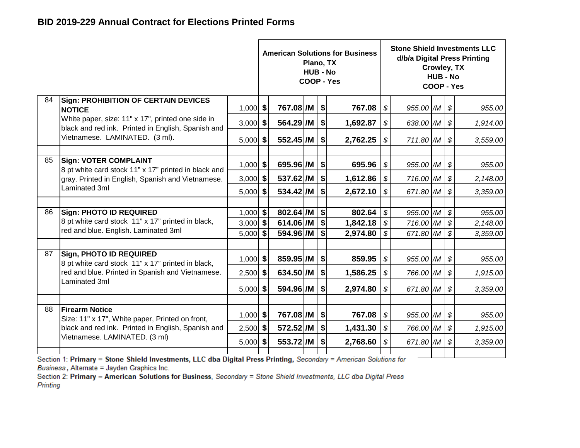|    |                                                                                                         |            |                  | Plano, TX<br><b>HUB - No</b> | <b>American Solutions for Business</b><br><b>COOP - Yes</b> |                            |                           | Crowley, TX<br><b>HUB - No</b><br>COOP - Yes |                            | <b>Stone Shield Investments LLC</b><br>d/b/a Digital Press Printing |
|----|---------------------------------------------------------------------------------------------------------|------------|------------------|------------------------------|-------------------------------------------------------------|----------------------------|---------------------------|----------------------------------------------|----------------------------|---------------------------------------------------------------------|
| 84 | <b>Sign: PROHIBITION OF CERTAIN DEVICES</b><br><b>NOTICE</b>                                            | $1,000$ \$ | 767.08 /M        |                              | \$<br>767.08                                                | \$                         | $955.00$ /M $\frac{1}{9}$ |                                              |                            | 955.00                                                              |
|    | White paper, size: 11" x 17", printed one side in<br>black and red ink. Printed in English, Spanish and | $3,000$ \$ | 564.29 / M       |                              | \$<br>1,692.87                                              | \$                         | 638.00 /M                 |                                              | \$                         | 1,914.00                                                            |
|    | Vietnamese. LAMINATED. (3 ml).                                                                          | $5,000$ \$ | 552.45 /M        |                              | \$<br>2,762.25                                              | $\boldsymbol{\mathcal{S}}$ | 711.80 /M                 |                                              | \$                         | 3,559.00                                                            |
|    |                                                                                                         |            |                  |                              |                                                             |                            |                           |                                              |                            |                                                                     |
| 85 | <b>Sign: VOTER COMPLAINT</b><br>8 pt white card stock 11" x 17" printed in black and                    | $1,000$ \$ | 695.96 /M        |                              | \$<br>695.96                                                | $\mathcal{L}$              | 955.00 /M                 |                                              | \$                         | 955.00                                                              |
|    | gray. Printed in English, Spanish and Vietnamese.                                                       | $3,000$ \$ | 537.62 /M        |                              | \$<br>1,612.86                                              | $\sqrt{3}$                 | 716.00 /M                 |                                              | \$                         | 2,148.00                                                            |
|    | Laminated 3ml                                                                                           | $5,000$ \$ | 534.42 /M        |                              | \$<br>2,672.10                                              | $\boldsymbol{\mathcal{S}}$ | 671.80 /M                 |                                              | $\boldsymbol{\mathcal{S}}$ | 3,359.00                                                            |
|    |                                                                                                         |            |                  |                              |                                                             |                            |                           |                                              |                            |                                                                     |
| 86 | <b>Sign: PHOTO ID REQUIRED</b>                                                                          | $1,000$ \$ | 802.64 /M $ $ \$ |                              | 802.64                                                      | $\sqrt{ }$                 | 955.00 /M                 |                                              | $\boldsymbol{\mathcal{S}}$ | 955.00                                                              |
|    | 8 pt white card stock 11" x 17" printed in black,<br>red and blue. English. Laminated 3ml               | $3,000$ \$ | 614.06 /M        |                              | \$<br>1,842.18                                              | $\mathcal{S}$              | 716.00 /M                 |                                              | \$                         | 2,148.00                                                            |
|    |                                                                                                         | $5,000$ \$ | 594.96 /M        |                              | \$<br>2,974.80                                              | $\boldsymbol{\mathcal{S}}$ | 671.80 /M                 |                                              | $\boldsymbol{\mathcal{S}}$ | 3,359.00                                                            |
| 87 | <b>Sign, PHOTO ID REQUIRED</b><br>8 pt white card stock 11" x 17" printed in black,                     | $1,000$ \$ | 859.95 /M        |                              | \$<br>859.95                                                | $\mathcal{S}$              | 955.00 /M $\$\$           |                                              |                            | 955.00                                                              |
|    | red and blue. Printed in Spanish and Vietnamese.                                                        | $2,500$ \$ | 634.50 /M        |                              | \$<br>1,586.25                                              | S                          | 766.00 /M                 |                                              | $\boldsymbol{\mathcal{S}}$ | 1,915.00                                                            |
|    | Laminated 3ml                                                                                           | $5,000$ \$ | 594.96 /M        |                              | \$<br>2,974.80                                              | $\mathcal{S}$              | 671.80 /M                 |                                              | \$                         | 3,359.00                                                            |
|    |                                                                                                         |            |                  |                              |                                                             |                            |                           |                                              |                            |                                                                     |
| 88 | <b>Firearm Notice</b><br>Size: 11" x 17", White paper, Printed on front,                                | $1,000$ \$ | 767.08 /M        |                              | \$<br>767.08                                                | \$                         | 955.00 /M                 |                                              | \$                         | 955.00                                                              |
|    | black and red ink. Printed in English, Spanish and                                                      | $2,500$ \$ | 572.52 / M       |                              | \$<br>1,431.30                                              | $\boldsymbol{\mathcal{S}}$ | 766.00 /M                 |                                              | \$                         | 1,915.00                                                            |
|    | Vietnamese. LAMINATED. (3 ml)                                                                           | $5,000$ \$ | 553.72 /M        |                              | \$<br>2,768.60                                              | \$                         | 671.80 /M                 |                                              | \$                         | 3,359.00                                                            |
|    |                                                                                                         |            |                  |                              |                                                             |                            |                           |                                              |                            |                                                                     |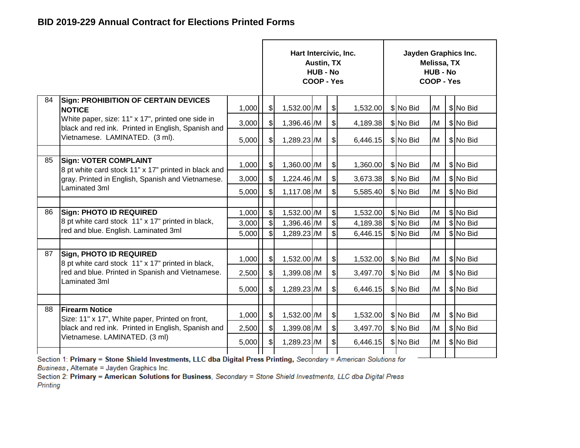|    |                                                                                                         |                                              |                              | Hart Intercivic, Inc. | <b>Austin, TX</b><br><b>HUB - No</b><br>COOP - Yes |                              |          | Jayden Graphics Inc. | Melissa, TX<br><b>HUB - No</b><br>COOP - Yes |           |
|----|---------------------------------------------------------------------------------------------------------|----------------------------------------------|------------------------------|-----------------------|----------------------------------------------------|------------------------------|----------|----------------------|----------------------------------------------|-----------|
| 84 | <b>Sign: PROHIBITION OF CERTAIN DEVICES</b><br><b>NOTICE</b>                                            | 1,000                                        | $\frac{1}{2}$                | 1,532.00 /M           |                                                    | $\frac{1}{2}$                | 1,532.00 | \$No Bid             | /M                                           | \$No Bid  |
|    | White paper, size: 11" x 17", printed one side in<br>black and red ink. Printed in English, Spanish and | 3,000                                        | $\frac{1}{2}$                | 1,396.46 / M          |                                                    | $\mathcal{S}$                | 4,189.38 | \$No Bid             | /M                                           | \$ No Bid |
|    | Vietnamese. LAMINATED. (3 ml).                                                                          | 5,000                                        | $\mathcal{S}$                | 1,289.23 / M          |                                                    | $\mathcal{L}$                | 6,446.15 | \$No Bid             | /M                                           | \$ No Bid |
|    |                                                                                                         |                                              |                              |                       |                                                    |                              |          |                      |                                              |           |
| 85 | <b>Sign: VOTER COMPLAINT</b><br>8 pt white card stock 11" x 17" printed in black and                    | 1,000                                        | $\left  \frac{1}{2} \right $ | 1,360.00 /M           |                                                    | $\frac{1}{2}$                | 1,360.00 | \$No Bid             | /M                                           | \$No Bid  |
|    | gray. Printed in English, Spanish and Vietnamese.                                                       | 3,000                                        | $\left  \mathcal{S} \right $ | 1,224.46 /M           |                                                    | $\frac{1}{2}$                | 3,673.38 | \$No Bid             | /M                                           | \$No Bid  |
|    | Laminated 3ml                                                                                           | 5,000                                        | $\mathcal{S}$                | 1,117.08 /M           |                                                    | $\boldsymbol{\mathsf{S}}$    | 5,585.40 | \$ No Bid            | /M                                           | \$No Bid  |
|    |                                                                                                         |                                              |                              |                       |                                                    |                              |          |                      |                                              |           |
| 86 | <b>Sign: PHOTO ID REQUIRED</b>                                                                          | 1,000                                        | $\left  \mathcal{L} \right $ | 1,532.00 /M           |                                                    | $\left  \mathcal{L} \right $ | 1,532.00 | \$No Bid             | /M                                           | \$No Bid  |
|    | 8 pt white card stock 11" x 17" printed in black,<br>red and blue. English. Laminated 3ml               | 3,000                                        | $\mathcal{S}$                | 1,396.46 /M           |                                                    | $\boldsymbol{\mathsf{S}}$    | 4,189.38 | \$No Bid             | /M                                           | \$ No Bid |
|    |                                                                                                         | 5,000                                        | $\mathcal{S}$                | 1,289.23 /M           |                                                    | $\mathbb{S}$                 | 6,446.15 | \$ No Bid            | /M                                           | \$No Bid  |
| 87 | <b>Sign, PHOTO ID REQUIRED</b><br>8 pt white card stock 11" x 17" printed in black,                     | 1,000                                        | $\mathcal{S}$                | 1,532.00 /M           |                                                    | $\frac{1}{2}$                | 1,532.00 | \$ No Bid            | /M                                           | \$ No Bid |
|    | red and blue. Printed in Spanish and Vietnamese.                                                        | 2,500                                        | $\frac{1}{2}$                | 1,399.08 /M           |                                                    | $\frac{1}{2}$                | 3,497.70 | \$No Bid             | /M                                           | \$No Bid  |
|    | Laminated 3ml                                                                                           | 5,000                                        | $\mathcal{S}$                | 1,289.23 /M           |                                                    | $\mathcal{S}$                | 6,446.15 | \$No Bid             | /M                                           | \$No Bid  |
|    |                                                                                                         |                                              |                              |                       |                                                    |                              |          |                      |                                              |           |
| 88 | <b>Firearm Notice</b><br>Size: 11" x 17", White paper, Printed on front,                                | 1,000                                        | $\sqrt{3}$                   | 1,532.00 /M           |                                                    | $\mathcal{S}$                | 1,532.00 | \$No Bid             | /M                                           | \$ No Bid |
|    | black and red ink. Printed in English, Spanish and                                                      | 2,500                                        | $\frac{1}{2}$                | 1,399.08 /M           |                                                    | $\boldsymbol{\mathsf{S}}$    | 3,497.70 | \$No Bid             | /M                                           | \$No Bid  |
|    | Vietnamese. LAMINATED. (3 ml)                                                                           | 5,000                                        | $\left  \mathcal{S} \right $ | 1,289.23 /M           |                                                    | $\frac{1}{2}$                | 6,446.15 | \$No Bid             | /M                                           | \$ No Bid |
|    |                                                                                                         | $\mathbf{u}$ of $\mathbf{u}$ is $\mathbf{u}$ |                              |                       |                                                    |                              |          |                      |                                              |           |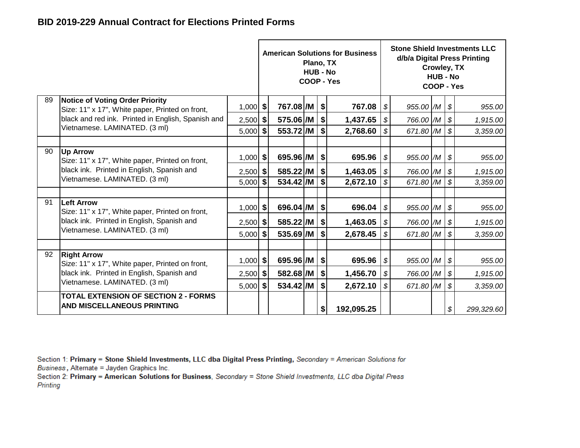|    |                                                                                                                                                      |            |                 | Plano, TX<br><b>HUB - No</b> |                     | <b>American Solutions for Business</b><br>COOP - Yes |                            | <b>Stone Shield Investments LLC</b><br>d/b/a Digital Press Printing<br>Crowley, TX<br><b>HUB - No</b><br>COOP - Yes |  |                            |            |
|----|------------------------------------------------------------------------------------------------------------------------------------------------------|------------|-----------------|------------------------------|---------------------|------------------------------------------------------|----------------------------|---------------------------------------------------------------------------------------------------------------------|--|----------------------------|------------|
| 89 | <b>Notice of Voting Order Priority</b><br>Size: 11" x 17", White paper, Printed on front,                                                            | $1,000$ \$ | 767.08 /M   \$  |                              |                     | 767.08                                               | \$                         | $955.00$ /M $\frac{1}{9}$                                                                                           |  |                            | 955.00     |
|    | black and red ink. Printed in English, Spanish and<br>Vietnamese. LAMINATED. (3 ml)                                                                  | $2,500$ \$ | 575.06 /M       |                              | \$                  | 1,437.65                                             | - S                        | 766.00 /M                                                                                                           |  | $\boldsymbol{\mathcal{S}}$ | 1,915.00   |
|    |                                                                                                                                                      | $5,000$ \$ | 553.72 /M       |                              | \$                  | 2,768.60                                             | \$                         | 671.80 /M                                                                                                           |  | $\boldsymbol{\mathcal{S}}$ | 3,359.00   |
|    |                                                                                                                                                      |            |                 |                              |                     |                                                      |                            |                                                                                                                     |  |                            |            |
| 90 | <b>Up Arrow</b><br>Size: 11" x 17", White paper, Printed on front,<br>black ink. Printed in English, Spanish and<br>Vietnamese. LAMINATED. (3 ml)    | $1,000$ \$ | 695.96 /M   \$  |                              |                     | 695.96                                               | \$                         | 955.00 /M                                                                                                           |  | \$                         | 955.00     |
|    |                                                                                                                                                      | $2,500$ \$ | 585.22 /M   \$  |                              |                     | 1,463.05                                             | $\boldsymbol{\mathcal{F}}$ | 766.00 /M                                                                                                           |  | $\boldsymbol{\mathcal{S}}$ | 1,915.00   |
|    |                                                                                                                                                      | $5,000$ \$ | 534.42 /M       |                              | \$                  | 2,672.10                                             | \$                         | 671.80 /M                                                                                                           |  | $\boldsymbol{\mathcal{S}}$ | 3,359.00   |
|    |                                                                                                                                                      |            |                 |                              |                     |                                                      |                            |                                                                                                                     |  |                            |            |
| 91 | <b>Left Arrow</b><br>Size: 11" x 17", White paper, Printed on front,<br>black ink. Printed in English, Spanish and<br>Vietnamese. LAMINATED. (3 ml)  | $1,000$ \$ | 696.04 /M   \$  |                              |                     | 696.04                                               | \$                         | 955.00 /M                                                                                                           |  | $\boldsymbol{\mathcal{F}}$ | 955.00     |
|    |                                                                                                                                                      | $2,500$ \$ | 585.22 / M   \$ |                              |                     | 1,463.05                                             | \$                         | 766.00 /M                                                                                                           |  | $\boldsymbol{\mathcal{S}}$ | 1,915.00   |
|    |                                                                                                                                                      | $5,000$ \$ | 535.69 /M       |                              | \$                  | 2,678.45                                             | \$                         | 671.80 /M                                                                                                           |  | $\boldsymbol{\mathcal{S}}$ | 3,359.00   |
|    |                                                                                                                                                      |            |                 |                              |                     |                                                      |                            |                                                                                                                     |  |                            |            |
| 92 | <b>Right Arrow</b><br>Size: 11" x 17", White paper, Printed on front,<br>black ink. Printed in English, Spanish and<br>Vietnamese. LAMINATED. (3 ml) | $1,000$ \$ | 695.96 /M       |                              | $\vert \mathbf{\$}$ | 695.96                                               | $\boldsymbol{\mathcal{F}}$ | 955.00 /M                                                                                                           |  | $\boldsymbol{\mathcal{S}}$ | 955.00     |
|    |                                                                                                                                                      | $2,500$ \$ | 582.68 /M       |                              | \$                  | 1,456.70                                             | \$                         | 766.00 /M                                                                                                           |  | $\boldsymbol{\mathcal{S}}$ | 1,915.00   |
|    |                                                                                                                                                      | $5,000$ \$ | 534.42 /M       |                              | \$                  | 2,672.10                                             | \$                         | 671.80 /M                                                                                                           |  | $\boldsymbol{\mathcal{S}}$ | 3,359.00   |
|    | <b>TOTAL EXTENSION OF SECTION 2 - FORMS</b><br><b>AND MISCELLANEOUS PRINTING</b>                                                                     |            |                 |                              | \$                  | 192,095.25                                           |                            |                                                                                                                     |  | $\boldsymbol{\mathcal{F}}$ | 299,329.60 |